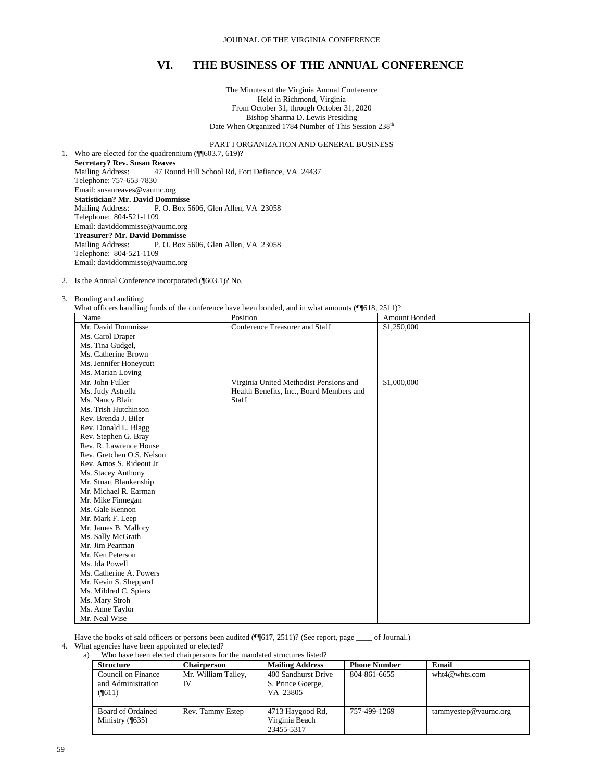The Minutes of the Virginia Annual Conference Held in Richmond, Virginia From October 31, through October 31, 2020 Bishop Sharma D. Lewis Presiding Date When Organized 1784 Number of This Session 238<sup>th</sup>

# PART I ORGANIZATION AND GENERAL BUSINESS

1. Who are elected for the quadrennium (¶¶603.7, 619)? **Secretary? Rev. Susan Reaves** Mailing Address: 47 Round Hill School Rd, Fort Defiance, VA 24437 Telephone: 757-653-7830 Email: susanreaves@vaumc.org **Statistician? Mr. David Dommisse** Mailing Address: P. O. Box 5606, Glen Allen, VA 23058 Telephone: 804-521-1109 Email: daviddommisse@vaumc.org **Treasurer? Mr. David Dommisse** Mailing Address: P. O. Box 5606, Glen Allen, VA 23058 Telephone: 804-521-1109 Email: daviddommisse@vaumc.org

#### 2. Is the Annual Conference incorporated (¶603.1)? No.

#### 3. Bonding and auditing:

What officers handling funds of the conference have been bonded, and in what amounts (¶¶618, 2511)?

| Name                      | That office is manufactured of the conference have been bonded, and in what amounts $(\  \  010, 2011)$ .<br>Position | <b>Amount Bonded</b> |
|---------------------------|-----------------------------------------------------------------------------------------------------------------------|----------------------|
| Mr. David Dommisse        | Conference Treasurer and Staff                                                                                        | \$1,250,000          |
| Ms. Carol Draper          |                                                                                                                       |                      |
| Ms. Tina Gudgel,          |                                                                                                                       |                      |
| Ms. Catherine Brown       |                                                                                                                       |                      |
| Ms. Jennifer Honeycutt    |                                                                                                                       |                      |
| Ms. Marian Loving         |                                                                                                                       |                      |
| Mr. John Fuller           | Virginia United Methodist Pensions and                                                                                | \$1,000,000          |
| Ms. Judy Astrella         | Health Benefits, Inc., Board Members and                                                                              |                      |
| Ms. Nancy Blair           | Staff                                                                                                                 |                      |
| Ms. Trish Hutchinson      |                                                                                                                       |                      |
| Rev. Brenda J. Biler      |                                                                                                                       |                      |
| Rev. Donald L. Blagg      |                                                                                                                       |                      |
| Rev. Stephen G. Bray      |                                                                                                                       |                      |
| Rev. R. Lawrence House    |                                                                                                                       |                      |
| Rev. Gretchen O.S. Nelson |                                                                                                                       |                      |
| Rev. Amos S. Rideout Jr   |                                                                                                                       |                      |
| Ms. Stacey Anthony        |                                                                                                                       |                      |
| Mr. Stuart Blankenship    |                                                                                                                       |                      |
| Mr. Michael R. Earman     |                                                                                                                       |                      |
| Mr. Mike Finnegan         |                                                                                                                       |                      |
| Ms. Gale Kennon           |                                                                                                                       |                      |
| Mr. Mark F. Leep          |                                                                                                                       |                      |
| Mr. James B. Mallory      |                                                                                                                       |                      |
| Ms. Sally McGrath         |                                                                                                                       |                      |
| Mr. Jim Pearman           |                                                                                                                       |                      |
| Mr. Ken Peterson          |                                                                                                                       |                      |
| Ms. Ida Powell            |                                                                                                                       |                      |
| Ms. Catherine A. Powers   |                                                                                                                       |                      |
| Mr. Kevin S. Sheppard     |                                                                                                                       |                      |
| Ms. Mildred C. Spiers     |                                                                                                                       |                      |
| Ms. Mary Stroh            |                                                                                                                       |                      |
| Ms. Anne Taylor           |                                                                                                                       |                      |
| Mr. Neal Wise             |                                                                                                                       |                      |

Have the books of said officers or persons been audited ( $\P$ [617, 2511)? (See report, page \_\_\_\_ of Journal.)

- 4. What agencies have been appointed or elected?<br>a) Who have been elected chairnersons for
	- Who have been elected chairpersons for the mandated structures listed?

| <b>Structure</b>                                   | Chairperson               | <b>Mailing Address</b>                               | <b>Phone Number</b> | Email                   |
|----------------------------------------------------|---------------------------|------------------------------------------------------|---------------------|-------------------------|
| Council on Finance<br>and Administration<br>(9611) | Mr. William Talley,<br>IV | 400 Sandhurst Drive<br>S. Prince Goerge,<br>VA 23805 | 804-861-6655        | wht $4@$ whts.com       |
| Board of Ordained<br>Ministry $($ [635)            | Rev. Tammy Estep          | 4713 Haygood Rd,<br>Virginia Beach<br>23455-5317     | 757-499-1269        | $t$ ammyestep@vaumc.org |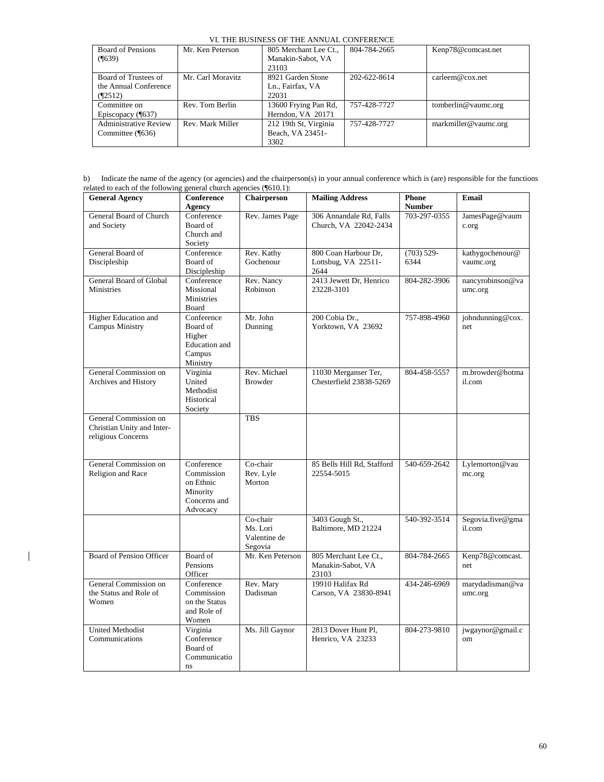| Board of Pensions<br>$($ <sup>639</sup> $)$   | Mr. Ken Peterson  | 805 Merchant Lee Ct.,<br>Manakin-Sabot, VA<br>23103 | 804-784-2665 | Kenp78@comcast.net   |
|-----------------------------------------------|-------------------|-----------------------------------------------------|--------------|----------------------|
| Board of Trustees of<br>the Annual Conference | Mr. Carl Moravitz | 8921 Garden Stone<br>Ln., Fairfax, VA               | 202-622-8614 | carleem@cov.net      |
| (92512)                                       |                   | 22031                                               |              |                      |
| Committee on                                  | Rev. Tom Berlin   | 13600 Frying Pan Rd,                                | 757-428-7727 | tomberlin@vaumc.org  |
| Episcopacy (¶637)                             |                   | Herndon, VA 20171                                   |              |                      |
| <b>Administrative Review</b>                  | Rev. Mark Miller  | 212 19th St, Virginia                               | 757-428-7727 | markmiller@vaumc.org |
| Committee (¶636)                              |                   | Beach, VA 23451-                                    |              |                      |
|                                               |                   | 3302                                                |              |                      |

| <b>General Agency</b>                               | <b>Conference</b><br>Agency    | Chairperson                 | <b>Mailing Address</b>                    | <b>Phone</b><br><b>Number</b> | Email                      |
|-----------------------------------------------------|--------------------------------|-----------------------------|-------------------------------------------|-------------------------------|----------------------------|
| General Board of Church                             | $\overline{\text{Conference}}$ | Rev. James Page             | 306 Annandale Rd, Falls                   | 703-297-0355                  | JamesPage@vaum             |
| and Society                                         | Board of                       |                             | Church, VA 22042-2434                     |                               | c.org                      |
|                                                     | Church and<br>Society          |                             |                                           |                               |                            |
| General Board of                                    | Conference                     | Rev. Kathy                  | 800 Coan Harbour Dr,                      | $(703) 529 -$                 | kathygochenour@            |
| Discipleship                                        | Board of<br>Discipleship       | Gochenour                   | Lottsbug, VA 22511-<br>2644               | 6344                          | vaumc.org                  |
| General Board of Global                             | Conference                     | Rev. Nancy                  | 2413 Jewett Dr, Henrico                   | 804-282-3906                  | nancyrobinson@va           |
| <b>Ministries</b>                                   | Missional<br><b>Ministries</b> | Robinson                    | 23228-3101                                |                               | umc.org                    |
|                                                     | Board                          |                             |                                           |                               |                            |
| Higher Education and<br><b>Campus Ministry</b>      | Conference<br>Board of         | Mr. John                    | 200 Cobia Dr.,<br>Yorktown, VA 23692      | 757-898-4960                  | johndunning@cox.<br>net    |
|                                                     | Higher                         | Dunning                     |                                           |                               |                            |
|                                                     | Education and                  |                             |                                           |                               |                            |
|                                                     | Campus<br>Ministry             |                             |                                           |                               |                            |
| General Commission on                               | Virginia                       | Rev. Michael                | 11030 Merganser Ter,                      | 804-458-5557                  | m.browder@hotma            |
| Archives and History                                | United<br>Methodist            | <b>Browder</b>              | Chesterfield 23838-5269                   |                               | il.com                     |
|                                                     | Historical                     |                             |                                           |                               |                            |
|                                                     | Society                        |                             |                                           |                               |                            |
| General Commission on<br>Christian Unity and Inter- |                                | <b>TBS</b>                  |                                           |                               |                            |
| religious Concerns                                  |                                |                             |                                           |                               |                            |
|                                                     |                                |                             |                                           |                               |                            |
| General Commission on                               | Conference                     | Co-chair                    | 85 Bells Hill Rd, Stafford                | 540-659-2642                  | Lylemorton@vau             |
| Religion and Race                                   | Commission                     | Rev. Lyle                   | 22554-5015                                |                               | mc.org                     |
|                                                     | on Ethnic<br>Minority          | Morton                      |                                           |                               |                            |
|                                                     | Concerns and                   |                             |                                           |                               |                            |
|                                                     | Advocacy                       | Co-chair                    | 3403 Gough St.,                           | 540-392-3514                  | Segovia.five@gma           |
|                                                     |                                | Ms. Lori                    | Baltimore, MD 21224                       |                               | il.com                     |
|                                                     |                                | Valentine de                |                                           |                               |                            |
| Board of Pension Officer                            | Board of                       | Segovia<br>Mr. Ken Peterson | 805 Merchant Lee Ct.,                     | 804-784-2665                  | Kenp78@comcast.            |
|                                                     | Pensions                       |                             | Manakin-Sabot, VA                         |                               | net                        |
|                                                     | Officer                        |                             | 23103                                     |                               |                            |
| General Commission on<br>the Status and Role of     | Conference<br>Commission       | Rev. Mary<br>Dadisman       | 19910 Halifax Rd<br>Carson, VA 23830-8941 | 434-246-6969                  | marydadisman@va<br>umc.org |
| Women                                               | on the Status                  |                             |                                           |                               |                            |
|                                                     | and Role of                    |                             |                                           |                               |                            |
| <b>United Methodist</b>                             | Women<br>Virginia              | Ms. Jill Gaynor             | 2813 Dover Hunt Pl,                       | 804-273-9810                  | jwgaynor@gmail.c           |
| Communications                                      | Conference                     |                             | Henrico, VA 23233                         |                               | om                         |
|                                                     | Board of<br>Communicatio       |                             |                                           |                               |                            |
|                                                     | ns                             |                             |                                           |                               |                            |

 $\mathbf I$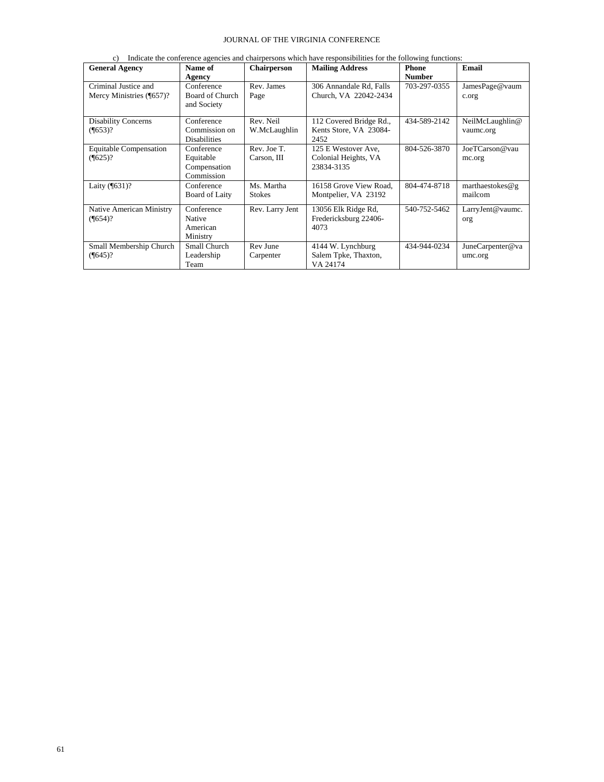|  | c) Indicate the conference agencies and chairpersons which have responsibilities for the following functions: |  |  |  |  |  |  |  |
|--|---------------------------------------------------------------------------------------------------------------|--|--|--|--|--|--|--|
|--|---------------------------------------------------------------------------------------------------------------|--|--|--|--|--|--|--|

| <b>General Agency</b>                             | Name of<br>Agency                                     | <b>Chairperson</b>          | <b>Mailing Address</b>                                    | <b>Phone</b><br><b>Number</b> | Email                        |
|---------------------------------------------------|-------------------------------------------------------|-----------------------------|-----------------------------------------------------------|-------------------------------|------------------------------|
| Criminal Justice and<br>Mercy Ministries (¶657)?  | Conference<br>Board of Church<br>and Society          | Rev. James<br>Page          | 306 Annandale Rd, Falls<br>Church, VA 22042-2434          | 703-297-0355                  | JamesPage@vaum<br>c.org      |
| <b>Disability Concerns</b><br>$(\frac{1}{653})$ ? | Conference<br>Commission on<br><b>Disabilities</b>    | Rev. Neil<br>W.McLaughlin   | 112 Covered Bridge Rd.,<br>Kents Store, VA 23084-<br>2452 | 434-589-2142                  | NeilMcLaughlin@<br>vaumc.org |
| <b>Equitable Compensation</b><br>$(\sqrt{625})$ ? | Conference<br>Equitable<br>Compensation<br>Commission | Rev. Joe T.<br>Carson, III  | 125 E Westover Ave.<br>Colonial Heights, VA<br>23834-3135 | 804-526-3870                  | JoeTCarson@vau<br>mc.org     |
| Laity (¶631)?                                     | Conference<br><b>Board of Laity</b>                   | Ms. Martha<br><b>Stokes</b> | 16158 Grove View Road,<br>Montpelier, VA 23192            | 804-474-8718                  | marthaestokes@g<br>mailcom   |
| Native American Ministry<br>$(\frac{1}{654})$ ?   | Conference<br>Native<br>American<br>Ministry          | Rev. Larry Jent             | 13056 Elk Ridge Rd,<br>Fredericksburg 22406-<br>4073      | 540-752-5462                  | LarryJent@vaumc.<br>org      |
| Small Membership Church<br>$($ [645)?             | Small Church<br>Leadership<br>Team                    | Rev June<br>Carpenter       | 4144 W. Lynchburg<br>Salem Tpke, Thaxton,<br>VA 24174     | 434-944-0234                  | JuneCarpenter@va<br>umc.org  |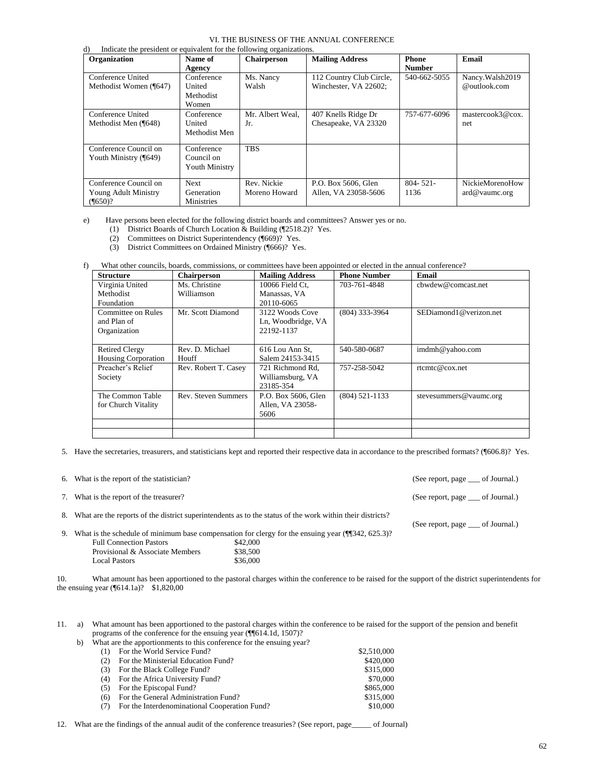|                                                                             |                   |                    | VI. THE BUSINESS OF THE ANNUAL CONFERENCE |               |                          |
|-----------------------------------------------------------------------------|-------------------|--------------------|-------------------------------------------|---------------|--------------------------|
| Indicate the president or equivalent for the following organizations.<br>d) |                   |                    |                                           |               |                          |
| Organization                                                                | Name of           | <b>Chairperson</b> | <b>Mailing Address</b>                    | <b>Phone</b>  | Email                    |
|                                                                             | Agency            |                    |                                           | <b>Number</b> |                          |
| Conference United                                                           | Conference        | Ms. Nancy          | 112 Country Club Circle,                  | 540-662-5055  | Nancy. Walsh 2019        |
| Methodist Women (¶647)                                                      | United            | Walsh              | Winchester, VA 22602;                     |               | @outlook.com             |
|                                                                             | Methodist         |                    |                                           |               |                          |
|                                                                             | Women             |                    |                                           |               |                          |
| Conference United                                                           | Conference        | Mr. Albert Weal.   | 407 Knells Ridge Dr                       | 757-677-6096  | mastercook3@cox.         |
| Methodist Men (¶648)                                                        | United            | Jr.                | Chesapeake, VA 23320                      |               | net                      |
|                                                                             | Methodist Men     |                    |                                           |               |                          |
|                                                                             |                   |                    |                                           |               |                          |
| Conference Council on                                                       | Conference        | <b>TBS</b>         |                                           |               |                          |
| Youth Ministry (¶649)                                                       | Council on        |                    |                                           |               |                          |
|                                                                             | Youth Ministry    |                    |                                           |               |                          |
| Conference Council on                                                       | <b>Next</b>       | Rev. Nickie        |                                           | $804 - 521 -$ | NickieMorenoHow          |
|                                                                             |                   |                    | P.O. Box 5606, Glen                       |               |                          |
| Young Adult Ministry                                                        | Generation        | Moreno Howard      | Allen, VA 23058-5606                      | 1136          | $\text{and} @$ vaume.org |
| $($ ¶650)?                                                                  | <b>Ministries</b> |                    |                                           |               |                          |

e) Have persons been elected for the following district boards and committees? Answer yes or no.

- (1) District Boards of Church Location & Building (¶2518.2)? Yes.
- (2) Committees on District Superintendency (¶669)? Yes.
- (3) District Committees on Ordained Ministry (¶666)? Yes.

f) What other councils, boards, commissions, or committees have been appointed or elected in the annual conference?

| <b>Structure</b>           | <b>Chairperson</b>         | <b>Mailing Address</b> | <b>Phone Number</b> | Email                  |
|----------------------------|----------------------------|------------------------|---------------------|------------------------|
| Virginia United            | Ms. Christine              | 10066 Field Ct.        | 703-761-4848        | chwdew@comcast.net     |
| Methodist                  | Williamson                 | Manassas, VA           |                     |                        |
| Foundation                 |                            | 20110-6065             |                     |                        |
| Committee on Rules         | Mr. Scott Diamond          | 3122 Woods Cove        | $(804)$ 333-3964    | SEDiamond1@verizon.net |
| and Plan of                |                            | Ln, Woodbridge, VA     |                     |                        |
| Organization               |                            | 22192-1137             |                     |                        |
|                            |                            |                        |                     |                        |
| <b>Retired Clergy</b>      | Rev. D. Michael            | 616 Lou Ann St.        | 540-580-0687        | imdmh@yahoo.com        |
| <b>Housing Corporation</b> | Houff                      | Salem 24153-3415       |                     |                        |
| Preacher's Relief          | Rev. Robert T. Casey       | 721 Richmond Rd.       | 757-258-5042        | rtemte@cov.net         |
| Society                    |                            | Williamsburg, VA       |                     |                        |
|                            |                            | 23185-354              |                     |                        |
| The Common Table           | <b>Rev. Steven Summers</b> | P.O. Box 5606, Glen    | $(804) 521 - 1133$  | stevesummers@vaumc.org |
| for Church Vitality        |                            | Allen, VA 23058-       |                     |                        |
|                            |                            | 5606                   |                     |                        |
|                            |                            |                        |                     |                        |
|                            |                            |                        |                     |                        |

5. Have the secretaries, treasurers, and statisticians kept and reported their respective data in accordance to the prescribed formats? (¶606.8)? Yes.

| 6. What is the report of the statistician? |                                                                                                              | (See report, page ____ of Journal.)   |  |
|--------------------------------------------|--------------------------------------------------------------------------------------------------------------|---------------------------------------|--|
| 7. What is the report of the treasurer?    |                                                                                                              | (See report, page <u>or</u> Journal.) |  |
|                                            | 8. What are the reports of the district superintendents as to the status of the work within their districts? | (See report, page <u>or</u> Journal.) |  |
|                                            | 9. What is the schedule of minimum base compensation for clergy for the ensuing year $(\P$ 342, 625.3)?      |                                       |  |
| <b>Full Connection Pastors</b>             | \$42,000                                                                                                     |                                       |  |
| Provisional & Associate Members            | \$38,500                                                                                                     |                                       |  |

10. What amount has been apportioned to the pastoral charges within the conference to be raised for the support of the district superintendents for the ensuing year (¶614.1a)? \$1,820,00

11. a) What amount has been apportioned to the pastoral charges within the conference to be raised for the support of the pension and benefit programs of the conference for the ensuing year (¶¶614.1d, 1507)?

b) What are the apportionments to this conference for the ensuing year?

Local Pastors  $$36,000$ 

|     | (1) For the World Service Fund?               | \$2,510,000 |
|-----|-----------------------------------------------|-------------|
| (2) | For the Ministerial Education Fund?           | \$420,000   |
| (3) | For the Black College Fund?                   | \$315,000   |
| (4) | For the Africa University Fund?               | \$70,000    |
| (5) | For the Episcopal Fund?                       | \$865,000   |
| (6) | For the General Administration Fund?          | \$315,000   |
| (7) | For the Interdenominational Cooperation Fund? | \$10,000    |
|     |                                               |             |

12. What are the findings of the annual audit of the conference treasuries? (See report, page\_\_\_\_\_ of Journal)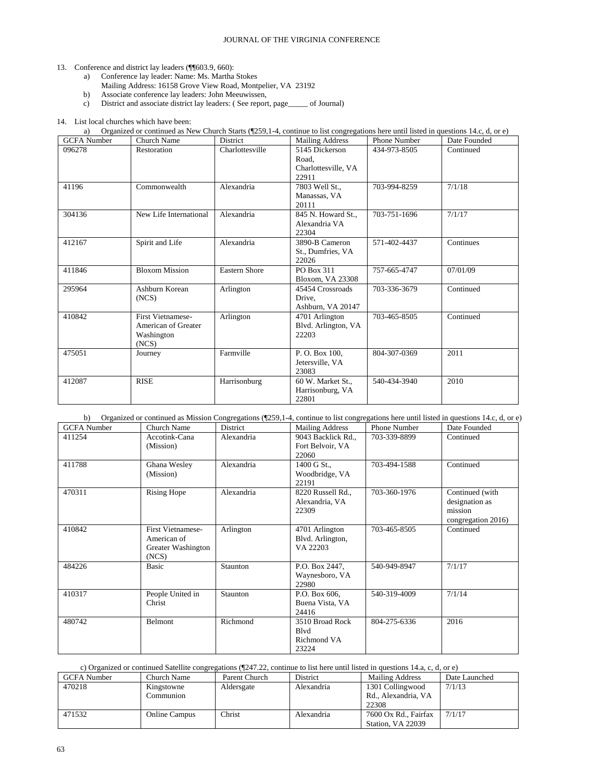#### 13. Conference and district lay leaders (¶¶603.9, 660):

- a) Conference lay leader: Name: Ms. Martha Stokes
- Mailing Address: 16158 Grove View Road, Montpelier, VA 23192
- b) Associate conference lay leaders: John Meeuwissen,
- c) District and associate district lay leaders: ( See report, page\_\_\_\_\_ of Journal)

#### 14. List local churches which have been:

a) Organized or continued as New Church Starts (¶259,1-4, continue to list congregations here until listed in questions 14.c, d, or e)

| <b>GCFA</b> Number | Church Name                                                            | District             | <b>Mailing Address</b>                                  | <b>Phone Number</b> | Date Founded |
|--------------------|------------------------------------------------------------------------|----------------------|---------------------------------------------------------|---------------------|--------------|
| 096278             | Restoration                                                            | Charlottesville      | 5145 Dickerson<br>Road.<br>Charlottesville, VA<br>22911 | 434-973-8505        | Continued    |
| 41196              | Commonwealth                                                           | Alexandria           | 7803 Well St.,<br>Manassas, VA<br>20111                 | 703-994-8259        | 7/1/18       |
| 304136             | New Life International                                                 | Alexandria           | 845 N. Howard St.,<br>Alexandria VA<br>22304            | 703-751-1696        | 7/1/17       |
| 412167             | Spirit and Life                                                        | Alexandria           | 3890-B Cameron<br>St., Dumfries, VA<br>22026            | 571-402-4437        | Continues    |
| 411846             | <b>Bloxom Mission</b>                                                  | <b>Eastern Shore</b> | PO Box 311<br>Bloxom, VA 23308                          | 757-665-4747        | 07/01/09     |
| 295964             | Ashburn Korean<br>(NCS)                                                | Arlington            | 45454 Crossroads<br>Drive,<br>Ashburn, VA 20147         | 703-336-3679        | Continued    |
| 410842             | <b>First Vietnamese-</b><br>American of Greater<br>Washington<br>(NCS) | Arlington            | 4701 Arlington<br>Blvd. Arlington, VA<br>22203          | 703-465-8505        | Continued    |
| 475051             | Journey                                                                | Farmville            | P.O. Box 100,<br>Jetersville, VA<br>23083               | 804-307-0369        | 2011         |
| 412087             | <b>RISE</b>                                                            | Harrisonburg         | 60 W. Market St.,<br>Harrisonburg, VA<br>22801          | 540-434-3940        | 2010         |

| Organized or continued as Mission Congregations (¶259,1-4, continue to list congregations here until listed in questions 14.c, d, or e)<br>b) |                                                                        |            |                                                         |              |                                                                    |  |  |
|-----------------------------------------------------------------------------------------------------------------------------------------------|------------------------------------------------------------------------|------------|---------------------------------------------------------|--------------|--------------------------------------------------------------------|--|--|
| <b>GCFA</b> Number                                                                                                                            | Church Name                                                            | District   | <b>Mailing Address</b>                                  | Phone Number | Date Founded                                                       |  |  |
| 411254                                                                                                                                        | Accotink-Cana<br>(Mission)                                             | Alexandria | 9043 Backlick Rd.,<br>Fort Belvoir, VA<br>22060         | 703-339-8899 | Continued                                                          |  |  |
| 411788                                                                                                                                        | Ghana Wesley<br>(Mission)                                              | Alexandria | 1400 G St.,<br>Woodbridge, VA<br>22191                  | 703-494-1588 | Continued                                                          |  |  |
| 470311                                                                                                                                        | <b>Rising Hope</b>                                                     | Alexandria | 8220 Russell Rd.,<br>Alexandria, VA<br>22309            | 703-360-1976 | Continued (with<br>designation as<br>mission<br>congregation 2016) |  |  |
| 410842                                                                                                                                        | <b>First Vietnamese-</b><br>American of<br>Greater Washington<br>(NCS) | Arlington  | 4701 Arlington<br>Blvd. Arlington,<br>VA 22203          | 703-465-8505 | Continued                                                          |  |  |
| 484226                                                                                                                                        | <b>Basic</b>                                                           | Staunton   | P.O. Box 2447,<br>Waynesboro, VA<br>22980               | 540-949-8947 | 7/1/17                                                             |  |  |
| 410317                                                                                                                                        | People United in<br>Christ                                             | Staunton   | P.O. Box 606.<br>Buena Vista, VA<br>24416               | 540-319-4009 | 7/1/14                                                             |  |  |
| 480742                                                                                                                                        | <b>Belmont</b>                                                         | Richmond   | 3510 Broad Rock<br><b>B</b> lvd<br>Richmond VA<br>23224 | 804-275-6336 | 2016                                                               |  |  |

# c) Organized or continued Satellite congregations (¶247.22, continue to list here until listed in questions 14.a, c, d, or e)

| <b>GCFA</b> Number | Church Name          | Parent Church | <b>District</b> | <b>Mailing Address</b>                    | Date Launched |
|--------------------|----------------------|---------------|-----------------|-------------------------------------------|---------------|
| 470218             | Kingstowne           | Aldersgate    | Alexandria      | 1301 Collingwood                          | 7/1/13        |
|                    | Communion            |               |                 | Rd., Alexandria, VA<br>22308              |               |
| 471532             | <b>Online Campus</b> | Christ        | Alexandria      | 7600 Ox Rd., Fairfax<br>Station, VA 22039 | 7/1/17        |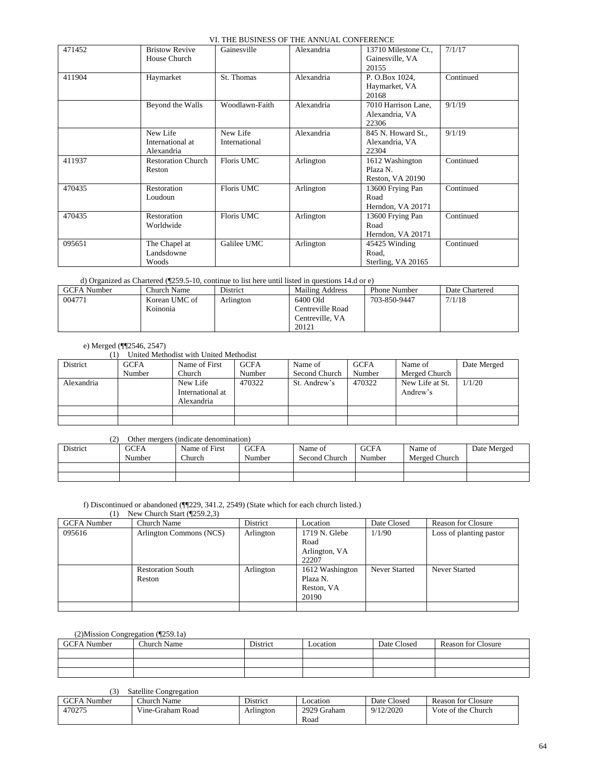|        |                           | ч. ніе возімвэ ог тін лічусле сом екеме |            |                      |           |
|--------|---------------------------|-----------------------------------------|------------|----------------------|-----------|
| 471452 | <b>Bristow Revive</b>     | Gainesville                             | Alexandria | 13710 Milestone Ct., | 7/1/17    |
|        | House Church              |                                         |            | Gainesville, VA      |           |
|        |                           |                                         |            | 20155                |           |
| 411904 | Haymarket                 | St. Thomas                              | Alexandria | P. O.Box 1024,       | Continued |
|        |                           |                                         |            | Haymarket, VA        |           |
|        |                           |                                         |            | 20168                |           |
|        | Beyond the Walls          | Woodlawn-Faith                          | Alexandria | 7010 Harrison Lane,  | 9/1/19    |
|        |                           |                                         |            | Alexandria, VA       |           |
|        |                           |                                         |            | 22306                |           |
|        | New Life                  | New Life                                | Alexandria | 845 N. Howard St.,   | 9/1/19    |
|        | International at          | International                           |            | Alexandria, VA       |           |
|        | Alexandria                |                                         |            | 22304                |           |
| 411937 | <b>Restoration Church</b> | Floris UMC                              | Arlington  | 1612 Washington      | Continued |
|        | Reston                    |                                         |            | Plaza N.             |           |
|        |                           |                                         |            | Reston, VA 20190     |           |
| 470435 | Restoration               | Floris UMC                              | Arlington  | 13600 Frying Pan     | Continued |
|        | Loudoun                   |                                         |            | Road                 |           |
|        |                           |                                         |            | Herndon, VA 20171    |           |
| 470435 | Restoration               | Floris UMC                              | Arlington  | 13600 Frying Pan     | Continued |
|        | Worldwide                 |                                         |            | Road                 |           |
|        |                           |                                         |            | Herndon, VA 20171    |           |
| 095651 | The Chapel at             | Galilee UMC                             | Arlington  | 45425 Winding        | Continued |
|        | Landsdowne                |                                         |            | Road,                |           |
|        | Woods                     |                                         |            | Sterling, VA 20165   |           |

d) Organized as Chartered (¶259.5-10, continue to list here until listed in questions 14.d or e)

| GCFA Number | Church Name   | <b>District</b> | Mailing Address  | Phone Number | Date Chartered |
|-------------|---------------|-----------------|------------------|--------------|----------------|
| 004771      | Korean UMC of | Arlington       | 6400 Old         | 703-850-9447 | 7/1/18         |
|             | Koinonia      |                 | Centreville Road |              |                |
|             |               |                 | Centreville, VA  |              |                |
|             |               |                 | 20121            |              |                |

#### e) Merged (¶¶2546, 2547)

(1) United Methodist with United Methodist

| District   | <b>GCFA</b> | Name of First                              | <b>GCFA</b> | Name of       | <b>GCFA</b> | Name of                     | Date Merged |
|------------|-------------|--------------------------------------------|-------------|---------------|-------------|-----------------------------|-------------|
|            | Number      | Church                                     | Number      | Second Church | Number      | Merged Church               |             |
| Alexandria |             | New Life<br>International at<br>Alexandria | 470322      | St. Andrew's  | 470322      | New Life at St.<br>Andrew's | 1/1/20      |
|            |             |                                            |             |               |             |                             |             |
|            |             |                                            |             |               |             |                             |             |

# (2) Other mergers (indicate denomination)

| <b>District</b> | GCFA<br>Number | Name of First<br><b>Church</b> | <b>GCFA</b><br>Number | Name of<br>Second Church | <b>GCFA</b><br>Number | Name of<br>Merged Church | Date Merged |
|-----------------|----------------|--------------------------------|-----------------------|--------------------------|-----------------------|--------------------------|-------------|
|                 |                |                                |                       |                          |                       |                          |             |
|                 |                |                                |                       |                          |                       |                          |             |

# f) Discontinued or abandoned (¶¶229, 341.2, 2549) (State which for each church listed.)

(1) New Church Start (¶259.2,3)

| <b>GCFA</b> Number | Church Name                        | District  | Location                                           | Date Closed   | <b>Reason for Closure</b> |
|--------------------|------------------------------------|-----------|----------------------------------------------------|---------------|---------------------------|
| 095616             | Arlington Commons (NCS)            | Arlington | 1719 N. Glebe<br>Road                              | 1/1/90        | Loss of planting pastor   |
|                    |                                    |           | Arlington, VA<br>22207                             |               |                           |
|                    | <b>Restoration South</b><br>Reston | Arlington | 1612 Washington<br>Plaza N.<br>Reston, VA<br>20190 | Never Started | <b>Never Started</b>      |
|                    |                                    |           |                                                    |               |                           |

# (2)Mission Congregation (¶259.1a)

| GCFA Number | Church Name | District | Location | Date Closed | <b>Reason for Closure</b> |
|-------------|-------------|----------|----------|-------------|---------------------------|
|             |             |          |          |             |                           |
|             |             |          |          |             |                           |
|             |             |          |          |             |                           |

# (3) Satellite Congregation

| GCFA<br>Number | Name<br>hurch!   | District  | Location    | Date Closed | <b>Reason for Closure</b> |
|----------------|------------------|-----------|-------------|-------------|---------------------------|
| 470275         | Vine-Graham Road | Arlington | 2929 Graham | 9/12/2020   | Vote of the Church        |
|                |                  |           | Road        |             |                           |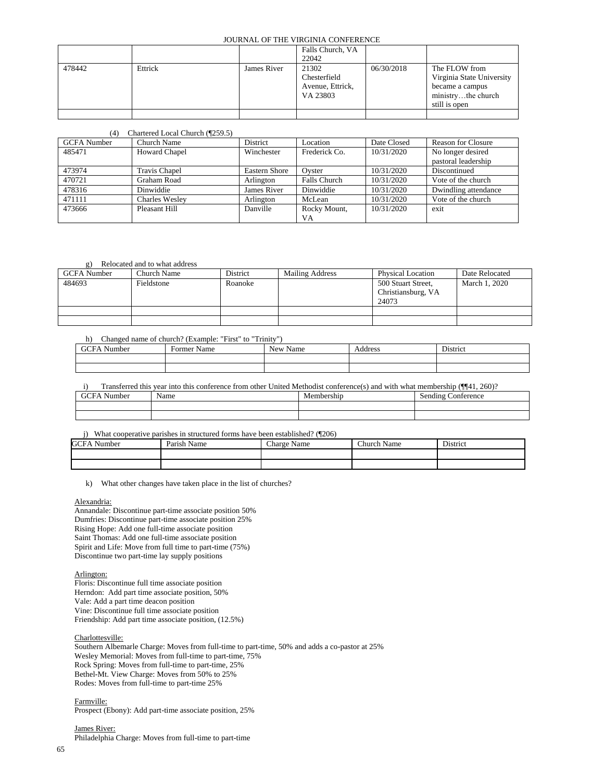|        |         |             | Falls Church, VA                                      |            |                                                                                     |
|--------|---------|-------------|-------------------------------------------------------|------------|-------------------------------------------------------------------------------------|
|        |         |             | 22042                                                 |            |                                                                                     |
| 478442 | Ettrick | James River | 21302<br>Chesterfield<br>Avenue, Ettrick,<br>VA 23803 | 06/30/2018 | The FLOW from<br>Virginia State University<br>became a campus<br>ministrythe church |
|        |         |             |                                                       |            | still is open                                                                       |
|        |         |             |                                                       |            |                                                                                     |

#### (4) Chartered Local Church (¶259.5)

| <b>GCFA</b> Number | Church Name           | District             | Location            | Date Closed | <b>Reason for Closure</b> |
|--------------------|-----------------------|----------------------|---------------------|-------------|---------------------------|
| 485471             | <b>Howard Chapel</b>  | Winchester           | Frederick Co.       | 10/31/2020  | No longer desired         |
|                    |                       |                      |                     |             | pastoral leadership       |
| 473974             | <b>Travis Chapel</b>  | <b>Eastern Shore</b> | Ovster              | 10/31/2020  | Discontinued              |
| 470721             | <b>Graham Road</b>    | Arlington            | <b>Falls Church</b> | 10/31/2020  | Vote of the church        |
| 478316             | Dinwiddie             | James River          | Dinwiddie           | 10/31/2020  | Dwindling attendance      |
| 471111             | <b>Charles Wesley</b> | Arlington            | McLean              | 10/31/2020  | Vote of the church        |
| 473666             | Pleasant Hill         | Danville             | Rocky Mount,        | 10/31/2020  | exit                      |
|                    |                       |                      | VA                  |             |                           |

#### g) Relocated and to what address

| <b>GCFA</b> Number | Church Name | District | <b>Mailing Address</b> | <b>Physical Location</b>                          | Date Relocated |
|--------------------|-------------|----------|------------------------|---------------------------------------------------|----------------|
| 484693             | Fieldstone  | Roanoke  |                        | 500 Stuart Street,<br>Christiansburg, VA<br>24073 | March 1, 2020  |
|                    |             |          |                        |                                                   |                |
|                    |             |          |                        |                                                   |                |

#### h) Changed name of church? (Example: "First" to "Trinity")

| <b>GCEA</b><br>$\sim$ $\sim$<br>Number | $\blacksquare$<br>Former Name | <b>New</b><br>Name | . .<br>ddress<br>Audress | $\mathbf{r}$<br>District |
|----------------------------------------|-------------------------------|--------------------|--------------------------|--------------------------|
|                                        |                               |                    |                          |                          |
|                                        |                               |                    |                          |                          |

i) Transferred this year into this conference from other United Methodist conference(s) and with what membership (¶[41, 260)?

| $\mathbf{r}$<br>GCI<br>∤umber | Name | Membershin<br> | conference<br>$Sendin^{\circ}$ |
|-------------------------------|------|----------------|--------------------------------|
|                               |      |                |                                |
|                               |      |                |                                |
|                               |      |                |                                |

j) What cooperative parishes in structured forms have been established? (¶206)

| <b>GCFA Number</b> | Parish Name | ~<br>Charge Name | <b>Church Name</b> | District |
|--------------------|-------------|------------------|--------------------|----------|
|                    |             |                  |                    |          |
|                    |             |                  |                    |          |

k) What other changes have taken place in the list of churches?

#### Alexandria:

Annandale: Discontinue part-time associate position 50% Dumfries: Discontinue part-time associate position 25% Rising Hope: Add one full-time associate position Saint Thomas: Add one full-time associate position Spirit and Life: Move from full time to part-time (75%) Discontinue two part-time lay supply positions

#### Arlington:

Floris: Discontinue full time associate position Herndon: Add part time associate position, 50% Vale: Add a part time deacon position Vine: Discontinue full time associate position Friendship: Add part time associate position, (12.5%)

#### Charlottesville:

Southern Albemarle Charge: Moves from full-time to part-time, 50% and adds a co-pastor at 25% Wesley Memorial: Moves from full-time to part-time, 75% Rock Spring: Moves from full-time to part-time, 25% Bethel-Mt. View Charge: Moves from 50% to 25% Rodes: Moves from full-time to part-time 25%

Farmville:

Prospect (Ebony): Add part-time associate position, 25%

James River: Philadelphia Charge: Moves from full-time to part-time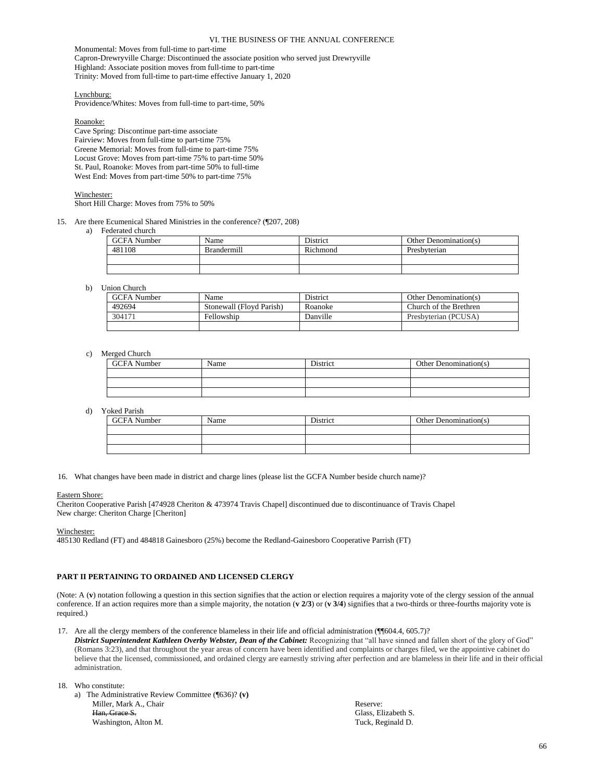Monumental: Moves from full-time to part-time Capron-Drewryville Charge: Discontinued the associate position who served just Drewryville Highland: Associate position moves from full-time to part-time Trinity: Moved from full-time to part-time effective January 1, 2020

Lynchburg:

Providence/Whites: Moves from full-time to part-time, 50%

Roanoke:

Cave Spring: Discontinue part-time associate Fairview: Moves from full-time to part-time 75% Greene Memorial: Moves from full-time to part-time 75% Locust Grove: Moves from part-time 75% to part-time 50% St. Paul, Roanoke: Moves from part-time 50% to full-time West End: Moves from part-time 50% to part-time 75%

Winchester:

Short Hill Charge: Moves from 75% to 50%

15. Are there Ecumenical Shared Ministries in the conference? (¶207, 208)

a) Federated church

| <b>GCFA</b> Number | Name               | <b>District</b> | Other Denomination(s) |
|--------------------|--------------------|-----------------|-----------------------|
| 481108             | <b>Brandermill</b> | Richmond        | Presbyterian          |
|                    |                    |                 |                       |
|                    |                    |                 |                       |

#### b) Union Church

| <b>GCFA</b> Number | Name                     | <b>District</b> | Other Denomination(s)  |
|--------------------|--------------------------|-----------------|------------------------|
| 492694             | Stonewall (Floyd Parish) | Roanoke         | Church of the Brethren |
| 304171             | Fellowship               | Danville        | Presbyterian (PCUSA)   |
|                    |                          |                 |                        |

#### c) Merged Church

| <b>GCFA</b> Number | Name | District | Other Denomination(s) |
|--------------------|------|----------|-----------------------|
|                    |      |          |                       |
|                    |      |          |                       |
|                    |      |          |                       |

d) Yoked Parish

| <b>GCFA</b> Number | Name | <b>District</b> | Other Denomination(s) |
|--------------------|------|-----------------|-----------------------|
|                    |      |                 |                       |
|                    |      |                 |                       |
|                    |      |                 |                       |

16. What changes have been made in district and charge lines (please list the GCFA Number beside church name)?

#### Eastern Shore:

Cheriton Cooperative Parish [474928 Cheriton & 473974 Travis Chapel] discontinued due to discontinuance of Travis Chapel New charge: Cheriton Charge [Cheriton]

Winchester:

485130 Redland (FT) and 484818 Gainesboro (25%) become the Redland-Gainesboro Cooperative Parrish (FT)

#### **PART II PERTAINING TO ORDAINED AND LICENSED CLERGY**

(Note: A (**v**) notation following a question in this section signifies that the action or election requires a majority vote of the clergy session of the annual conference. If an action requires more than a simple majority, the notation  $(v 2/3)$  or  $(v 3/4)$  signifies that a two-thirds or three-fourths majority vote is required.)

17. Are all the clergy members of the conference blameless in their life and official administration (¶¶604.4, 605.7)?

*District Superintendent Kathleen Overby Webster, Dean of the Cabinet:* Recognizing that "all have sinned and fallen short of the glory of God" (Romans 3:23), and that throughout the year areas of concern have been identified and complaints or charges filed, we the appointive cabinet do believe that the licensed, commissioned, and ordained clergy are earnestly striving after perfection and are blameless in their life and in their official administration.

18. Who constitute:

a) The Administrative Review Committee (¶636)? **(v)** Miller, Mark A., Chair Han, Grace S. Washington, Alton M.

Reserve: Glass, Elizabeth S. Tuck, Reginald D.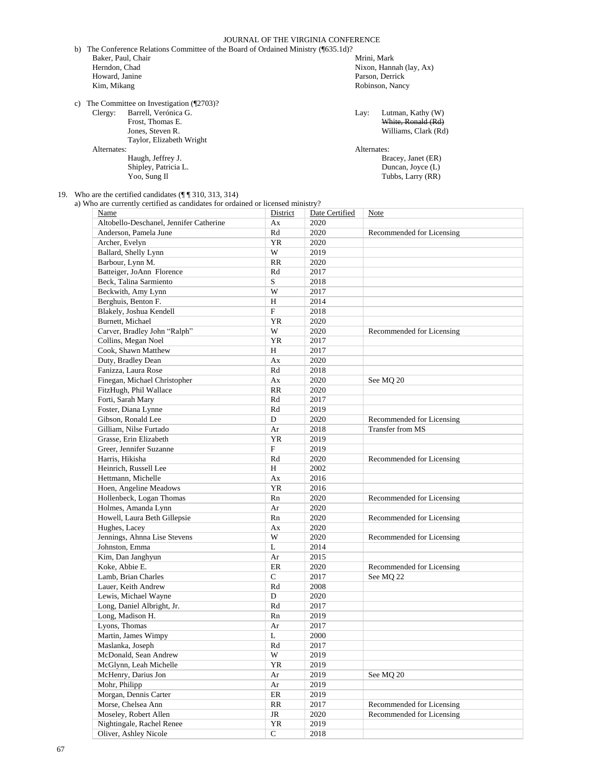JOURNAL OF THE VIRGINIA CONFERENCE b) The Conference Relations Committee of the Board of Ordained Ministry (¶635.1d)? Baker, Paul, Chair Herndon, Chad Howard, Janine Kim, Mikang Mrini, Mark Nixon, Hannah (lay, Ax) Parson, Derrick Robinson, Nancy c) The Committee on Investigation (¶2703)? Clergy: Barrell, Verónica G. Frost, Thomas E. Jones, Steven R. Taylor, Elizabeth Wright Alternates: Haugh, Jeffrey J. Shipley, Patricia L. Yoo, Sung Il Lay: Lutman, Kathy (W) White, Ronald (Rd) Williams, Clark (Rd) Alternates: Bracey, Janet (ER) Duncan, Joyce (L) Tubbs, Larry (RR)

19. Who are the certified candidates (¶ ¶ 310, 313, 314)

a) Who are currently certified as candidates for ordained or licensed ministry?

| Name                                       | District    | Date Certified | Note                      |
|--------------------------------------------|-------------|----------------|---------------------------|
| Altobello-Deschanel, Jennifer Catherine    | Ax          | 2020           |                           |
| Anderson, Pamela June                      | Rd          | 2020           | Recommended for Licensing |
| Archer, Evelyn                             | YR          | 2020           |                           |
| Ballard, Shelly Lynn                       | W           | 2019           |                           |
| Barbour, Lynn M.                           | RR          | 2020           |                           |
| Batteiger, JoAnn Florence                  | Rd          | 2017           |                           |
| Beck, Talina Sarmiento                     | S           | 2018           |                           |
| Beckwith, Amy Lynn                         | W           | 2017           |                           |
| Berghuis, Benton F.                        | H           | 2014           |                           |
| Blakely, Joshua Kendell                    | F           | 2018           |                           |
| <b>Burnett</b> , Michael                   | YR          | 2020           |                           |
| Carver, Bradley John "Ralph"               | W           | 2020           | Recommended for Licensing |
|                                            | YR          | 2017           |                           |
| Collins, Megan Noel<br>Cook, Shawn Matthew | H           | 2017           |                           |
|                                            |             |                |                           |
| Duty, Bradley Dean                         | Ax          | 2020           |                           |
| Fanizza, Laura Rose                        | Rd          | 2018           |                           |
| Finegan, Michael Christopher               | Ax          | 2020           | See MQ 20                 |
| FitzHugh, Phil Wallace                     | RR          | 2020           |                           |
| Forti, Sarah Mary                          | Rd          | 2017           |                           |
| Foster, Diana Lynne                        | Rd          | 2019           |                           |
| Gibson, Ronald Lee                         | D           | 2020           | Recommended for Licensing |
| Gilliam, Nilse Furtado                     | Ar          | 2018           | Transfer from MS          |
| Grasse, Erin Elizabeth                     | YR          | 2019           |                           |
| Greer, Jennifer Suzanne                    | $\mathbf F$ | 2019           |                           |
| Harris, Hikisha                            | Rd          | 2020           | Recommended for Licensing |
| Heinrich, Russell Lee                      | H           | 2002           |                           |
| Hettmann, Michelle                         | Ax          | 2016           |                           |
| Hoen, Angeline Meadows                     | YR          | 2016           |                           |
| Hollenbeck, Logan Thomas                   | Rn          | 2020           | Recommended for Licensing |
| Holmes, Amanda Lynn                        | Ar          | 2020           |                           |
| Howell, Laura Beth Gillepsie               | Rn          | 2020           | Recommended for Licensing |
| Hughes, Lacey                              | Ax          | 2020           |                           |
| Jennings, Ahnna Lise Stevens               | W           | 2020           | Recommended for Licensing |
| Johnston, Emma                             | L           | 2014           |                           |
| Kim, Dan Janghyun                          | Ar          | 2015           |                           |
| Koke, Abbie E.                             | ER          | 2020           | Recommended for Licensing |
| Lamb, Brian Charles                        | $\mathbf C$ | 2017           | See MQ 22                 |
| Lauer, Keith Andrew                        | Rd          | 2008           |                           |
| Lewis, Michael Wayne                       | D           | 2020           |                           |
| Long, Daniel Albright, Jr.                 | Rd          | 2017           |                           |
| Long, Madison H.                           | Rn          | 2019           |                           |
| Lyons, Thomas                              | Ar          | 2017           |                           |
| Martin, James Wimpy                        | L           | 2000           |                           |
| Maslanka, Joseph                           | Rd          | 2017           |                           |
| McDonald, Sean Andrew                      | W           | 2019           |                           |
| McGlynn, Leah Michelle                     | YR          | 2019           |                           |
| McHenry, Darius Jon                        | Ar          | 2019           | See MO <sub>20</sub>      |
| Mohr, Philipp                              | Ar          | 2019           |                           |
| Morgan, Dennis Carter                      | $\rm ER$    | 2019           |                           |
| Morse, Chelsea Ann                         | RR          | 2017           | Recommended for Licensing |
| Moseley, Robert Allen                      | JR          | 2020           | Recommended for Licensing |
| Nightingale, Rachel Renee                  | YR          | 2019           |                           |
| Oliver, Ashley Nicole                      | $\mathbf C$ | 2018           |                           |
|                                            |             |                |                           |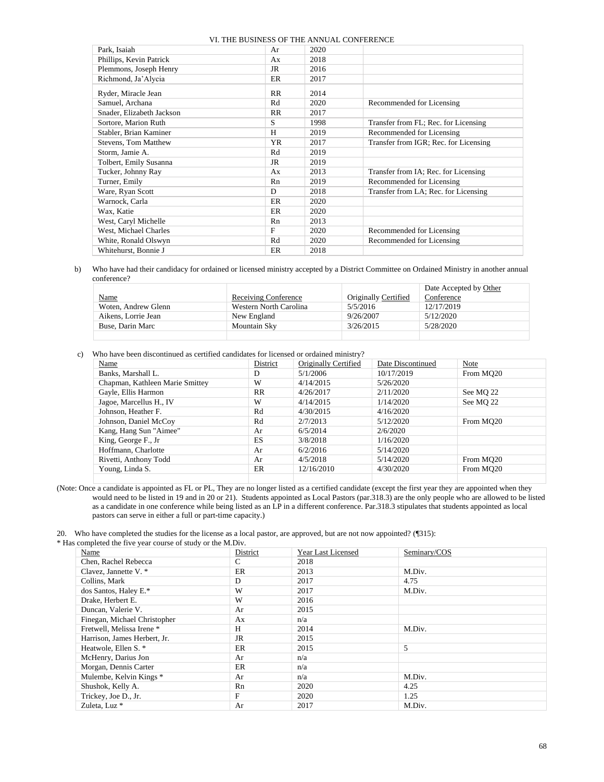|                             |           | VI. THE BUSINESS OF THE ANNUAL CONFERENCE |                                       |
|-----------------------------|-----------|-------------------------------------------|---------------------------------------|
| Park, Isaiah                | Ar        | 2020                                      |                                       |
| Phillips, Kevin Patrick     | Ax        | 2018                                      |                                       |
| Plemmons, Joseph Henry      | JR        | 2016                                      |                                       |
| Richmond, Ja'Alycia         | ER        | 2017                                      |                                       |
| Ryder, Miracle Jean         | <b>RR</b> | 2014                                      |                                       |
| Samuel, Archana             | Rd        | 2020                                      | Recommended for Licensing             |
| Snader, Elizabeth Jackson   | <b>RR</b> | 2017                                      |                                       |
| Sortore, Marion Ruth        | S         | 1998                                      | Transfer from FL; Rec. for Licensing  |
| Stabler, Brian Kaminer      | H         | 2019                                      | Recommended for Licensing             |
| <b>Stevens, Tom Matthew</b> | YR        | 2017                                      | Transfer from IGR; Rec. for Licensing |
| Storm, Jamie A.             | Rd        | 2019                                      |                                       |
| Tolbert, Emily Susanna      | JR        | 2019                                      |                                       |
| Tucker, Johnny Ray          | Ax        | 2013                                      | Transfer from IA; Rec. for Licensing  |
| Turner, Emily               | Rn        | 2019                                      | Recommended for Licensing             |
| Ware, Ryan Scott            | D         | 2018                                      | Transfer from LA; Rec. for Licensing  |
| Warnock, Carla              | ER        | 2020                                      |                                       |
| Wax, Katie                  | ER        | 2020                                      |                                       |
| West, Caryl Michelle        | Rn        | 2013                                      |                                       |
| West, Michael Charles       | F         | 2020                                      | Recommended for Licensing             |
| White, Ronald Olswyn        | Rd        | 2020                                      | Recommended for Licensing             |
| Whitehurst, Bonnie J        | ER        | 2018                                      |                                       |

b) Who have had their candidacy for ordained or licensed ministry accepted by a District Committee on Ordained Ministry in another annual conference?

|                     |                        |                      | Date Accepted by Other |
|---------------------|------------------------|----------------------|------------------------|
| <b>Name</b>         | Receiving Conference   | Originally Certified | Conference             |
| Woten, Andrew Glenn | Western North Carolina | 5/5/2016             | 12/17/2019             |
| Aikens, Lorrie Jean | New England            | 9/26/2007            | 5/12/2020              |
| Buse, Darin Marc    | <b>Mountain Sky</b>    | 3/26/2015            | 5/28/2020              |
|                     |                        |                      |                        |

c) Who have been discontinued as certified candidates for licensed or ordained ministry?

| Name                            | District  | Originally Certified | Date Discontinued | Note                  |
|---------------------------------|-----------|----------------------|-------------------|-----------------------|
| Banks, Marshall L.              | D         | 5/1/2006             | 10/17/2019        | From MO <sub>20</sub> |
| Chapman, Kathleen Marie Smittey | W         | 4/14/2015            | 5/26/2020         |                       |
| Gayle, Ellis Harmon             | RR        | 4/26/2017            | 2/11/2020         | See MQ 22             |
| Jagoe, Marcellus H., IV         | W         | 4/14/2015            | 1/14/2020         | See MO 22             |
| Johnson, Heather F.             | Rd        | 4/30/2015            | 4/16/2020         |                       |
| Johnson, Daniel McCoy           | Rd        | 2/7/2013             | 5/12/2020         | From MO <sub>20</sub> |
| Kang, Hang Sun "Aimee"          | Ar        | 6/5/2014             | 2/6/2020          |                       |
| King, George F., Jr             | <b>ES</b> | 3/8/2018             | 1/16/2020         |                       |
| Hoffmann, Charlotte             | Ar        | 6/2/2016             | 5/14/2020         |                       |
| Rivetti, Anthony Todd           | Ar        | 4/5/2018             | 5/14/2020         | From MO <sub>20</sub> |
| Young, Linda S.                 | ER        | 12/16/2010           | 4/30/2020         | From MO <sub>20</sub> |
|                                 |           |                      |                   |                       |

(Note: Once a candidate is appointed as FL or PL, They are no longer listed as a certified candidate (except the first year they are appointed when they would need to be listed in 19 and in 20 or 21). Students appointed as Local Pastors (par.318.3) are the only people who are allowed to be listed as a candidate in one conference while being listed as an LP in a different conference. Par.318.3 stipulates that students appointed as local pastors can serve in either a full or part-time capacity.)

20. Who have completed the studies for the license as a local pastor, are approved, but are not now appointed? (¶315):

\* Has completed the five year course of study or the M.Div.

| Name                         | District | Year Last Licensed | Seminary/COS |
|------------------------------|----------|--------------------|--------------|
| Chen, Rachel Rebecca         | C        | 2018               |              |
| Clavez, Jannette V. *        | ER       | 2013               | M.Div.       |
| Collins, Mark                | D        | 2017               | 4.75         |
| dos Santos, Haley E.*        | W        | 2017               | M.Div.       |
| Drake, Herbert E.            | W        | 2016               |              |
| Duncan, Valerie V.           | Ar       | 2015               |              |
| Finegan, Michael Christopher | Ax       | n/a                |              |
| Fretwell, Melissa Irene *    | Н        | 2014               | M.Div.       |
| Harrison, James Herbert, Jr. | JR       | 2015               |              |
| Heatwole, Ellen S. *         | ER       | 2015               | 5            |
| McHenry, Darius Jon          | Ar       | n/a                |              |
| Morgan, Dennis Carter        | ER       | n/a                |              |
| Mulembe, Kelvin Kings*       | Ar       | n/a                | M.Div.       |
| Shushok, Kelly A.            | Rn       | 2020               | 4.25         |
| Trickey, Joe D., Jr.         | F        | 2020               | 1.25         |
| Zuleta, Luz *                | Ar       | 2017               | M.Div.       |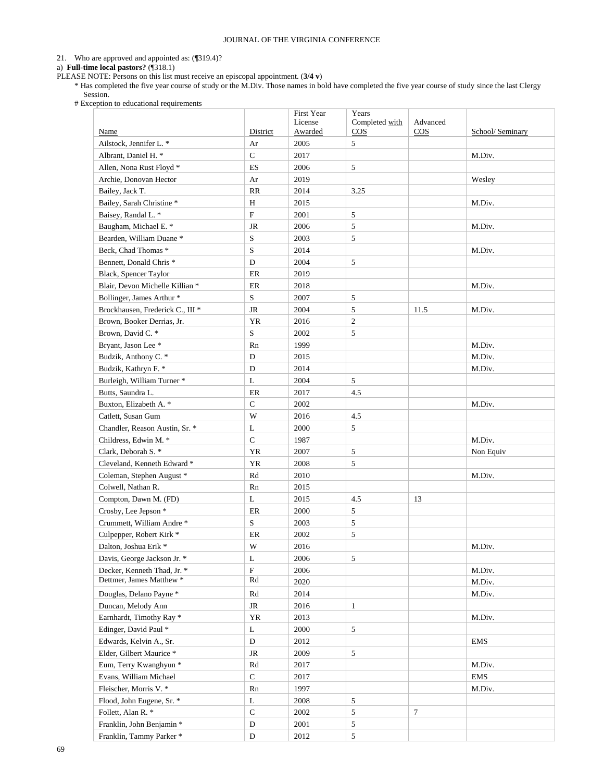#### 21. Who are approved and appointed as: (¶319.4)?

a) **Full-time local pastors?** (¶318.1)

PLEASE NOTE: Persons on this list must receive an episcopal appointment. (**3/4 v**)

\* Has completed the five year course of study or the M.Div. Those names in bold have completed the five year course of study since the last Clergy Session.

# Exception to educational requirements

|                                                     |              | First Year                | Years                    |                              |                  |
|-----------------------------------------------------|--------------|---------------------------|--------------------------|------------------------------|------------------|
| Name                                                | District     | License<br><b>Awarded</b> | Completed with<br>$\cos$ | Advanced<br>$\overline{COS}$ | School/ Seminary |
| Ailstock, Jennifer L. *                             | Ar           | 2005                      | 5                        |                              |                  |
| Albrant, Daniel H. *                                | $\mathsf{C}$ | 2017                      |                          |                              | M.Div.           |
| Allen, Nona Rust Floyd *                            | ES           | 2006                      | 5                        |                              |                  |
| Archie, Donovan Hector                              |              | 2019                      |                          |                              |                  |
|                                                     | Ar           |                           |                          |                              | Wesley           |
| Bailey, Jack T.                                     | RR           | 2014                      | 3.25                     |                              |                  |
| Bailey, Sarah Christine*                            | $\, {\rm H}$ | 2015                      |                          |                              | M.Div.           |
| Baisey, Randal L. *                                 | $\mathbf{F}$ | 2001                      | 5                        |                              |                  |
| Baugham, Michael E. *                               | <b>JR</b>    | 2006                      | 5                        |                              | M.Div.           |
| Bearden, William Duane*                             | S            | 2003                      | 5                        |                              |                  |
| Beck, Chad Thomas *                                 | S            | 2014                      |                          |                              | M.Div.           |
| Bennett, Donald Chris <sup>*</sup>                  | D            | 2004                      | 5                        |                              |                  |
| Black, Spencer Taylor                               | $\rm ER$     | 2019                      |                          |                              |                  |
| Blair, Devon Michelle Killian *                     | $\rm ER$     | 2018                      |                          |                              | M.Div.           |
| Bollinger, James Arthur *                           | S            | 2007                      | 5                        |                              |                  |
| Brockhausen, Frederick C., III <sup>*</sup>         | JR           | 2004                      | 5                        | 11.5                         | M.Div.           |
| Brown, Booker Derrias, Jr.                          | YR           | 2016                      | $\overline{c}$           |                              |                  |
| Brown, David C. *                                   | S            | 2002                      | 5                        |                              |                  |
| Bryant, Jason Lee *                                 | Rn           | 1999                      |                          |                              | M.Div.           |
| Budzik, Anthony C. *                                | D            | 2015                      |                          |                              | M.Div.           |
| Budzik, Kathryn F. *                                | D            | 2014                      |                          |                              | M.Div.           |
| Burleigh, William Turner *                          | L            | 2004                      | 5                        |                              |                  |
| Butts, Saundra L.                                   | ER           | 2017                      | 4.5                      |                              |                  |
| Buxton, Elizabeth A. *                              | $\mathbf C$  | 2002                      |                          |                              | M.Div.           |
| Catlett, Susan Gum                                  | W            | 2016                      | 4.5                      |                              |                  |
| Chandler, Reason Austin, Sr. *                      | L            | 2000                      | 5                        |                              |                  |
| Childress, Edwin M. *                               | $\mathbf C$  | 1987                      |                          |                              | M.Div.           |
| Clark, Deborah S. *                                 | YR           | 2007                      | 5                        |                              | Non Equiv        |
| Cleveland, Kenneth Edward *                         | <b>YR</b>    | 2008                      | 5                        |                              |                  |
| Coleman, Stephen August *                           | Rd           | 2010                      |                          |                              | M.Div.           |
| Colwell, Nathan R.                                  | Rn           | 2015                      |                          |                              |                  |
| Compton, Dawn M. (FD)                               | L            | 2015                      | 4.5                      | 13                           |                  |
| Crosby, Lee Jepson *                                | ER           | 2000                      | 5                        |                              |                  |
| Crummett, William Andre*                            | S            | 2003                      | 5                        |                              |                  |
| Culpepper, Robert Kirk *                            | ER           | 2002                      | 5                        |                              |                  |
| Dalton, Joshua Erik *                               | W            | 2016                      |                          |                              | M.Div.           |
| Davis, George Jackson Jr. *                         | L            | 2006                      | 5                        |                              |                  |
| Decker, Kenneth Thad, Jr. *                         | $_{\rm F}$   | 2006                      |                          |                              | M.Div.           |
| Dettmer, James Matthew *                            | Rd           | 2020                      |                          |                              | M.Div.           |
| Douglas, Delano Payne *                             | Rd           | 2014                      |                          |                              | M.Div.           |
| Duncan, Melody Ann                                  | JR           | 2016                      | $\mathbf{1}$             |                              |                  |
| Earnhardt, Timothy Ray *                            | YR           | 2013                      |                          |                              | M.Div.           |
| Edinger, David Paul *                               | L            | 2000                      | 5                        |                              |                  |
|                                                     | $\mathbf D$  | 2012                      |                          |                              |                  |
| Edwards, Kelvin A., Sr.<br>Elder, Gilbert Maurice * | $\rm JR$     | 2009                      |                          |                              | <b>EMS</b>       |
|                                                     |              |                           | 5                        |                              |                  |
| Eum, Terry Kwanghyun *                              | Rd           | 2017                      |                          |                              | M.Div.           |
| Evans, William Michael                              | ${\bf C}$    | 2017                      |                          |                              | <b>EMS</b>       |
| Fleischer, Morris V. *                              | Rn           | 1997                      |                          |                              | M.Div.           |
| Flood, John Eugene, Sr. *                           | L            | 2008                      | 5                        |                              |                  |
| Follett, Alan R. *                                  | ${\bf C}$    | 2002                      | 5                        | 7                            |                  |
| Franklin, John Benjamin *                           | $\mathbf D$  | 2001                      | 5                        |                              |                  |
| Franklin, Tammy Parker *                            | D            | 2012                      | 5                        |                              |                  |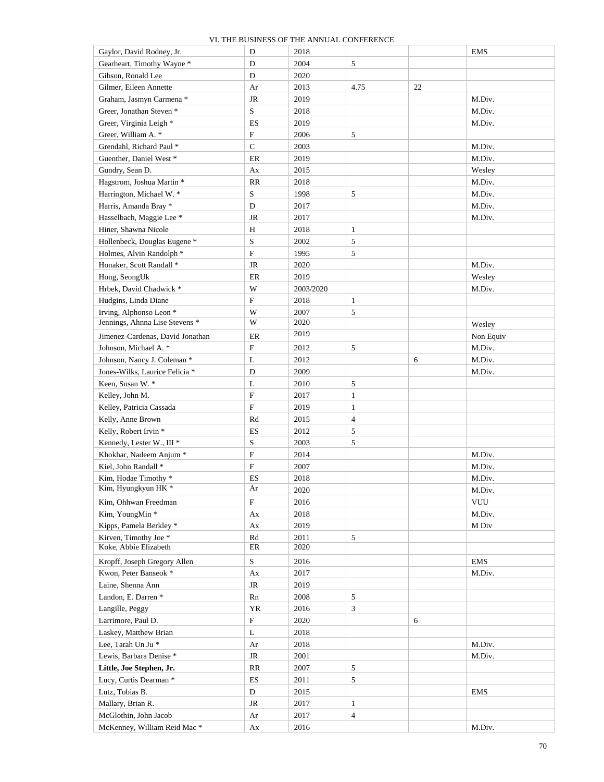| Gaylor, David Rodney, Jr.          | D                         | 2018      |              |    | <b>EMS</b> |
|------------------------------------|---------------------------|-----------|--------------|----|------------|
| Gearheart, Timothy Wayne *         | D                         | 2004      | 5            |    |            |
| Gibson, Ronald Lee                 | D                         | 2020      |              |    |            |
| Gilmer, Eileen Annette             | Ar                        | 2013      | 4.75         | 22 |            |
| Graham, Jasmyn Carmena *           | JR                        | 2019      |              |    | M.Div.     |
| Greer, Jonathan Steven *           | ${\bf S}$                 | 2018      |              |    | M.Div.     |
| Greer, Virginia Leigh *            | ES                        | 2019      |              |    | M.Div.     |
| Greer, William A. *                | F                         | 2006      | 5            |    |            |
| Grendahl, Richard Paul *           | $\mathbf C$               | 2003      |              |    | M.Div.     |
| Guenther, Daniel West *            | ER                        | 2019      |              |    | M.Div.     |
| Gundry, Sean D.                    | Ax                        | 2015      |              |    | Wesley     |
| Hagstrom, Joshua Martin *          | RR                        | 2018      |              |    | M.Div.     |
| Harrington, Michael W. *           | S                         | 1998      | 5            |    | M.Div.     |
| Harris, Amanda Bray *              | D                         | 2017      |              |    | M.Div.     |
| Hasselbach, Maggie Lee *           | JR                        | 2017      |              |    | M.Div.     |
| Hiner, Shawna Nicole               | Η                         | 2018      | 1            |    |            |
| Hollenbeck, Douglas Eugene *       | S                         | 2002      | 5            |    |            |
| Holmes, Alvin Randolph *           | F                         | 1995      | 5            |    |            |
| Honaker, Scott Randall *           | JR                        | 2020      |              |    | M.Div.     |
| Hong, SeongUk                      | ER                        | 2019      |              |    | Wesley     |
| Hrbek, David Chadwick *            | W                         | 2003/2020 |              |    | M.Div.     |
| Hudgins, Linda Diane               | F                         | 2018      | 1            |    |            |
| Irving, Alphonso Leon <sup>*</sup> | W                         | 2007      | 5            |    |            |
| Jennings, Ahnna Lise Stevens *     | W                         | 2020      |              |    | Wesley     |
| Jimenez-Cardenas, David Jonathan   | ER                        | 2019      |              |    | Non Equiv  |
| Johnson, Michael A. *              | $\boldsymbol{\mathrm{F}}$ | 2012      | 5            |    | M.Div.     |
| Johnson, Nancy J. Coleman *        | L                         | 2012      |              | 6  | M.Div.     |
| Jones-Wilks, Laurice Felicia *     | D                         | 2009      |              |    | M.Div.     |
| Keen, Susan W. *                   | L                         | 2010      | 5            |    |            |
| Kelley, John M.                    | $\boldsymbol{\mathrm{F}}$ | 2017      | 1            |    |            |
| Kelley, Patricia Cassada           | ${\rm F}$                 | 2019      | $\mathbf{1}$ |    |            |
| Kelly, Anne Brown                  | Rd                        | 2015      | 4            |    |            |
| Kelly, Robert Irvin *              | ES                        | 2012      | 5            |    |            |
| Kennedy, Lester W., III *          | S                         | 2003      | 5            |    |            |
| Khokhar, Nadeem Anjum *            | $\boldsymbol{\mathrm{F}}$ | 2014      |              |    | M.Div.     |
| Kiel, John Randall *               | F                         | 2007      |              |    | M.Div.     |
| Kim, Hodae Timothy *               | ES                        | 2018      |              |    | M.Div.     |
| Kim, Hyungkyun HK *                | Ar                        | 2020      |              |    | M.Div.     |
| Kim, Ohhwan Freedman               | F                         | 2016      |              |    | VUU        |
| Kim, YoungMin *                    | Ax                        | 2018      |              |    | M.Div.     |
| Kipps, Pamela Berkley *            | Ax                        | 2019      |              |    | M Div      |
| Kirven, Timothy Joe *              | Rd                        | 2011      | 5            |    |            |
| Koke, Abbie Elizabeth              | $\rm ER$                  | 2020      |              |    |            |
| Kropff, Joseph Gregory Allen       | ${\bf S}$                 | 2016      |              |    | EMS        |
| Kwon, Peter Banseok *              | Ax                        | 2017      |              |    | M.Div.     |
| Laine, Shenna Ann                  | JR                        | 2019      |              |    |            |
| Landon, E. Darren *                | Rn                        | 2008      | 5            |    |            |
| Langille, Peggy                    | YR                        | 2016      | 3            |    |            |
| Larrimore, Paul D.                 | $\mathbf F$               | 2020      |              | 6  |            |
| Laskey, Matthew Brian              | L                         | 2018      |              |    |            |
| Lee, Tarah Un Ju *                 | Ar                        | 2018      |              |    | M.Div.     |
| Lewis, Barbara Denise*             | JR                        | 2001      |              |    | M.Div.     |
| Little, Joe Stephen, Jr.           | RR                        | 2007      | 5            |    |            |
| Lucy, Curtis Dearman *             | ES                        | 2011      | 5            |    |            |
| Lutz, Tobias B.                    | D                         | 2015      |              |    | EMS        |
| Mallary, Brian R.                  | JR                        | 2017      | $\mathbf{1}$ |    |            |
| McGlothin, John Jacob              | Ar                        | 2017      | 4            |    |            |
| McKenney, William Reid Mac*        | Ax                        | 2016      |              |    | M.Div.     |
|                                    |                           |           |              |    |            |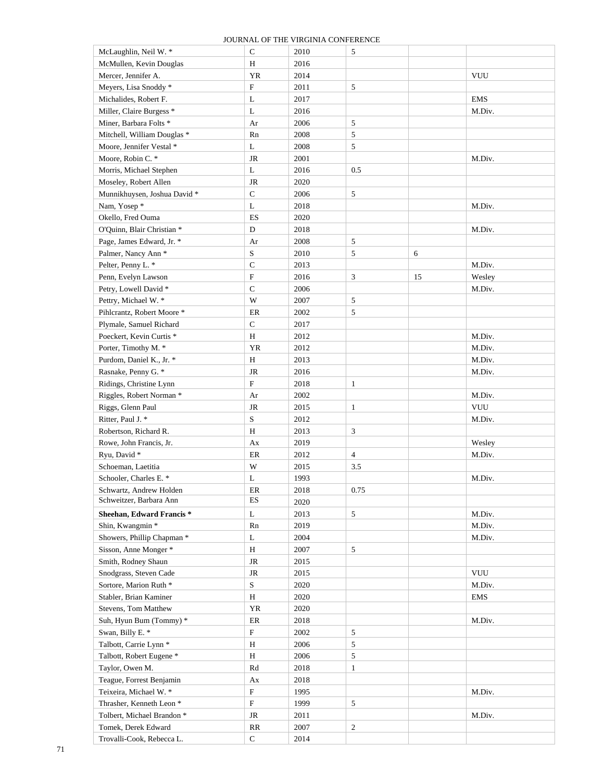| McLaughlin, Neil W. *                | $\mathbf C$  | 2010 | 5              |    |            |
|--------------------------------------|--------------|------|----------------|----|------------|
| McMullen, Kevin Douglas              | Η            | 2016 |                |    |            |
| Mercer, Jennifer A.                  | <b>YR</b>    | 2014 |                |    | <b>VUU</b> |
| Meyers, Lisa Snoddy *                | $\rm F$      | 2011 | 5              |    |            |
| Michalides, Robert F.                | L            | 2017 |                |    | <b>EMS</b> |
| Miller, Claire Burgess <sup>*</sup>  | L            | 2016 |                |    | M.Div.     |
| Miner, Barbara Folts *               | Ar           | 2006 | 5              |    |            |
| Mitchell, William Douglas *          | Rn           | 2008 | 5              |    |            |
| Moore, Jennifer Vestal *             |              |      |                |    |            |
|                                      | L            | 2008 | 5              |    |            |
| Moore, Robin C. *                    | $\rm JR$     | 2001 |                |    | M.Div.     |
| Morris, Michael Stephen              | L            | 2016 | 0.5            |    |            |
| Moseley, Robert Allen                | <b>JR</b>    | 2020 |                |    |            |
| Munnikhuysen, Joshua David *         | $\mathbf C$  | 2006 | 5              |    |            |
| Nam, Yosep*                          | L            | 2018 |                |    | M.Div.     |
| Okello, Fred Ouma                    | ES           | 2020 |                |    |            |
| O'Quinn, Blair Christian *           | $\mathbf D$  | 2018 |                |    | M.Div.     |
| Page, James Edward, Jr. *            | Ar           | 2008 | 5              |    |            |
| Palmer, Nancy Ann *                  | S            | 2010 | 5              | 6  |            |
| Pelter, Penny L. *                   | $\mathsf{C}$ | 2013 |                |    | M.Div.     |
| Penn, Evelyn Lawson                  | $\rm F$      | 2016 | 3              | 15 | Wesley     |
| Petry, Lowell David *                | $\mathbf C$  | 2006 |                |    | M.Div.     |
| Pettry, Michael W. *                 | W            | 2007 | 5              |    |            |
| Pihlcrantz, Robert Moore *           | ER           | 2002 | 5              |    |            |
| Plymale, Samuel Richard              | $\mathbf C$  | 2017 |                |    |            |
| Poeckert, Kevin Curtis *             | $\, {\rm H}$ | 2012 |                |    | M.Div.     |
|                                      | <b>YR</b>    | 2012 |                |    |            |
| Porter, Timothy M. *                 |              |      |                |    | M.Div.     |
| Purdom, Daniel K., Jr. *             | $\, {\rm H}$ | 2013 |                |    | M.Div.     |
| Rasnake, Penny G. *                  | $\rm JR$     | 2016 |                |    | M.Div.     |
| Ridings, Christine Lynn              | $\rm F$      | 2018 | $\mathbf{1}$   |    |            |
| Riggles, Robert Norman *             | Ar           | 2002 |                |    | M.Div.     |
| Riggs, Glenn Paul                    | $\rm JR$     | 2015 | $\mathbf{1}$   |    | <b>VUU</b> |
| Ritter, Paul J. *                    | $\mathbf S$  | 2012 |                |    | M.Div.     |
| Robertson, Richard R.                | $\, {\rm H}$ | 2013 | 3              |    |            |
| Rowe, John Francis, Jr.              | Ax           | 2019 |                |    | Wesley     |
| Ryu, David *                         | $\rm ER$     | 2012 | $\overline{4}$ |    | M.Div.     |
| Schoeman, Laetitia                   | W            | 2015 | 3.5            |    |            |
| Schooler, Charles E. *               | L            | 1993 |                |    | M.Div.     |
| Schwartz, Andrew Holden              | ER           | 2018 | 0.75           |    |            |
| Schweitzer, Barbara Ann              | ES           | 2020 |                |    |            |
| Sheehan, Edward Francis <sup>*</sup> | L            | 2013 | $\sqrt{5}$     |    | M.Div.     |
| Shin, Kwangmin *                     | Rn           | 2019 |                |    | M.Div.     |
| Showers, Phillip Chapman *           | L            | 2004 |                |    | M.Div.     |
| Sisson, Anne Monger *                | $\, {\rm H}$ | 2007 | 5              |    |            |
| Smith, Rodney Shaun                  | $\rm JR$     | 2015 |                |    |            |
|                                      |              |      |                |    |            |
| Snodgrass, Steven Cade               | JR           | 2015 |                |    | <b>VUU</b> |
| Sortore, Marion Ruth *               | $\mathbf S$  | 2020 |                |    | M.Div.     |
| Stabler, Brian Kaminer               | $\, {\rm H}$ | 2020 |                |    | <b>EMS</b> |
| Stevens, Tom Matthew                 | YR           | 2020 |                |    |            |
| Suh, Hyun Bum (Tommy) *              | $\rm ER$     | 2018 |                |    | M.Div.     |
| Swan, Billy E. *                     | $\mathbf F$  | 2002 | 5              |    |            |
| Talbott, Carrie Lynn *               | $\, {\rm H}$ | 2006 | 5              |    |            |
| Talbott, Robert Eugene*              | $\, {\rm H}$ | 2006 | 5              |    |            |
| Taylor, Owen M.                      | Rd           | 2018 | $\mathbf{1}$   |    |            |
| Teague, Forrest Benjamin             | Ax           | 2018 |                |    |            |
| Teixeira, Michael W. *               | ${\bf F}$    | 1995 |                |    | M.Div.     |
| Thrasher, Kenneth Leon <sup>*</sup>  | $\mathbf F$  | 1999 | 5              |    |            |
| Tolbert, Michael Brandon *           | $\rm JR$     | 2011 |                |    | M.Div.     |
| Tomek, Derek Edward                  | RR           | 2007 | $\sqrt{2}$     |    |            |
| Trovalli-Cook, Rebecca L.            | $\mathsf{C}$ | 2014 |                |    |            |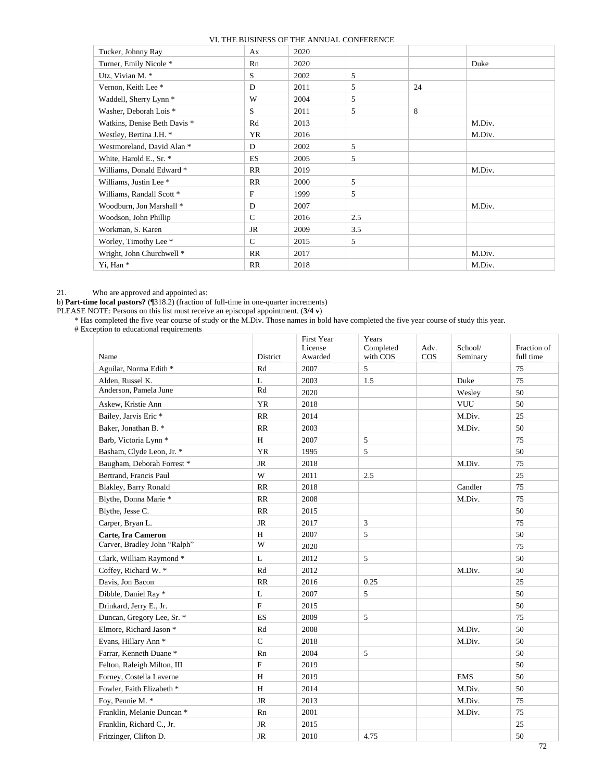| Tucker, Johnny Ray                | Ax            | 2020 |     |    |        |
|-----------------------------------|---------------|------|-----|----|--------|
| Turner, Emily Nicole *            | Rn            | 2020 |     |    | Duke   |
| Utz, Vivian M. *                  | S             | 2002 | 5   |    |        |
| Vernon, Keith Lee *               | D             | 2011 | 5   | 24 |        |
| Waddell, Sherry Lynn <sup>*</sup> | W             | 2004 | 5   |    |        |
| Washer, Deborah Lois <sup>*</sup> | S             | 2011 | 5   | 8  |        |
| Watkins, Denise Beth Davis *      | Rd            | 2013 |     |    | M.Div. |
| Westley, Bertina J.H. *           | <b>YR</b>     | 2016 |     |    | M.Div. |
| Westmoreland, David Alan *        | D             | 2002 | 5   |    |        |
| White, Harold E., Sr. *           | <b>ES</b>     | 2005 | 5   |    |        |
| Williams, Donald Edward *         | RR            | 2019 |     |    | M.Div. |
| Williams, Justin Lee *            | RR            | 2000 | 5   |    |        |
| Williams, Randall Scott *         | F             | 1999 | 5   |    |        |
| Woodburn, Jon Marshall *          | D             | 2007 |     |    | M.Div. |
| Woodson, John Phillip             | $\mathcal{C}$ | 2016 | 2.5 |    |        |
| Workman, S. Karen                 | <b>JR</b>     | 2009 | 3.5 |    |        |
| Worley, Timothy Lee *             | $\mathcal{C}$ | 2015 | 5   |    |        |
| Wright, John Churchwell *         | RR            | 2017 |     |    | M.Div. |
| Yi, Han*                          | RR            | 2018 |     |    | M.Div. |

#### 21. Who are approved and appointed as:

b) **Part-time local pastors?** (¶318.2) (fraction of full-time in one-quarter increments)

PLEASE NOTE: Persons on this list must receive an episcopal appointment. (**3/4 v**)

\* Has completed the five year course of study or the M.Div. Those names in bold have completed the five year course of study this year.

# Exception to educational requirements

|                                  |              | <b>First Year</b> | Years     |      |            |             |
|----------------------------------|--------------|-------------------|-----------|------|------------|-------------|
|                                  |              | License           | Completed | Adv. | School/    | Fraction of |
| Name                             | District     | Awarded           | with COS  | COS  | Seminary   | full time   |
| Aguilar, Norma Edith *           | Rd           | 2007              | 5         |      |            | 75          |
| Alden, Russel K.                 | L            | 2003              | 1.5       |      | Duke       | 75          |
| Anderson, Pamela June            | Rd           | 2020              |           |      | Wesley     | 50          |
| Askew, Kristie Ann               | <b>YR</b>    | 2018              |           |      | VUU        | 50          |
| Bailey, Jarvis Eric *            | RR           | 2014              |           |      | M.Div.     | 25          |
| Baker, Jonathan B. *             | RR           | 2003              |           |      | M.Div.     | 50          |
| Barb, Victoria Lynn <sup>*</sup> | H            | 2007              | 5         |      |            | 75          |
| Basham, Clyde Leon, Jr. *        | YR           | 1995              | 5         |      |            | 50          |
| Baugham, Deborah Forrest*        | <b>JR</b>    | 2018              |           |      | M.Div.     | 75          |
| Bertrand, Francis Paul           | W            | 2011              | 2.5       |      |            | 25          |
| Blakley, Barry Ronald            | RR           | 2018              |           |      | Candler    | 75          |
| Blythe, Donna Marie *            | <b>RR</b>    | 2008              |           |      | M.Div.     | 75          |
| Blythe, Jesse C.                 | <b>RR</b>    | 2015              |           |      |            | 50          |
| Carper, Bryan L.                 | <b>JR</b>    | 2017              | 3         |      |            | 75          |
| Carte, Ira Cameron               | H            | 2007              | 5         |      |            | 50          |
| Carver, Bradley John "Ralph"     | W            | 2020              |           |      |            | 75          |
| Clark, William Raymond *         | L            | 2012              | 5         |      |            | 50          |
| Coffey, Richard W. *             | Rd           | 2012              |           |      | M.Div.     | 50          |
| Davis, Jon Bacon                 | <b>RR</b>    | 2016              | 0.25      |      |            | 25          |
| Dibble, Daniel Ray *             | L            | 2007              | 5         |      |            | 50          |
| Drinkard, Jerry E., Jr.          | $\mathbf{F}$ | 2015              |           |      |            | 50          |
| Duncan, Gregory Lee, Sr. *       | <b>ES</b>    | 2009              | 5         |      |            | 75          |
| Elmore, Richard Jason *          | Rd           | 2008              |           |      | M.Div.     | 50          |
| Evans, Hillary Ann <sup>*</sup>  | $\mathsf{C}$ | 2018              |           |      | M.Div.     | 50          |
| Farrar, Kenneth Duane*           | Rn           | 2004              | 5         |      |            | 50          |
| Felton, Raleigh Milton, III      | $\mathbf{F}$ | 2019              |           |      |            | 50          |
| Forney, Costella Laverne         | H            | 2019              |           |      | <b>EMS</b> | 50          |
| Fowler, Faith Elizabeth *        | H            | 2014              |           |      | M.Div.     | 50          |
| Foy, Pennie M. *                 | <b>JR</b>    | 2013              |           |      | M.Div.     | 75          |
| Franklin, Melanie Duncan *       | Rn           | 2001              |           |      | M.Div.     | 75          |
| Franklin, Richard C., Jr.        | JR           | 2015              |           |      |            | 25          |
| Fritzinger, Clifton D.           | <b>JR</b>    | 2010              | 4.75      |      |            | 50          |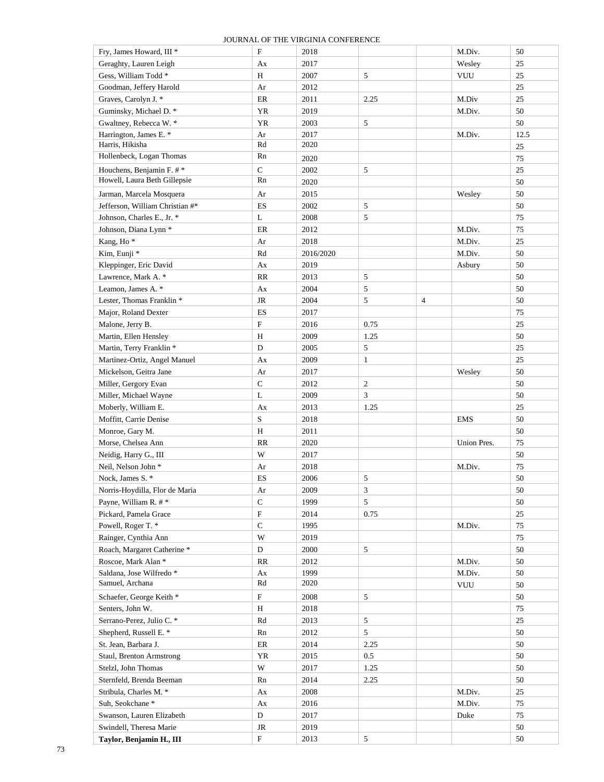| Fry, James Howard, III *                     | ${\bf F}$                | 2018         |                |                | M.Div.      | 50   |
|----------------------------------------------|--------------------------|--------------|----------------|----------------|-------------|------|
| Geraghty, Lauren Leigh                       | Ax                       | 2017         |                |                | Wesley      | 25   |
| Gess, William Todd*                          | H                        | 2007         | 5              |                | <b>VUU</b>  | 25   |
| Goodman, Jeffery Harold                      | Ar                       | 2012         |                |                |             | 25   |
| Graves, Carolyn J. *                         | $\rm ER$                 | 2011         | 2.25           |                | M.Div       | 25   |
| Guminsky, Michael D. *                       | ${\it YR}$               | 2019         |                |                | M.Div.      | 50   |
| Gwaltney, Rebecca W. *                       | YR                       | 2003         | 5              |                |             | 50   |
| Harrington, James E. *                       | Ar                       | 2017         |                |                | M.Div.      | 12.5 |
| Harris, Hikisha                              | Rd                       | 2020         |                |                |             | 25   |
| Hollenbeck, Logan Thomas                     | Rn                       | 2020         |                |                |             | 75   |
| Houchens, Benjamin F. #*                     | $\mathbf C$              | 2002         | 5              |                |             | 25   |
| Howell, Laura Beth Gillepsie                 | Rn                       | 2020         |                |                |             | 50   |
| Jarman, Marcela Mosquera                     | Ar                       | 2015         |                |                | Wesley      | 50   |
| Jefferson, William Christian #*              | $\mathop{\hbox{\rm ES}}$ | 2002         | 5              |                |             | 50   |
| Johnson, Charles E., Jr. *                   | L                        | 2008         | 5              |                |             | 75   |
| Johnson, Diana Lynn *                        | ${\rm ER}$               | 2012         |                |                | M.Div.      | 75   |
| Kang, Ho <sup>*</sup>                        | Ar                       | 2018         |                |                | M.Div.      | 25   |
| Kim, Eunji *                                 | Rd                       | 2016/2020    |                |                | M.Div.      | 50   |
|                                              |                          |              |                |                |             |      |
| Kleppinger, Eric David                       | Ax                       | 2019         |                |                | Asbury      | 50   |
| Lawrence, Mark A. *<br>Leamon, James A. *    | RR                       | 2013         | 5<br>5         |                |             | 50   |
|                                              | Ax                       | 2004         | 5              |                |             | 50   |
| Lester, Thomas Franklin <sup>*</sup>         | $\rm JR$                 | 2004         |                | $\overline{4}$ |             | 50   |
| Major, Roland Dexter                         | $\mathop{\hbox{\rm ES}}$ | 2017         |                |                |             | 75   |
| Malone, Jerry B.                             | F                        | 2016         | 0.75           |                |             | 25   |
| Martin, Ellen Hensley                        | $\rm H$                  | 2009         | 1.25           |                |             | 50   |
| Martin, Terry Franklin *                     | D                        | 2005         | 5              |                |             | 25   |
| Martinez-Ortiz, Angel Manuel                 | Ax                       | 2009         | $\mathbf{1}$   |                |             | 25   |
| Mickelson, Geitra Jane                       | Ar                       | 2017         |                |                | Wesley      | 50   |
| Miller, Gergory Evan                         | $\mathbf C$              | 2012         | $\overline{c}$ |                |             | 50   |
| Miller, Michael Wayne                        | L                        | 2009         | 3              |                |             | 50   |
| Moberly, William E.                          | Ax                       | 2013         | 1.25           |                |             | 25   |
| Moffitt, Carrie Denise                       | S                        | 2018         |                |                | <b>EMS</b>  | 50   |
| Monroe, Gary M.                              | H                        | 2011         |                |                |             | 50   |
| Morse, Chelsea Ann                           | RR<br>W                  | 2020         |                |                | Union Pres. | 75   |
| Neidig, Harry G., III<br>Neil, Nelson John * |                          | 2017         |                |                |             | 50   |
| Nock, James S. *                             | Ar                       | 2018         |                |                | M.Div.      | 75   |
|                                              | ES                       | 2006         | 5              |                |             | 50   |
| Norris-Hoydilla, Flor de Maria               | Ar<br>$\mathsf{C}$       | 2009         | 3<br>5         |                |             | 50   |
| Payne, William R. #*                         |                          | 1999         |                |                |             | 50   |
| Pickard, Pamela Grace                        | F                        | 2014         | 0.75           |                |             | 25   |
| Powell, Roger T. *                           | $\mathbf C$              | 1995         |                |                | M.Div.      | 75   |
| Rainger, Cynthia Ann                         | W                        | 2019         |                |                |             | 75   |
| Roach, Margaret Catherine *                  | D                        | 2000         | 5              |                |             | 50   |
| Roscoe, Mark Alan *                          | RR                       | 2012         |                |                | M.Div.      | 50   |
| Saldana, Jose Wilfredo *<br>Samuel, Archana  | Ax<br>Rd                 | 1999<br>2020 |                |                | M.Div.      | 50   |
|                                              |                          |              |                |                | <b>VUU</b>  | 50   |
| Schaefer, George Keith *                     | F                        | 2008         | 5              |                |             | 50   |
| Senters, John W.                             | H                        | 2018         |                |                |             | 75   |
| Serrano-Perez, Julio C. *                    | Rd                       | 2013         | 5              |                |             | 25   |
| Shepherd, Russell E. *                       | Rn                       | 2012         | 5              |                |             | 50   |
| St. Jean, Barbara J.                         | $\rm ER$                 | 2014         | 2.25           |                |             | 50   |
| Staul, Brenton Armstrong                     | YR                       | 2015         | 0.5            |                |             | 50   |
| Stelzl, John Thomas                          | W                        | 2017         | 1.25           |                |             | 50   |
| Sternfeld, Brenda Beeman                     | Rn                       | 2014         | 2.25           |                |             | 50   |
| Stribula, Charles M. *                       | Ax                       | 2008         |                |                | M.Div.      | 25   |
| Suh, Seokchane*                              | Ax                       | 2016         |                |                | M.Div.      | 75   |
| Swanson, Lauren Elizabeth                    | D                        | 2017         |                |                | Duke        | 75   |
| Swindell, Theresa Marie                      | JR                       | 2019         |                |                |             | 50   |
| Taylor, Benjamin H., III                     | ${\bf F}$                | 2013         | 5              |                |             | 50   |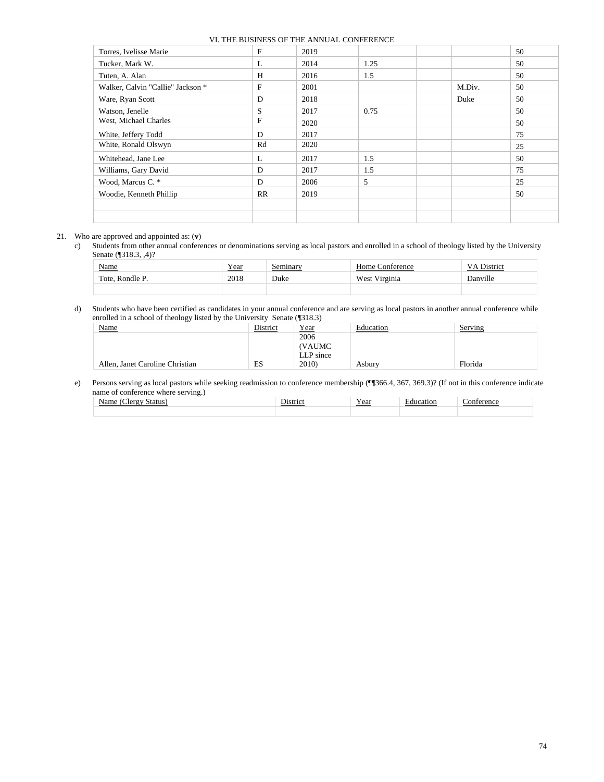| Torres, Ivelisse Marie            | F         | 2019 |      |        | 50 |
|-----------------------------------|-----------|------|------|--------|----|
| Tucker, Mark W.                   | L         | 2014 | 1.25 |        | 50 |
| Tuten, A. Alan                    | H         | 2016 | 1.5  |        | 50 |
| Walker, Calvin "Callie" Jackson * | F         | 2001 |      | M.Div. | 50 |
| Ware, Ryan Scott                  | D         | 2018 |      | Duke   | 50 |
| Watson, Jenelle                   | S         | 2017 | 0.75 |        | 50 |
| West, Michael Charles             | F         | 2020 |      |        | 50 |
| White, Jeffery Todd               | D         | 2017 |      |        | 75 |
| White, Ronald Olswyn              | Rd        | 2020 |      |        | 25 |
| Whitehead, Jane Lee               | L         | 2017 | 1.5  |        | 50 |
| Williams, Gary David              | D         | 2017 | 1.5  |        | 75 |
| Wood, Marcus C. *                 | D         | 2006 | 5    |        | 25 |
| Woodie, Kenneth Phillip           | <b>RR</b> | 2019 |      |        | 50 |
|                                   |           |      |      |        |    |
|                                   |           |      |      |        |    |

#### 21. Who are approved and appointed as: (**v**)

c) Students from other annual conferences or denominations serving as local pastors and enrolled in a school of theology listed by the University Senate (¶318.3, ,4)?

| Name            | Year | Seminary | Home Conference | VA District |
|-----------------|------|----------|-----------------|-------------|
| Tote, Rondle P. | 2018 | Duke     | West Virginia   | Danville    |
|                 |      |          |                 |             |

#### d) Students who have been certified as candidates in your annual conference and are serving as local pastors in another annual conference while enrolled in a school of theology listed by the University Senate (¶318.3)

| ັ<br>Name                       | District | Year      | Education | Serving |
|---------------------------------|----------|-----------|-----------|---------|
|                                 |          | 2006      |           |         |
|                                 |          | (VAUMC    |           |         |
|                                 |          | LLP since |           |         |
| Allen, Janet Caroline Christian | ES       | 2010)     | Asburv    | Florida |

#### e) Persons serving as local pastors while seeking readmission to conference membership (¶¶366.4, 367, 369.3)? (If not in this conference indicate name of conference where serving.)

| .tatı<br>., | $\sim$<br>hetri<br>$\sim$<br>Пι | - -<br>Vaar<br>1 uai | $\frac{1}{2} \left( \frac{1}{2} \right) \left( \frac{1}{2} \right) \left( \frac{1}{2} \right) \left( \frac{1}{2} \right) \left( \frac{1}{2} \right) \left( \frac{1}{2} \right) \left( \frac{1}{2} \right) \left( \frac{1}{2} \right) \left( \frac{1}{2} \right) \left( \frac{1}{2} \right) \left( \frac{1}{2} \right) \left( \frac{1}{2} \right) \left( \frac{1}{2} \right) \left( \frac{1}{2} \right) \left( \frac{1}{2} \right) \left( \frac{1}{2} \right) \left( \frac$<br>וטר |  |
|-------------|---------------------------------|----------------------|-----------------------------------------------------------------------------------------------------------------------------------------------------------------------------------------------------------------------------------------------------------------------------------------------------------------------------------------------------------------------------------------------------------------------------------------------------------------------------------|--|
|             |                                 |                      |                                                                                                                                                                                                                                                                                                                                                                                                                                                                                   |  |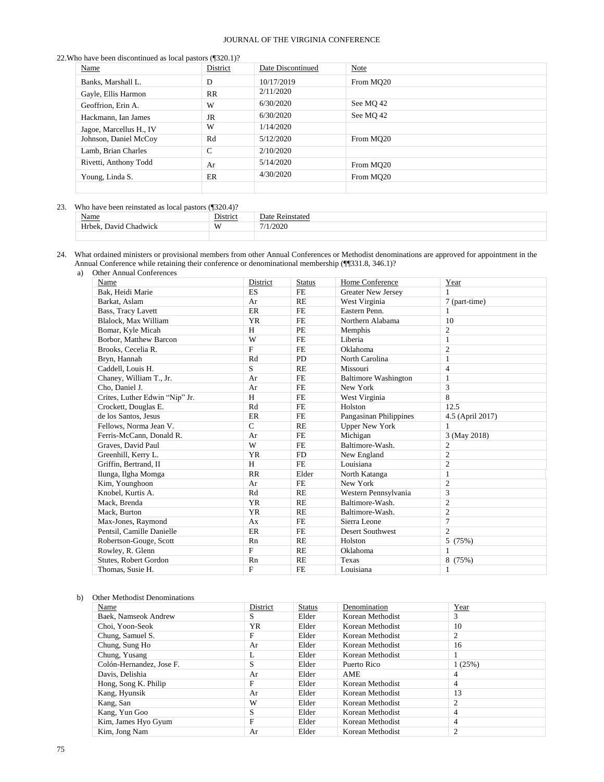#### 22.Who have been discontinued as local pastors (¶320.1)?

| Name                    | District  | Date Discontinued | Note                  |
|-------------------------|-----------|-------------------|-----------------------|
| Banks, Marshall L.      | D         | 10/17/2019        | From MO <sub>20</sub> |
| Gayle, Ellis Harmon     | <b>RR</b> | 2/11/2020         |                       |
| Geoffrion, Erin A.      | W         | 6/30/2020         | See MO 42             |
| Hackmann, Ian James     | JR        | 6/30/2020         | See MQ 42             |
| Jagoe, Marcellus H., IV | W         | 1/14/2020         |                       |
| Johnson, Daniel McCoy   | Rd        | 5/12/2020         | From MO <sub>20</sub> |
| Lamb, Brian Charles     | C         | 2/10/2020         |                       |
| Rivetti, Anthony Todd   | Ar        | 5/14/2020         | From MO <sub>20</sub> |
| Young, Linda S.         | ER        | 4/30/2020         | From MO20             |
|                         |           |                   |                       |

# 23. Who have been reinstated as local pastors (¶320.4)?

| <b>Name</b>                      | $\sim$ .<br>Jistrici | Joté<br>$\sim$ |
|----------------------------------|----------------------|----------------|
| حامطته<br>. Chadwick<br>$103777$ | W                    | രരര            |
|                                  |                      |                |

24. What ordained ministers or provisional members from other Annual Conferences or Methodist denominations are approved for appointment in the Annual Conference while retaining their conference or denominational membership (¶¶331.8, 346.1)?

a) Other Annual Conferences

| Name                           | District     | <b>Status</b> | Home Conference             | Year             |
|--------------------------------|--------------|---------------|-----------------------------|------------------|
| Bak, Heidi Marie               | ES           | <b>FE</b>     | <b>Greater New Jersey</b>   | 1                |
| Barkat, Aslam                  | Ar           | RE            | West Virginia               | 7 (part-time)    |
| Bass, Tracy Lavett             | ER           | <b>FE</b>     | Eastern Penn.               | $\mathbf{1}$     |
| Blalock, Max William           | <b>YR</b>    | <b>FE</b>     | Northern Alabama            | 10               |
| Bomar, Kyle Micah              | H            | <b>PE</b>     | Memphis                     | $\overline{2}$   |
| Borbor, Matthew Barcon         | W            | <b>FE</b>     | Liberia                     | 1                |
| Brooks, Cecelia R.             | F            | <b>FE</b>     | Oklahoma                    | $\mathfrak{2}$   |
| Bryn, Hannah                   | Rd           | <b>PD</b>     | North Carolina              | $\mathbf{1}$     |
| Caddell, Louis H.              | S            | RE            | Missouri                    | 4                |
| Chaney, William T., Jr.        | Ar           | <b>FE</b>     | <b>Baltimore Washington</b> | 1                |
| Cho, Daniel J.                 | Ar           | <b>FE</b>     | New York                    | 3                |
| Crites, Luther Edwin "Nip" Jr. | H            | <b>FE</b>     | West Virginia               | 8                |
| Crockett, Douglas E.           | Rd           | <b>FE</b>     | Holston                     | 12.5             |
| de los Santos, Jesus           | ER           | <b>FE</b>     | Pangasinan Philippines      | 4.5 (April 2017) |
| Fellows, Norma Jean V.         | $\mathsf{C}$ | <b>RE</b>     | <b>Upper New York</b>       | 1                |
| Ferris-McCann, Donald R.       | Ar           | <b>FE</b>     | Michigan                    | 3 (May 2018)     |
| Graves, David Paul             | W            | <b>FE</b>     | Baltimore-Wash.             | $\mathfrak{2}$   |
| Greenhill, Kerry L.            | <b>YR</b>    | <b>FD</b>     | New England                 | $\overline{c}$   |
| Griffin, Bertrand, II          | H            | <b>FE</b>     | Louisiana                   | $\overline{c}$   |
| Ilunga, Ilgha Momga            | RR           | Elder         | North Katanga               | $\mathbf{1}$     |
| Kim, Younghoon                 | Ar           | <b>FE</b>     | New York                    | $\overline{c}$   |
| Knobel, Kurtis A.              | Rd           | RE            | Western Pennsylvania        | 3                |
| Mack, Brenda                   | <b>YR</b>    | <b>RE</b>     | Baltimore-Wash.             | $\overline{c}$   |
| Mack, Burton                   | <b>YR</b>    | RE            | Baltimore-Wash.             | $\overline{c}$   |
| Max-Jones, Raymond             | Ax           | <b>FE</b>     | Sierra Leone                | 7                |
| Pentsil. Camille Danielle      | ER           | <b>FE</b>     | <b>Desert Southwest</b>     | $\overline{c}$   |
| Robertson-Gouge, Scott         | Rn           | RE            | Holston                     | 5<br>(75%)       |
| Rowley, R. Glenn               | F            | <b>RE</b>     | Oklahoma                    | $\mathbf{1}$     |
| Stutes, Robert Gordon          | Rn           | RE            | Texas                       | 8 (75%)          |
| Thomas, Susie H.               | F            | <b>FE</b>     | Louisiana                   | 1                |

#### b) Other Methodist Denominations

| Name                     | District  | <b>Status</b> | Denomination     | Year   |
|--------------------------|-----------|---------------|------------------|--------|
| Baek, Namseok Andrew     | S         | Elder         | Korean Methodist | 3      |
| Choi, Yoon-Seok          | <b>YR</b> | Elder         | Korean Methodist | 10     |
| Chung, Samuel S.         | F         | Elder         | Korean Methodist | 2      |
| Chung, Sung Ho           | Ar        | Elder         | Korean Methodist | 16     |
| Chung, Yusang            | L         | Elder         | Korean Methodist |        |
| Colón-Hernandez, Jose F. | S         | Elder         | Puerto Rico      | 1(25%) |
| Davis, Delishia          | Ar        | Elder         | <b>AME</b>       | 4      |
| Hong, Song K. Philip     | F         | Elder         | Korean Methodist | 4      |
| Kang, Hyunsik            | Ar        | Elder         | Korean Methodist | 13     |
| Kang, San                | W         | Elder         | Korean Methodist | 2      |
| Kang, Yun Goo            | S         | Elder         | Korean Methodist | 4      |
| Kim, James Hyo Gyum      | F         | Elder         | Korean Methodist | 4      |
| Kim, Jong Nam            | Ar        | Elder         | Korean Methodist | 2      |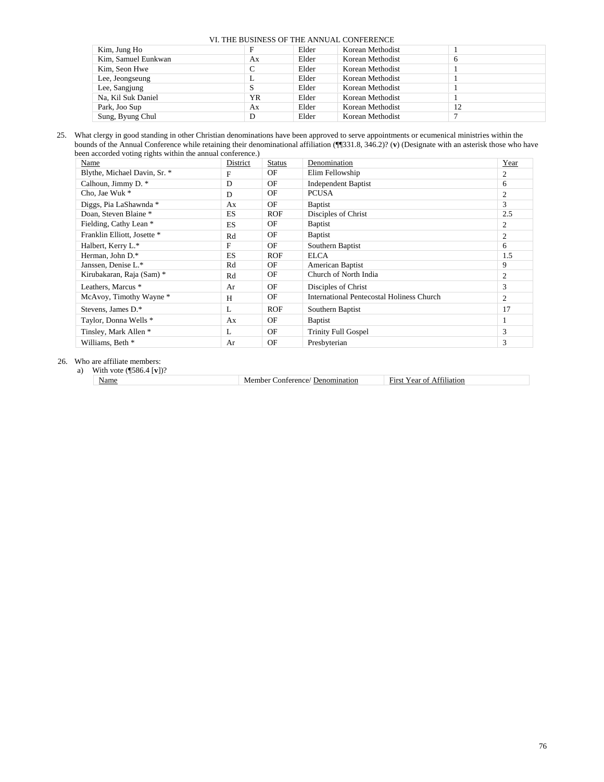| Kim, Jung Ho        |    | Elder | Korean Methodist |    |  |  |
|---------------------|----|-------|------------------|----|--|--|
| Kim, Samuel Eunkwan | Aх | Elder | Korean Methodist | h  |  |  |
| Kim, Seon Hwe       | C  | Elder | Korean Methodist |    |  |  |
| Lee, Jeongseung     | л. | Elder | Korean Methodist |    |  |  |
| Lee, Sangjung       | S  | Elder | Korean Methodist |    |  |  |
| Na, Kil Suk Daniel  | YR | Elder | Korean Methodist |    |  |  |
| Park, Joo Sup       | Ax | Elder | Korean Methodist | 12 |  |  |
| Sung, Byung Chul    | D  | Elder | Korean Methodist |    |  |  |

25. What clergy in good standing in other Christian denominations have been approved to serve appointments or ecumenical ministries within the bounds of the Annual Conference while retaining their denominational affiliation (¶¶331.8, 346.2)? (**v**) (Designate with an asterisk those who have been accorded voting rights within the annual conference.)

| Name                         | District  | <b>Status</b> | Denomination                                     | Year |
|------------------------------|-----------|---------------|--------------------------------------------------|------|
| Blythe, Michael Davin, Sr. * | F         | OF            | Elim Fellowship                                  | 2    |
| Calhoun, Jimmy D. *          | D         | OF            | <b>Independent Baptist</b>                       | 6    |
| Cho, Jae Wuk *               | D         | OF            | <b>PCUSA</b>                                     | 2    |
| Diggs, Pia LaShawnda *       | Ax        | OF            | <b>Baptist</b>                                   | 3    |
| Doan, Steven Blaine *        | ES.       | <b>ROF</b>    | Disciples of Christ                              | 2.5  |
| Fielding, Cathy Lean *       | <b>ES</b> | OF            | <b>Baptist</b>                                   | 2    |
| Franklin Elliott, Josette *  | Rd        | OF            | <b>Baptist</b>                                   | 2    |
| Halbert, Kerry L.*           | F         | OF            | Southern Baptist                                 | 6    |
| Herman, John D.*             | <b>ES</b> | <b>ROF</b>    | <b>ELCA</b>                                      | 1.5  |
| Janssen, Denise L.*          | Rd        | OF            | American Baptist                                 | 9    |
| Kirubakaran, Raja (Sam) *    | Rd        | OF            | Church of North India                            | 2    |
| Leathers, Marcus *           | Ar        | OF            | Disciples of Christ                              | 3    |
| McAvoy, Timothy Wayne *      | H         | OF            | <b>International Pentecostal Holiness Church</b> | 2    |
| Stevens, James D.*           | L         | <b>ROF</b>    | Southern Baptist                                 | 17   |
| Taylor, Donna Wells *        | Ax        | OF            | <b>Baptist</b>                                   | 1    |
| Tinsley, Mark Allen *        | L         | OF            | <b>Trinity Full Gospel</b>                       | 3    |
| Williams, Beth *             | Ar        | OF            | Presbyterian                                     | 3    |

26. Who are affiliate members:

a) With vote (¶586.4 [**v**])?

Name Member Conference/ Denomination First Year of Affiliation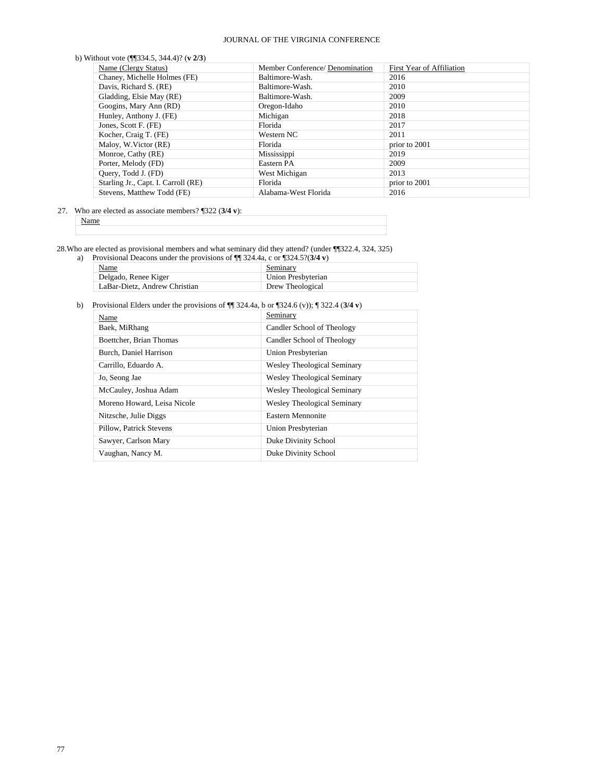| Name (Clergy Status)                | Member Conference/ Denomination | First Year of Affiliation |
|-------------------------------------|---------------------------------|---------------------------|
| Chaney, Michelle Holmes (FE)        | Baltimore-Wash.                 | 2016                      |
| Davis, Richard S. (RE)              | Baltimore-Wash.                 | 2010                      |
| Gladding, Elsie May (RE)            | Baltimore-Wash.                 | 2009                      |
| Googins, Mary Ann (RD)              | Oregon-Idaho                    | 2010                      |
| Hunley, Anthony J. (FE)             | Michigan                        | 2018                      |
| Jones, Scott F. (FE)                | Florida                         | 2017                      |
| Kocher, Craig T. (FE)               | Western NC                      | 2011                      |
| Maloy, W.Victor (RE)                | Florida                         | prior to 2001             |
| Monroe, Cathy (RE)                  | Mississippi                     | 2019                      |
| Porter, Melody (FD)                 | Eastern PA                      | 2009                      |
| Ouery, Todd J. (FD)                 | West Michigan                   | 2013                      |
| Starling Jr., Capt. I. Carroll (RE) | Florida                         | prior to 2001             |
| Stevens, Matthew Todd (FE)          | Alabama-West Florida            | 2016                      |

27. Who are elected as associate members? ¶322 (**3/4 v**):

Name

28.Who are elected as provisional members and what seminary did they attend? (under ¶¶322.4, 324, 325)

| a) | Provisional Deacons under the provisions of $\P$ 324.4a, c or $\P$ 324.5?(3/4 v) |                    |
|----|----------------------------------------------------------------------------------|--------------------|
|    | Name                                                                             | Seminary           |
|    | Delgado, Renee Kiger                                                             | Union Presbyterian |
|    | LaBar-Dietz, Andrew Christian                                                    | Drew Theological   |

b) Provisional Elders under the provisions of ¶¶ 324.4a, b or ¶324.6 (v)); ¶ 322.4 (**3/4 v**)

| Name                        | Seminary                           |
|-----------------------------|------------------------------------|
| Baek, MiRhang               | Candler School of Theology         |
| Boettcher, Brian Thomas     | Candler School of Theology         |
| Burch, Daniel Harrison      | Union Presbyterian                 |
| Carrillo, Eduardo A.        | <b>Wesley Theological Seminary</b> |
| Jo, Seong Jae               | <b>Wesley Theological Seminary</b> |
| McCauley, Joshua Adam       | <b>Wesley Theological Seminary</b> |
| Moreno Howard, Leisa Nicole | <b>Wesley Theological Seminary</b> |
| Nitzsche, Julie Diggs       | Eastern Mennonite                  |
| Pillow, Patrick Stevens     | Union Presbyterian                 |
| Sawyer, Carlson Mary        | Duke Divinity School               |
| Vaughan, Nancy M.           | Duke Divinity School               |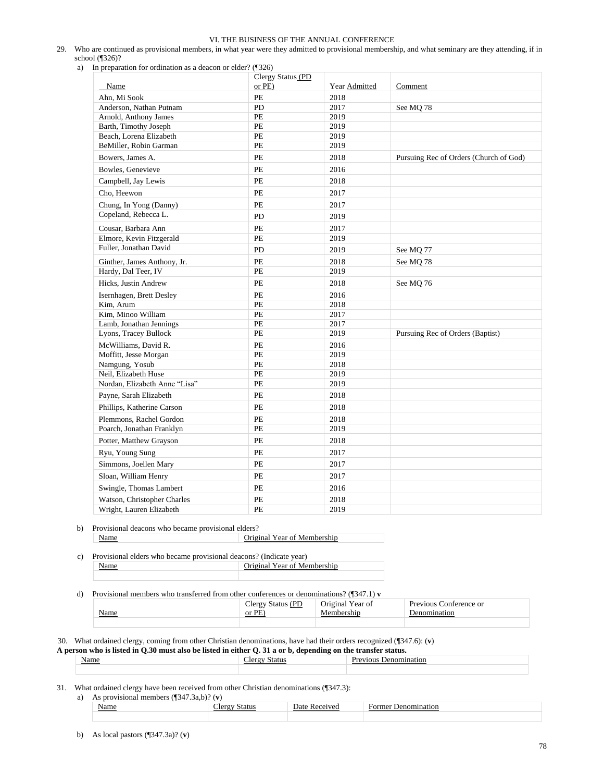- 29. Who are continued as provisional members, in what year were they admitted to provisional membership, and what seminary are they attending, if in school (¶326)?
	- a) In preparation for ordination as a deacon or elder? (¶326)

| Name                          | Clergy Status (PD<br>$or$ PE $)$ | Year Admitted | Comment                                |
|-------------------------------|----------------------------------|---------------|----------------------------------------|
| Ahn, Mi Sook                  | PE                               | 2018          |                                        |
| Anderson, Nathan Putnam       | PD                               | 2017          | See MQ 78                              |
| Arnold, Anthony James         | PE                               | 2019          |                                        |
| Barth, Timothy Joseph         | PE                               | 2019          |                                        |
| Beach, Lorena Elizabeth       | PE                               | 2019          |                                        |
| BeMiller, Robin Garman        | PE                               | 2019          |                                        |
| Bowers, James A.              | PE                               | 2018          | Pursuing Rec of Orders (Church of God) |
| Bowles, Genevieve             | $PE$                             | 2016          |                                        |
| Campbell, Jay Lewis           | PE                               | 2018          |                                        |
| Cho, Heewon                   | PE                               | 2017          |                                        |
| Chung, In Yong (Danny)        | PE                               | 2017          |                                        |
| Copeland, Rebecca L.          | PD                               | 2019          |                                        |
| Cousar, Barbara Ann           | PE                               | 2017          |                                        |
| Elmore, Kevin Fitzgerald      | PE                               | 2019          |                                        |
| Fuller, Jonathan David        | <b>PD</b>                        | 2019          | See MQ 77                              |
| Ginther, James Anthony, Jr.   | PE                               | 2018          | See MQ 78                              |
| Hardy, Dal Teer, IV           | $PE$                             | 2019          |                                        |
| Hicks, Justin Andrew          | PE                               | 2018          | See MQ 76                              |
| Isernhagen, Brett Desley      | PE                               | 2016          |                                        |
| Kim, Arum                     | PE                               | 2018          |                                        |
| Kim. Minoo William            | PE                               | 2017          |                                        |
| Lamb, Jonathan Jennings       | PE                               | 2017          |                                        |
| Lyons, Tracey Bullock         | PE                               | 2019          | Pursuing Rec of Orders (Baptist)       |
| McWilliams, David R.          | PE                               | 2016          |                                        |
| Moffitt, Jesse Morgan         | PE                               | 2019          |                                        |
| Namgung, Yosub                | <b>PE</b>                        | 2018          |                                        |
| Neil, Elizabeth Huse          | PE                               | 2019          |                                        |
| Nordan, Elizabeth Anne "Lisa" | PE                               | 2019          |                                        |
| Payne, Sarah Elizabeth        | PE                               | 2018          |                                        |
| Phillips, Katherine Carson    | PE                               | 2018          |                                        |
| Plemmons, Rachel Gordon       | PE                               | 2018          |                                        |
| Poarch, Jonathan Franklyn     | PE                               | 2019          |                                        |
| Potter, Matthew Grayson       | PE                               | 2018          |                                        |
| Ryu, Young Sung               | PE                               | 2017          |                                        |
| Simmons, Joellen Mary         | PE                               | 2017          |                                        |
| Sloan, William Henry          | $PE$                             | 2017          |                                        |
| Swingle, Thomas Lambert       | PE                               | 2016          |                                        |
| Watson, Christopher Charles   | PE                               | 2018          |                                        |
| Wright, Lauren Elizabeth      | PE                               | 2019          |                                        |

b) Provisional deacons who became provisional elders? Name **Original Year of Membership** 

c) Provisional elders who became provisional deacons? (Indicate year) Name **Original Year of Membership** 

#### d) Provisional members who transferred from other conferences or denominations? (¶347.1) **v**

|                                                           | 'DΓ<br>.lerc<br>$-10.00$<br>$-$ | ear of<br>- 149<br>◡<br>$  -$ | $\overline{\phantom{a}}$<br>ence or<br><b>Previous</b><br>`∩n. |
|-----------------------------------------------------------|---------------------------------|-------------------------------|----------------------------------------------------------------|
| Name<br><u> The Communication of the Communication of</u> | PF<br>or                        |                               | Ωľ                                                             |
|                                                           |                                 |                               |                                                                |

30. What ordained clergy, coming from other Christian denominations, have had their orders recognized (¶347.6): (**v**)

| A person who is listed in $O.30$ must also be listed in either $O.31$ a or b. depending on the transfer status. |               |                              |  |  |
|-----------------------------------------------------------------------------------------------------------------|---------------|------------------------------|--|--|
| Name                                                                                                            | "lerøy Status | <b>Previous Denomination</b> |  |  |
|                                                                                                                 |               |                              |  |  |

31. What ordained clergy have been received from other Christian denominations (¶347.3):

| a) |  |  | As provisional members $(\sqrt{347.3}a,b)$ ? (v) |  |
|----|--|--|--------------------------------------------------|--|
|----|--|--|--------------------------------------------------|--|

| - -<br>√am | ____ | -<br>- Jate<br>$\eta$ | эm<br>זו<br>m<br>. . |
|------------|------|-----------------------|----------------------|
|            |      |                       |                      |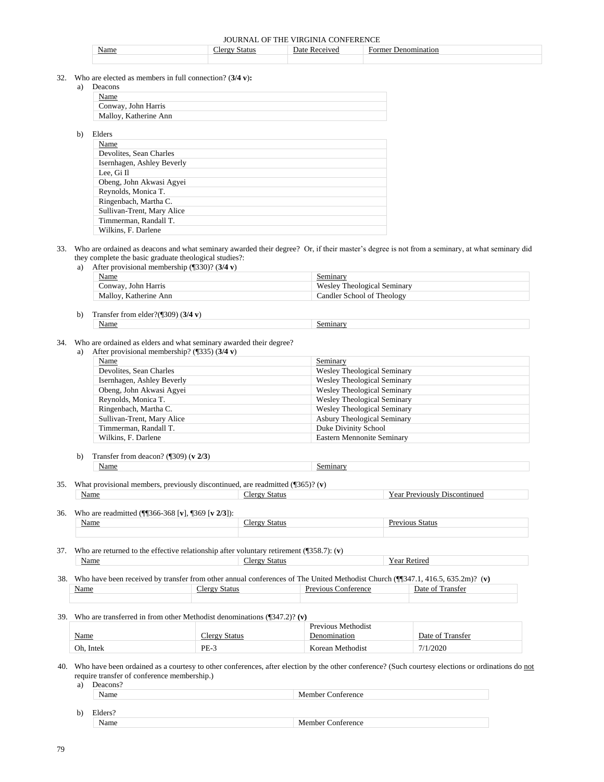|  |  |  |  | JOURNAL OF THE VIRGINIA CONFERENCE |
|--|--|--|--|------------------------------------|
|--|--|--|--|------------------------------------|

| Name | Status | )ate<br>. Rec | Former<br>Jenomination |
|------|--------|---------------|------------------------|
|      |        |               |                        |

32. Who

a)

 $b)$ 

| o are elected as members in full connection? $(3/4 v)$ : |
|----------------------------------------------------------|
| Deacons                                                  |
| Name                                                     |
| Conway, John Harris                                      |
| Malloy, Katherine Ann                                    |
|                                                          |
| Elders                                                   |
| Name                                                     |
| Devolites, Sean Charles                                  |
| Isernhagen, Ashley Beverly                               |
| Lee. Gi Il                                               |
| Obeng, John Akwasi Agyei                                 |
| Reynolds, Monica T.                                      |
| Ringenbach, Martha C.                                    |
| Sullivan-Trent, Mary Alice                               |
| Timmerman, Randall T.                                    |
| Wilkins, F. Darlene                                      |

#### 33. Who are ordained as deacons and what seminary awarded their degree? Or, if their master's degree is not from a seminary, at what seminary did they complete the basic graduate theological studies?:

a) After provisional membership (¶330)? (**3/4 v**)

| <b>Name</b>           | Seminary                    |
|-----------------------|-----------------------------|
| Conway, John Harris   | Wesley Theological Seminary |
| Malloy, Katherine Ann | Candler School of Theology  |

b) Transfer from elder?(¶309) (**3/4 v**) Name Seminary

# 34. Who are ordained as elders and what seminary awarded their degree?

| After provisional membership? $(\sqrt{335})$ (3/4 v)<br>a) |  |
|------------------------------------------------------------|--|
|------------------------------------------------------------|--|

| Name                       | Seminary                           |
|----------------------------|------------------------------------|
| Devolites, Sean Charles    | <b>Wesley Theological Seminary</b> |
| Isernhagen, Ashley Beverly | <b>Wesley Theological Seminary</b> |
| Obeng, John Akwasi Agyei   | Wesley Theological Seminary        |
| Reynolds, Monica T.        | <b>Wesley Theological Seminary</b> |
| Ringenbach, Martha C.      | <b>Wesley Theological Seminary</b> |
| Sullivan-Trent, Mary Alice | <b>Asbury Theological Seminary</b> |
| Timmerman, Randall T.      | Duke Divinity School               |
| Wilkins, F. Darlene        | <b>Eastern Mennonite Seminary</b>  |

- b) Transfer from deacon? (¶309) (**v 2/3**) Name Seminary
- 35. What provisional members, previously discontinued, are readmitted (¶365)? (**v**) Name Clergy Status Year Previously Discontinued

36. Who are readmitted (¶¶366-368 [**v**], ¶369 [**v 2/3**]):

| who are readmitted ( $  \psi \rangle$ = 500 [ $\eta$ ], $  \psi \rangle$ = $ \psi \rangle$ ]). |       |  |        |
|------------------------------------------------------------------------------------------------|-------|--|--------|
|                                                                                                | мание |  | Status |
|                                                                                                |       |  |        |

37. Who are returned to the effective relationship after voluntary retirement (¶358.7): (**v**) Name **Name** Year Retired

38. Who have been received by transfer from other annual conferences of The United Methodist Church (¶¶347.1, 416.5, 635.2m)? (**v)** Name Clergy Status Previous Conference Date of Transfer

39. Who are transferred in from other Methodist denominations (¶347.2)? **(v)**

|           |                      | Previous Methodist |                  |
|-----------|----------------------|--------------------|------------------|
| Name      | <b>Clergy Status</b> | Denomination       | Date of Transfer |
| Oh. Intek | $PE-3$               | Korean Methodist   | 7/1/2020         |

40. Who have been ordained as a courtesy to other conferences, after election by the other conference? (Such courtesy elections or ordinations do not require transfer of conference membership.)

| a) | Deacons? |                          |
|----|----------|--------------------------|
|    | Name     | <b>Member Conference</b> |
|    |          |                          |
| b) | Elders?  |                          |
|    | Name     | <b>Member Conference</b> |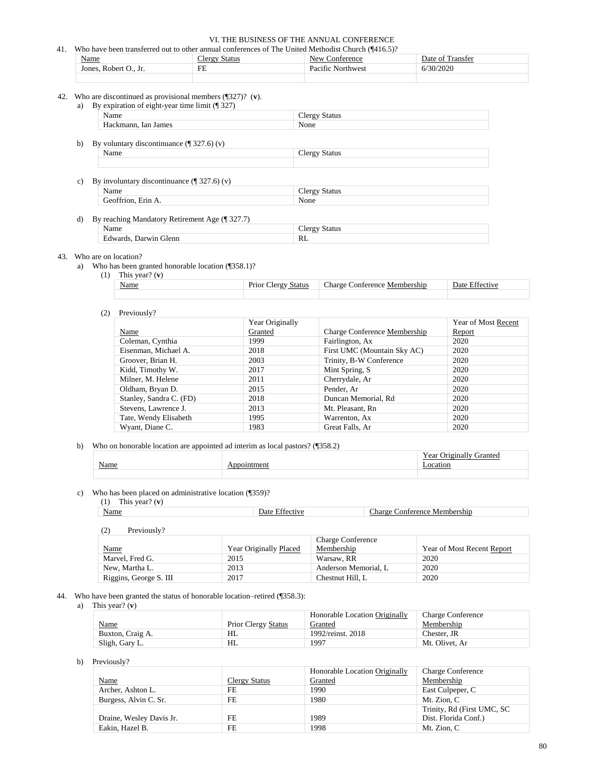| Who have been transferred out to other annual conferences of The United Methodist Church (¶416.5)? |                      |                   |                  |
|----------------------------------------------------------------------------------------------------|----------------------|-------------------|------------------|
| Name                                                                                               | <b>Clergy Status</b> | New Conference    | Date of Transfer |
| Jones, Robert O., Jr.                                                                              | FE                   | Pacific Northwest | 6/30/2020        |
|                                                                                                    |                      |                   |                  |

42. Who are discontinued as provisional members (¶327)? (**v**).

| By expiration of eight-year time limit (¶ 327)<br>a)        |                      |  |
|-------------------------------------------------------------|----------------------|--|
| Name                                                        | <b>Clergy Status</b> |  |
| Hackmann, Ian James                                         | None                 |  |
| b).<br>By voluntary discontinuance $(\frac{1}{2}327.6)$ (v) |                      |  |
| Name                                                        | <b>Clergy Status</b> |  |
| By involuntary discontinuance $(\P 327.6)(v)$<br>c)<br>Name | <b>Clergy Status</b> |  |
| Geoffrion, Erin A.                                          | None                 |  |
|                                                             |                      |  |
| By reaching Mandatory Retirement Age (¶ 327.7)<br>d)        |                      |  |
| Name                                                        | <b>Clergy Status</b> |  |
| Edwards, Darwin Glenn                                       | RL                   |  |

# 43. Who are on location?

a) Who has been granted honorable location (¶358.1)?

Edwards, Darwin Glenn

(1) This year? (**v**)

| <u>Name</u> | status<br>$'$ lerov.<br><b>Decor</b><br><b>FIIOI</b> | `onterence<br>Membershin<br>'haroe |  |
|-------------|------------------------------------------------------|------------------------------------|--|
|             |                                                      |                                    |  |

#### (2) Previously?

|                         | Year Originally |                              | Year of Most Recent |
|-------------------------|-----------------|------------------------------|---------------------|
| Name                    | Granted         | Charge Conference Membership | <b>Report</b>       |
| Coleman, Cynthia        | 1999            | Fairlington, Ax              | 2020                |
| Eisenman, Michael A.    | 2018            | First UMC (Mountain Sky AC)  | 2020                |
| Groover, Brian H.       | 2003            | Trinity, B-W Conference      | 2020                |
| Kidd, Timothy W.        | 2017            | Mint Spring, S               | 2020                |
| Milner, M. Helene       | 2011            | Cherrydale, Ar               | 2020                |
| Oldham, Bryan D.        | 2015            | Pender, Ar                   | 2020                |
| Stanley, Sandra C. (FD) | 2018            | Duncan Memorial, Rd          | 2020                |
| Stevens, Lawrence J.    | 2013            | Mt. Pleasant, Rn             | 2020                |
| Tate, Wendy Elisabeth   | 1995            | Warrenton, Ax                | 2020                |
| Wyant, Diane C.         | 1983            | Great Falls, Ar              | 2020                |

# b) Who on honorable location are appointed ad interim as local pastors? (¶358.2)

| . |  |
|---|--|
|   |  |

c) Who has been placed on administrative location (¶359)?

| This year? $(v)$<br>(1) |                |                              |
|-------------------------|----------------|------------------------------|
| <b>Name</b>             | Date Effective | Charge Conference Membership |
|                         |                |                              |
| Previously?             |                |                              |

|                        |                        | <b>Charge Conference</b> |                            |
|------------------------|------------------------|--------------------------|----------------------------|
| Name                   | Year Originally Placed | Membership               | Year of Most Recent Report |
| Marvel. Fred G.        | 2015                   | Warsaw, RR               | 2020                       |
| New, Martha L.         | 2013                   | Anderson Memorial, L     | 2020                       |
| Riggins, George S. III | 2017                   | Chestnut Hill, L         | 2020                       |

# 44. Who have been granted the status of honorable location–retired (¶358.3):

# a) This year? (**v**)

|                  |                            | Honorable Location Originally | <b>Charge Conference</b> |
|------------------|----------------------------|-------------------------------|--------------------------|
| <u>Name</u>      | <b>Prior Clergy Status</b> | Granted                       | Membership               |
| Buxton, Craig A. | HL                         | 1992/reinst. 2018             | Chester. JR              |
| Sligh, Gary L.   | HL                         | 1997                          | Mt. Olivet. Ar           |

#### b) Previously?

|                          |               | Honorable Location Originally | <b>Charge Conference</b>    |
|--------------------------|---------------|-------------------------------|-----------------------------|
| <b>Name</b>              | Clergy Status | Granted                       | Membership                  |
| Archer, Ashton L.        | FE.           | 1990                          | East Culpeper, C            |
| Burgess, Alvin C. Sr.    | FE            | 1980                          | Mt. Zion. C                 |
|                          |               |                               | Trinity, Rd (First UMC, SC) |
| Draine, Wesley Davis Jr. | FE            | 1989                          | Dist. Florida Conf.)        |
| Eakin, Hazel B.          | FE            | 1998                          | Mt. Zion. C                 |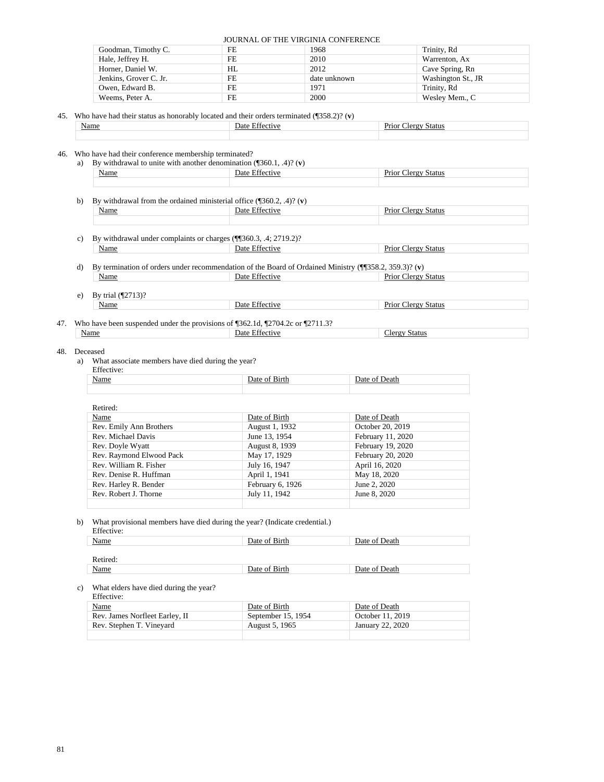| Goodman, Timothy C.    | FE  | 1968         | Trinity, Rd        |
|------------------------|-----|--------------|--------------------|
| Hale, Jeffrey H.       | FE. | 2010         | Warrenton, Ax      |
| Horner, Daniel W.      | HL  | 2012         | Cave Spring, Rn    |
| Jenkins, Grover C. Jr. | FE. | date unknown | Washington St., JR |
| Owen, Edward B.        | FE. | 1971         | Trinity, Rd        |
| Weems, Peter A.        | FE  | 2000         | Wesley Mem., C     |

#### 45. Who have had their status as honorably located and their orders terminated (¶358.2)? (**v**)

| <u>Name</u> | )ate<br>ıν | <br>Status |
|-------------|------------|------------|
|             |            |            |

#### 46. Who have had their conference membership terminated?

| a) By withdrawal to unite with another denomination $(\sqrt{360.1}, .4)$ ? (v) |                |                            |  |
|--------------------------------------------------------------------------------|----------------|----------------------------|--|
| <b>Name</b>                                                                    | Date Effective | <b>Prior Clergy Status</b> |  |
|                                                                                |                |                            |  |
|                                                                                |                |                            |  |

- b) By withdrawal from the ordained ministerial office (¶360.2, .4)? (**v**) Name Date Effective Prior Clergy Status
- c) By withdrawal under complaints or charges (¶¶360.3, .4; 2719.2)? Name Date Effective Prior Clergy Status
- d) By termination of orders under recommendation of the Board of Ordained Ministry (¶¶358.2, 359.3)? (**v**) Name Date Effective Prior Clergy Status
- e) By trial (¶2713)? Name Date Effective Prior Clergy Status

#### 47. Who have been suspended under the provisions of ¶362.1d, ¶2704.2c or ¶2711.3? Name Date Effective Clergy Status

#### 48. Deceased

a) What associate members have died during the year?

Effective

| Litecuve.                                                                                                                                                                                                                                    |                    |       |  |  |
|----------------------------------------------------------------------------------------------------------------------------------------------------------------------------------------------------------------------------------------------|--------------------|-------|--|--|
| Name<br><u>and the company of the company of the company of the company of the company of the company of the company of the company of the company of the company of the company of the company of the company of the company of the com</u> | Date of .<br>Birth | Jeath |  |  |
|                                                                                                                                                                                                                                              |                    |       |  |  |

| Retired:                 |                  |                   |
|--------------------------|------------------|-------------------|
| Name                     | Date of Birth    | Date of Death     |
| Rev. Emily Ann Brothers  | August 1, 1932   | October 20, 2019  |
| Rev. Michael Davis       | June 13, 1954    | February 11, 2020 |
| Rev. Doyle Wyatt         | August 8, 1939   | February 19, 2020 |
| Rev. Raymond Elwood Pack | May 17, 1929     | February 20, 2020 |
| Rev. William R. Fisher   | July 16, 1947    | April 16, 2020    |
| Rev. Denise R. Huffman   | April 1, 1941    | May 18, 2020      |
| Rev. Harley R. Bender    | February 6, 1926 | June 2, 2020      |
| Rev. Robert J. Thorne    | July 11, 1942    | June 8, 2020      |
|                          |                  |                   |

#### b) What provisional members have died during the year? (Indicate credential.)

Effective:

| Name        | Date of Birth |               |  |  |
|-------------|---------------|---------------|--|--|
|             |               |               |  |  |
| Retired:    |               |               |  |  |
| <b>Name</b> | Date of Birth | Date of Death |  |  |

#### c) What elders have died during the year?

| Effective:                     |                    |                  |  |  |  |
|--------------------------------|--------------------|------------------|--|--|--|
| Name                           | Date of Birth      | Date of Death    |  |  |  |
| Rev. James Norfleet Earley, II | September 15, 1954 | October 11, 2019 |  |  |  |
| Rev. Stephen T. Vineyard       | August 5, 1965     | January 22, 2020 |  |  |  |
|                                |                    |                  |  |  |  |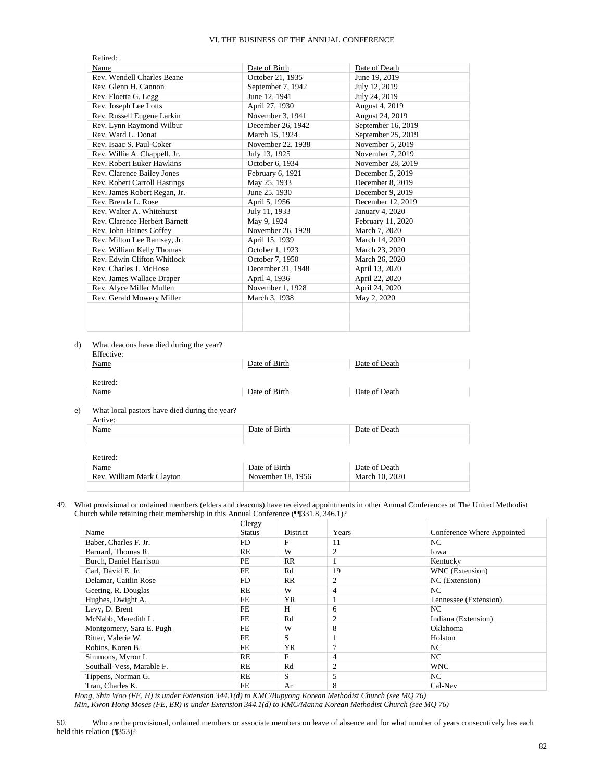| Retired:                      |                   |                    |
|-------------------------------|-------------------|--------------------|
| Name                          | Date of Birth     | Date of Death      |
| Rev. Wendell Charles Beane    | October 21, 1935  | June 19, 2019      |
| Rev. Glenn H. Cannon          | September 7, 1942 | July 12, 2019      |
| Rev. Floetta G. Legg          | June 12, 1941     | July 24, 2019      |
| Rev. Joseph Lee Lotts         | April 27, 1930    | August 4, 2019     |
| Rev. Russell Eugene Larkin    | November 3, 1941  | August 24, 2019    |
| Rev. Lynn Raymond Wilbur      | December 26, 1942 | September 16, 2019 |
| Rev. Ward L. Donat            | March 15, 1924    | September 25, 2019 |
| Rev. Isaac S. Paul-Coker      | November 22, 1938 | November 5, 2019   |
| Rev. Willie A. Chappell, Jr.  | July 13, 1925     | November 7, 2019   |
| Rev. Robert Euker Hawkins     | October 6, 1934   | November 28, 2019  |
| Rev. Clarence Bailey Jones    | February 6, 1921  | December 5, 2019   |
| Rev. Robert Carroll Hastings  | May 25, 1933      | December 8, 2019   |
| Rev. James Robert Regan, Jr.  | June 25, 1930     | December 9, 2019   |
| Rev. Brenda L. Rose           | April 5, 1956     | December 12, 2019  |
| Rev. Walter A. Whitehurst     | July 11, 1933     | January 4, 2020    |
| Rev. Clarence Herbert Barnett | May 9, 1924       | February 11, 2020  |
| Rev. John Haines Coffey       | November 26, 1928 | March 7, 2020      |
| Rev. Milton Lee Ramsey, Jr.   | April 15, 1939    | March 14, 2020     |
| Rev. William Kelly Thomas     | October 1, 1923   | March 23, 2020     |
| Rev. Edwin Clifton Whitlock   | October 7, 1950   | March 26, 2020     |
| Rev. Charles J. McHose        | December 31, 1948 | April 13, 2020     |
| Rev. James Wallace Draper     | April 4, 1936     | April 22, 2020     |
| Rev. Alyce Miller Mullen      | November 1, 1928  | April 24, 2020     |
| Rev. Gerald Mowery Miller     | March 3, 1938     | May 2, 2020        |
|                               |                   |                    |
|                               |                   |                    |
|                               |                   |                    |

d) What deacons have died during the year?

| Effective: |               |               |  |  |  |
|------------|---------------|---------------|--|--|--|
| Name       | Date of Birth | Date of Death |  |  |  |
|            |               |               |  |  |  |
| Retired:   |               |               |  |  |  |
| Name       | Date of Birth | Date of Death |  |  |  |
|            |               |               |  |  |  |

e) What local pastors have died during the year?

Retired:

| __<br>__<br>____<br>Active: |               |                    |
|-----------------------------|---------------|--------------------|
| Name                        | Date of Birth | ' Death<br>Date of |
|                             |               |                    |

| Retired: |                           |                   |                |  |  |  |
|----------|---------------------------|-------------------|----------------|--|--|--|
|          | Name                      | Date of Birth     | Date of Death  |  |  |  |
|          | Rev. William Mark Clayton | November 18, 1956 | March 10, 2020 |  |  |  |
|          |                           |                   |                |  |  |  |

49. What provisional or ordained members (elders and deacons) have received appointments in other Annual Conferences of The United Methodist Church while retaining their membership in this Annual Conference (¶¶331.8, 346.1)?

|                           | Clergy        |           |       |                            |
|---------------------------|---------------|-----------|-------|----------------------------|
| Name                      | <b>Status</b> | District  | Years | Conference Where Appointed |
| Baber, Charles F. Jr.     | FD            | F         | 11    | NC.                        |
| Barnard, Thomas R.        | RE            | W         | 2     | Iowa                       |
| Burch, Daniel Harrison    | PE            | <b>RR</b> |       | Kentucky                   |
| Carl, David E. Jr.        | FE            | Rd        | 19    | WNC (Extension)            |
| Delamar, Caitlin Rose     | FD            | <b>RR</b> | 2     | NC (Extension)             |
| Geeting, R. Douglas       | RE            | W         | 4     | NC.                        |
| Hughes, Dwight A.         | FE            | <b>YR</b> |       | Tennessee (Extension)      |
| Levy, D. Brent            | FE            | Н         | 6     | NC.                        |
| McNabb, Meredith L.       | FE            | Rd        | 2     | Indiana (Extension)        |
| Montgomery, Sara E. Pugh  | FE            | W         | 8     | <b>Oklahoma</b>            |
| Ritter, Valerie W.        | FE            | S         |       | Holston                    |
| Robins, Koren B.          | FE            | <b>YR</b> | 7     | NC.                        |
| Simmons, Myron I.         | RE            | F         | 4     | NC.                        |
| Southall-Vess, Marable F. | RE            | Rd        | 2     | <b>WNC</b>                 |
| Tippens, Norman G.        | RE            | S         | 5     | NC.                        |
| Tran, Charles K.          | FE            | Ar        | 8     | Cal-Nev                    |

*Hong, Shin Woo (FE, H) is under Extension 344.1(d) to KMC/Bupyong Korean Methodist Church (see MQ 76)*

*Min, Kwon Hong Moses (FE, ER) is under Extension 344.1(d) to KMC/Manna Korean Methodist Church (see MQ 76)*

50. Who are the provisional, ordained members or associate members on leave of absence and for what number of years consecutively has each held this relation (¶353)?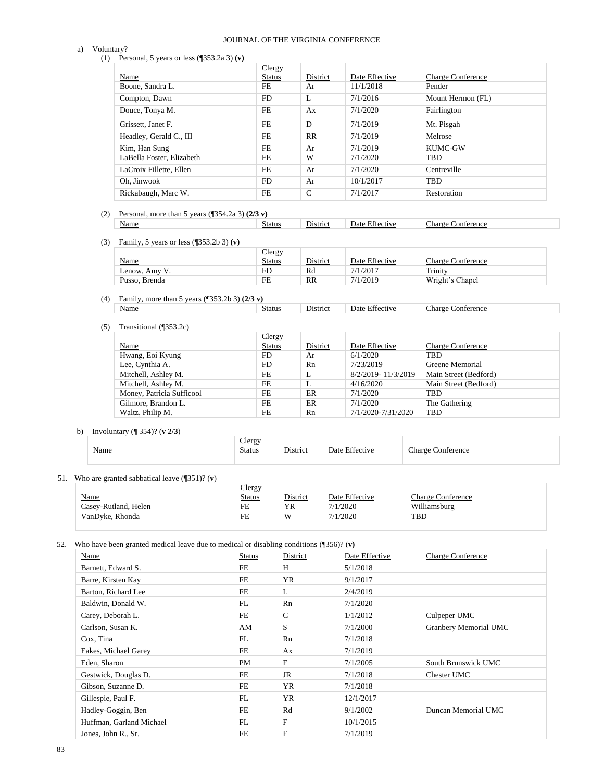#### a) Voluntary?

# JOURNAL OF THE VIRGINIA CONFERENCE

(1) Personal, 5 years or less (¶353.2a 3) **(v)**

|                           | Clergy        |          |                |                          |
|---------------------------|---------------|----------|----------------|--------------------------|
| Name                      | <b>Status</b> | District | Date Effective | <b>Charge Conference</b> |
| Boone, Sandra L.          | FE            | Ar       | 11/1/2018      | Pender                   |
| Compton, Dawn             | FD.           | L        | 7/1/2016       | Mount Hermon (FL)        |
| Douce, Tonya M.           | FE            | Ax       | 7/1/2020       | Fairlington              |
| Grissett, Janet F.        | FE            | D        | 7/1/2019       | Mt. Pisgah               |
| Headley, Gerald C., III   | FE.           | RR       | 7/1/2019       | Melrose                  |
| Kim, Han Sung             | FE.           | Ar       | 7/1/2019       | <b>KUMC-GW</b>           |
| LaBella Foster, Elizabeth | FE            | W        | 7/1/2020       | TBD                      |
| LaCroix Fillette, Ellen   | FE.           | Ar       | 7/1/2020       | Centreville              |
| Oh. Jinwook               | FD.           | Ar       | 10/1/2017      | <b>TBD</b>               |
| Rickabaugh, Marc W.       | FE            | C        | 7/1/2017       | Restoration              |

#### (2) Personal, more than 5 years (¶354.2a 3) **(2/3 v)** Name Status District Date Effective Charge Conference

(3) Family, 5 years or less (¶353.2b 3) **(v)**

| <b>Name</b>   | Clergy<br>Status | <b>District</b> | Date Effective | Charge Conference |
|---------------|------------------|-----------------|----------------|-------------------|
| Lenow, Amy V. | FD.              | Rd              | 7/1/2017       | Trinity           |
| Pusso, Brenda | FE               | RR              | 7/1/2019       | Wright's Chapel   |

# (4) Family, more than 5 years (¶353.2b 3) **(2/3 v)**

| Transitional (1353.2c)<br>(5) |  |
|-------------------------------|--|
|-------------------------------|--|

|                           | Clergy        |           |                    |                          |
|---------------------------|---------------|-----------|--------------------|--------------------------|
| Name                      | <b>Status</b> | District  | Date Effective     | <b>Charge Conference</b> |
| Hwang, Eoi Kyung          | FD            | Ar        | 6/1/2020           | TBD                      |
| Lee, Cynthia A.           | FD            | Rn        | 7/23/2019          | Greene Memorial          |
| Mitchell, Ashley M.       | FE.           | L         | 8/2/2019-11/3/2019 | Main Street (Bedford)    |
| Mitchell, Ashley M.       | FE            | л.        | 4/16/2020          | Main Street (Bedford)    |
| Money, Patricia Sufficool | FE            | ER        | 7/1/2020           | TBD                      |
| Gilmore, Brandon L.       | FE.           | <b>ER</b> | 7/1/2020           | The Gathering            |
| Waltz, Philip M.          | FE.           | Rn        | 7/1/2020-7/31/2020 | TBD                      |

District Date Effective Charge Conference

# b) Involuntary (¶ 354)? (**v 2/3**)

| <b>Name</b> | $\sim$<br>Clergy<br>Status | <b>District</b> | $F^{\alpha}$<br>Date<br>1ve | Charge,<br>Conference |
|-------------|----------------------------|-----------------|-----------------------------|-----------------------|
|             |                            |                 |                             |                       |

# 51. Who are granted sabbatical leave (¶351)? (**v**)

|                      | Clergy        |                 |                |                          |
|----------------------|---------------|-----------------|----------------|--------------------------|
| <b>Name</b>          | <b>Status</b> | <b>District</b> | Date Effective | <b>Charge Conference</b> |
| Casev-Rutland. Helen | FE            | <b>YR</b>       | 7/1/2020       | Williamsburg             |
| VanDvke. Rhonda      | FE            | W               | 7/1/2020       | <b>TBD</b>               |
|                      |               |                 |                |                          |

52. Who have been granted medical leave due to medical or disabling conditions (¶356)? (**v)**

| Name                     | <b>Status</b> | District      | Date Effective | <b>Charge Conference</b> |
|--------------------------|---------------|---------------|----------------|--------------------------|
| Barnett, Edward S.       | FE            | H             | 5/1/2018       |                          |
| Barre, Kirsten Kay       | FE            | YR            | 9/1/2017       |                          |
| Barton, Richard Lee      | <b>FE</b>     | L             | 2/4/2019       |                          |
| Baldwin, Donald W.       | FL            | Rn            | 7/1/2020       |                          |
| Carey, Deborah L.        | FE            | $\mathcal{C}$ | 1/1/2012       | Culpeper UMC             |
| Carlson, Susan K.        | AM            | S             | 7/1/2000       | Granbery Memorial UMC    |
| Cox, Tina                | FL            | Rn            | 7/1/2018       |                          |
| Eakes, Michael Garey     | FE            | Ax            | 7/1/2019       |                          |
| Eden, Sharon             | PM            | F             | 7/1/2005       | South Brunswick UMC      |
| Gestwick, Douglas D.     | FE            | JR            | 7/1/2018       | <b>Chester UMC</b>       |
| Gibson, Suzanne D.       | FE            | YR            | 7/1/2018       |                          |
| Gillespie, Paul F.       | FL            | <b>YR</b>     | 12/1/2017      |                          |
| Hadley-Goggin, Ben       | FE            | Rd            | 9/1/2002       | Duncan Memorial UMC      |
| Huffman, Garland Michael | FL            | F             | 10/1/2015      |                          |
| Jones, John R., Sr.      | <b>FE</b>     | F             | 7/1/2019       |                          |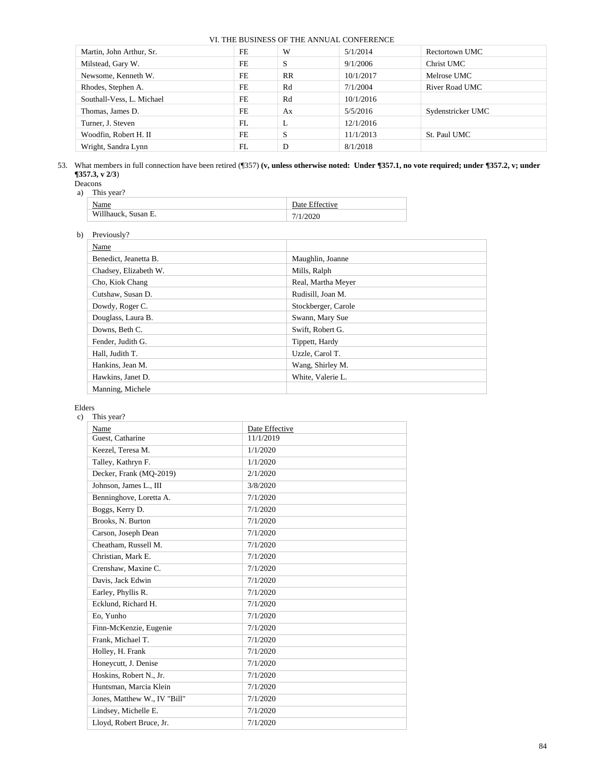| Martin, John Arthur, Sr.  | FE | W         | 5/1/2014  | Rectortown UMC    |
|---------------------------|----|-----------|-----------|-------------------|
| Milstead, Gary W.         | FE | S         | 9/1/2006  | Christ UMC        |
| Newsome, Kenneth W.       | FE | <b>RR</b> | 10/1/2017 | Melrose UMC       |
| Rhodes, Stephen A.        | FE | Rd        | 7/1/2004  | River Road UMC    |
| Southall-Vess, L. Michael | FE | Rd        | 10/1/2016 |                   |
| Thomas, James D.          | FE | Ax        | 5/5/2016  | Sydenstricker UMC |
| Turner, J. Steven         | FL | L         | 12/1/2016 |                   |
| Woodfin, Robert H. II     | FE | S         | 11/1/2013 | St. Paul UMC      |
| Wright, Sandra Lynn       | FL | D         | 8/1/2018  |                   |

53. What members in full connection have been retired (¶357) **(v, unless otherwise noted: Under ¶357.1, no vote required; under ¶357.2, v; under ¶357.3, v 2/3**)

| Jeacons |
|---------|
|---------|

a)

| This year?          |                |
|---------------------|----------------|
| Name                | Date Effective |
| Willhauck, Susan E. | 7/1/2020       |

# b) Previously?

| Name                  |                     |
|-----------------------|---------------------|
| Benedict, Jeanetta B. | Maughlin, Joanne    |
| Chadsey, Elizabeth W. | Mills, Ralph        |
| Cho, Kiok Chang       | Real, Martha Meyer  |
| Cutshaw, Susan D.     | Rudisill, Joan M.   |
| Dowdy, Roger C.       | Stockberger, Carole |
| Douglass, Laura B.    | Swann, Mary Sue     |
| Downs, Beth C.        | Swift, Robert G.    |
| Fender, Judith G.     | Tippett, Hardy      |
| Hall, Judith T.       | Uzzle, Carol T.     |
| Hankins, Jean M.      | Wang, Shirley M.    |
| Hawkins, Janet D.     | White, Valerie L.   |
| Manning, Michele      |                     |
|                       |                     |

# Elders

#### c) This year?

| Name                         | Date Effective |
|------------------------------|----------------|
| Guest, Catharine             | 11/1/2019      |
| Keezel, Teresa M.            | 1/1/2020       |
| Talley, Kathryn F.           | 1/1/2020       |
| Decker, Frank (MQ-2019)      | 2/1/2020       |
| Johnson, James L., III       | 3/8/2020       |
| Benninghove, Loretta A.      | 7/1/2020       |
| Boggs, Kerry D.              | 7/1/2020       |
| Brooks, N. Burton            | 7/1/2020       |
| Carson, Joseph Dean          | 7/1/2020       |
| Cheatham. Russell M.         | 7/1/2020       |
| Christian, Mark E.           | 7/1/2020       |
| Crenshaw, Maxine C.          | 7/1/2020       |
| Davis, Jack Edwin            | 7/1/2020       |
| Earley, Phyllis R.           | 7/1/2020       |
| Ecklund, Richard H.          | 7/1/2020       |
| Eo, Yunho                    | 7/1/2020       |
| Finn-McKenzie, Eugenie       | 7/1/2020       |
| Frank, Michael T.            | 7/1/2020       |
| Holley, H. Frank             | 7/1/2020       |
| Honeycutt, J. Denise         | 7/1/2020       |
| Hoskins, Robert N., Jr.      | 7/1/2020       |
| Huntsman, Marcia Klein       | 7/1/2020       |
| Jones, Matthew W., IV "Bill" | 7/1/2020       |
| Lindsey, Michelle E.         | 7/1/2020       |
| Lloyd, Robert Bruce, Jr.     | 7/1/2020       |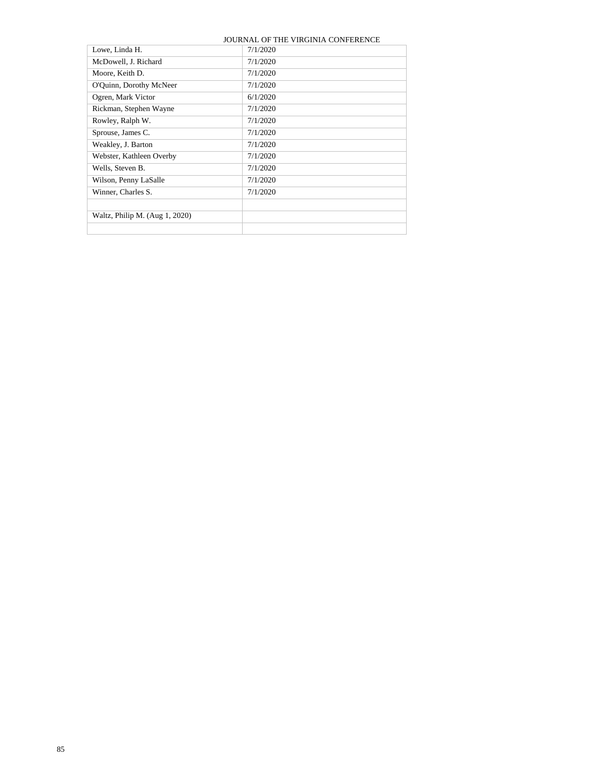|                                | JOURNAL OF THE VIRGINIA CONFERENCE |
|--------------------------------|------------------------------------|
| Lowe, Linda H.                 | 7/1/2020                           |
| McDowell, J. Richard           | 7/1/2020                           |
| Moore, Keith D.                | 7/1/2020                           |
| O'Quinn, Dorothy McNeer        | 7/1/2020                           |
| Ogren, Mark Victor             | 6/1/2020                           |
| Rickman, Stephen Wayne         | 7/1/2020                           |
| Rowley, Ralph W.               | 7/1/2020                           |
| Sprouse, James C.              | 7/1/2020                           |
| Weakley, J. Barton             | 7/1/2020                           |
| Webster, Kathleen Overby       | 7/1/2020                           |
| Wells, Steven B.               | 7/1/2020                           |
| Wilson, Penny LaSalle          | 7/1/2020                           |
| Winner, Charles S.             | 7/1/2020                           |
|                                |                                    |
| Waltz, Philip M. (Aug 1, 2020) |                                    |
|                                |                                    |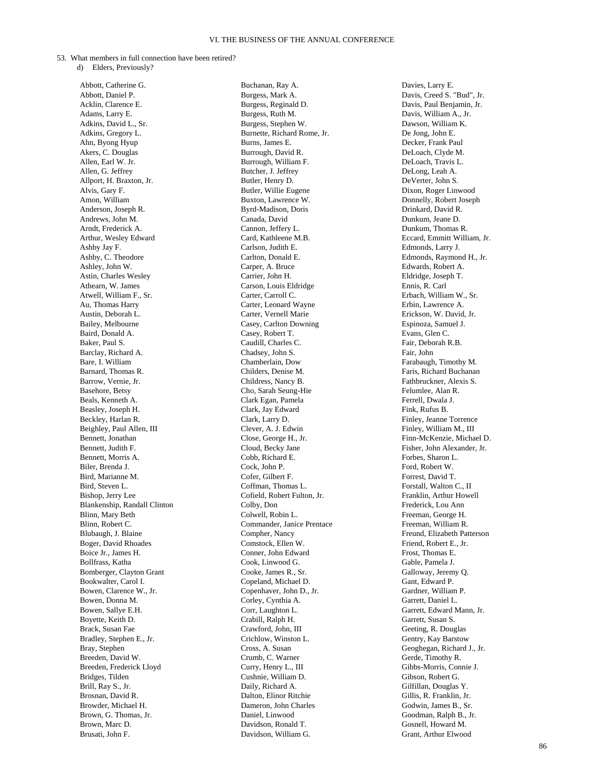53. What members in full connection have been retired?

d) Elders, Previously?

Abbott, Catherine G. Abbott, Daniel P. Acklin, Clarence E. Adams, Larry E. Adkins, David L., Sr. Adkins, Gregory L. Ahn, Byong Hyup Akers, C. Douglas Allen, Earl W. Jr. Allen, G. Jeffrey Allport, H. Braxton, Jr. Alvis, Gary F. Amon, William Anderson, Joseph R. Andrews, John M. Arndt, Frederick A. Arthur, Wesley Edward Ashby Jay F. Ashby, C. Theodore Ashley, John W. Astin, Charles Wesley Athearn, W. James Atwell, William F., Sr. Au, Thomas Harry Austin, Deborah L. Bailey, Melbourne Baird, Donald A. Baker, Paul S. Barclay, Richard A. Bare, I. William Barnard, Thomas R. Barrow, Vernie, Jr. Basehore, Betsy Beals, Kenneth A. Beasley, Joseph H. Beckley, Harlan R. Beighley, Paul Allen, III Bennett, Jonathan Bennett, Judith F. Bennett, Morris A. Biler, Brenda J. Bird, Marianne M. Bird, Steven L. Bishop, Jerry Lee Blankenship, Randall Clinton Blinn, Mary Beth Blinn, Robert C. Blubaugh, J. Blaine Boger, David Rhoades Boice Jr., James H. Bollfrass, Katha Bomberger, Clayton Grant Bookwalter, Carol I. Bowen, Clarence W., Jr. Bowen, Donna M. Bowen, Sallye E.H. Boyette, Keith D. Brack, Susan Fae Bradley, Stephen E., Jr. Bray, Stephen Breeden, David W. Breeden, Frederick Lloyd Bridges, Tilden Brill, Ray S., Jr. Brosnan, David R. Browder, Michael H. Brown, G. Thomas, Jr. Brown, Marc D. Brusati, John F.

Buchanan, Ray A. Burgess, Mark A. Burgess, Reginald D. Burgess, Ruth M. Burgess, Stephen W. Burnette, Richard Rome, Jr. Burns, James E. Burrough, David R. Burrough, William F. Butcher, J. Jeffrey Butler, Henry D. Butler, Willie Eugene Buxton, Lawrence W. Byrd-Madison, Doris Canada, David Cannon, Jeffery L. Card, Kathleene M.B. Carlson, Judith E. Carlton, Donald E. Carper, A. Bruce Carrier, John H. Carson, Louis Eldridge Carter, Carroll C. Carter, Leonard Wayne Carter, Vernell Marie Casey, Carlton Downing Casey, Robert T. Caudill, Charles C. Chadsey, John S. Chamberlain, Dow Childers, Denise M. Childress, Nancy B. Cho, Sarah Seung-Hie Clark Egan, Pamela Clark, Jay Edward Clark, Larry D. Clever, A. J. Edwin Close, George H., Jr. Cloud, Becky Jane Cobb, Richard E. Cock, John P. Cofer, Gilbert F. Coffman, Thomas L. Cofield, Robert Fulton, Jr. Colby, Don Colwell, Robin L. Commander, Janice Prentace Compher, Nancy Comstock, Ellen W. Conner, John Edward Cook, Linwood G. Cooke, James R., Sr. Copeland, Michael D. Copenhaver, John D., Jr. Corley, Cynthia A. Corr, Laughton L. Crabill, Ralph H. Crawford, John, III Crichlow, Winston L. Cross, A. Susan Crumb, C. Warner Curry, Henry L., III Cushnie, William D. Daily, Richard A. Dalton, Elinor Ritchie Dameron, John Charles Daniel, Linwood Davidson, Ronald T. Davidson, William G.

Davies, Larry E. Davis, Creed S. "Bud", Jr. Davis, Paul Benjamin, Jr. Davis, William A., Jr. Dawson, William K. De Jong, John E. Decker, Frank Paul DeLoach, Clyde M. DeLoach, Travis L. DeLong, Leah A. DeVerter, John S. Dixon, Roger Linwood Donnelly, Robert Joseph Drinkard, David R. Dunkum, Jeane D. Dunkum, Thomas R. Eccard, Emmitt William, Jr. Edmonds, Larry J. Edmonds, Raymond H., Jr. Edwards, Robert A. Eldridge, Joseph T. Ennis, R. Carl Erbach, William W., Sr. Erbin, Lawrence A. Erickson, W. David, Jr. Espinoza, Samuel J. Evans, Glen C. Fair, Deborah R.B. Fair, John Farabaugh, Timothy M. Faris, Richard Buchanan Fathbruckner, Alexis S. Felumlee, Alan R. Ferrell, Dwala J. Fink, Rufus B. Finley, Jeanne Torrence Finley, William M., III Finn-McKenzie, Michael D. Fisher, John Alexander, Jr. Forbes, Sharon L. Ford, Robert W. Forrest, David T. Forstall, Walton C., II Franklin, Arthur Howell Frederick, Lou Ann Freeman, George H. Freeman, William R. Freund, Elizabeth Patterson Friend, Robert E., Jr. Frost, Thomas E. Gable, Pamela J. Galloway, Jeremy Q. Gant, Edward P. Gardner, William P. Garrett, Daniel L. Garrett, Edward Mann, Jr. Garrett, Susan S. Geeting, R. Douglas Gentry, Kay Barstow Geoghegan, Richard J., Jr. Gerde, Timothy R. Gibbs-Morris, Connie J. Gibson, Robert G. Gilfillan, Douglas Y. Gillis, R. Franklin, Jr. Godwin, James B., Sr. Goodman, Ralph B., Jr. Gosnell, Howard M. Grant, Arthur Elwood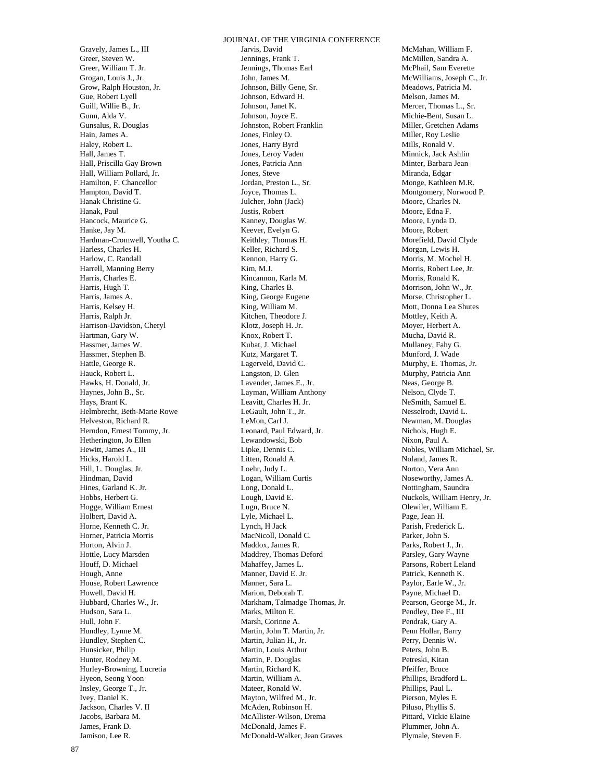Gravely, James L., III Greer, Steven W. Greer, William T. Jr. Grogan, Louis J., Jr. Grow, Ralph Houston, Jr. Gue, Robert Lyell Guill, Willie B., Jr. Gunn, Alda V. Gunsalus, R. Douglas Hain, James A. Haley, Robert L. Hall, James T. Hall, Priscilla Gay Brown Hall, William Pollard, Jr. Hamilton, F. Chancellor Hampton, David T. Hanak Christine G. Hanak, Paul Hancock, Maurice G. Hanke, Jay M. Hardman-Cromwell, Youtha C. Harless, Charles H. Harlow, C. Randall Harrell, Manning Berry Harris, Charles E. Harris, Hugh T. Harris, James A. Harris, Kelsey H. Harris, Ralph Jr. Harrison-Davidson, Cheryl Hartman, Gary W. Hassmer, James W. Hassmer, Stephen B. Hattle, George R. Hauck, Robert L. Hawks, H. Donald, Jr. Haynes, John B., Sr. Hays, Brant K. Helmbrecht, Beth-Marie Rowe Helveston, Richard R. Herndon, Ernest Tommy, Jr. Hetherington, Jo Ellen Hewitt, James A., III Hicks, Harold L. Hill, L. Douglas, Jr. Hindman, David Hines, Garland K. Jr. Hobbs, Herbert G. Hogge, William Ernest Holbert, David A. Horne, Kenneth C. Jr. Horner, Patricia Morris Horton, Alvin J. Hottle, Lucy Marsden Houff, D. Michael Hough, Anne House, Robert Lawrence Howell, David H. Hubbard, Charles W., Jr. Hudson, Sara L. Hull, John F. Hundley, Lynne M. Hundley, Stephen C. Hunsicker, Philip Hunter, Rodney M. Hurley-Browning, Lucretia Hyeon, Seong Yoon Insley, George T., Jr. Ivey, Daniel K. Jackson, Charles V. II Jacobs, Barbara M. James, Frank D. Jamison, Lee R.

JOURNAL OF THE VIRGINIA CONFERENCE Jarvis, David Jennings, Frank T. Jennings, Thomas Earl John, James M. Johnson, Billy Gene, Sr. Johnson, Edward H. Johnson, Janet K. Johnson, Joyce E. Johnston, Robert Franklin Jones, Finley O. Jones, Harry Byrd Jones, Leroy Vaden Jones, Patricia Ann Jones, Steve Jordan, Preston L., Sr. Joyce, Thomas L. Julcher, John (Jack) Justis, Robert Kanney, Douglas W. Keever, Evelyn G. Keithley, Thomas H. Keller, Richard S. Kennon, Harry G. Kim, M.J. Kincannon, Karla M. King, Charles B. King, George Eugene King, William M. Kitchen, Theodore J. Klotz, Joseph H. Jr. Knox, Robert T. Kubat, J. Michael Kutz, Margaret T. Lagerveld, David C. Langston, D. Glen Lavender, James E., Jr. Layman, William Anthony Leavitt, Charles H. Jr. LeGault, John T., Jr. LeMon, Carl J. Leonard, Paul Edward, Jr. Lewandowski, Bob Lipke, Dennis C. Litten, Ronald A. Loehr, Judy L. Logan, William Curtis Long, Donald L. Lough, David E. Lugn, Bruce N. Lyle, Michael L. Lynch, H Jack MacNicoll, Donald C. Maddox, James R. Maddrey, Thomas Deford Mahaffey, James L. Manner, David E. Jr. Manner, Sara L. Marion, Deborah T. Markham, Talmadge Thomas, Jr. Marks, Milton E. Marsh, Corinne A. Martin, John T. Martin, Jr. Martin, Julian H., Jr. Martin, Louis Arthur Martin, P. Douglas Martin, Richard K. Martin, William A. Mateer, Ronald W. Mayton, Wilfred M., Jr. McAden, Robinson H. McAllister-Wilson, Drema McDonald, James F. McDonald-Walker, Jean Graves

McMahan, William F. McMillen, Sandra A. McPhail, Sam Everette McWilliams, Joseph C., Jr. Meadows, Patricia M. Melson, James M. Mercer, Thomas L., Sr. Michie-Bent, Susan L. Miller, Gretchen Adams Miller, Roy Leslie Mills, Ronald V. Minnick, Jack Ashlin Minter, Barbara Jean Miranda, Edgar Monge, Kathleen M.R. Montgomery, Norwood P. Moore, Charles N. Moore, Edna F. Moore, Lynda D. Moore, Robert Morefield, David Clyde Morgan, Lewis H. Morris, M. Mochel H. Morris, Robert Lee, Jr. Morris, Ronald K. Morrison, John W., Jr. Morse, Christopher L. Mott, Donna Lea Shutes Mottley, Keith A. Moyer, Herbert A. Mucha, David R. Mullaney, Fahy G. Munford, J. Wade Murphy, E. Thomas, Jr. Murphy, Patricia Ann Neas, George B. Nelson, Clyde T. NeSmith, Samuel E. Nesselrodt, David L. Newman, M. Douglas Nichols, Hugh E. Nixon, Paul A. Nobles, William Michael, Sr. Noland, James R. Norton, Vera Ann Noseworthy, James A. Nottingham, Saundra Nuckols, William Henry, Jr. Olewiler, William E. Page, Jean H. Parish, Frederick L. Parker, John S. Parks, Robert J., Jr. Parsley, Gary Wayne Parsons, Robert Leland Patrick, Kenneth K. Paylor, Earle W., Jr. Payne, Michael D. Pearson, George M., Jr. Pendley, Dee F., III Pendrak, Gary A. Penn Hollar, Barry Perry, Dennis W. Peters, John B. Petreski, Kitan Pfeiffer, Bruce Phillips, Bradford L. Phillips, Paul L. Pierson, Myles E. Piluso, Phyllis S. Pittard, Vickie Elaine Plummer, John A. Plymale, Steven F.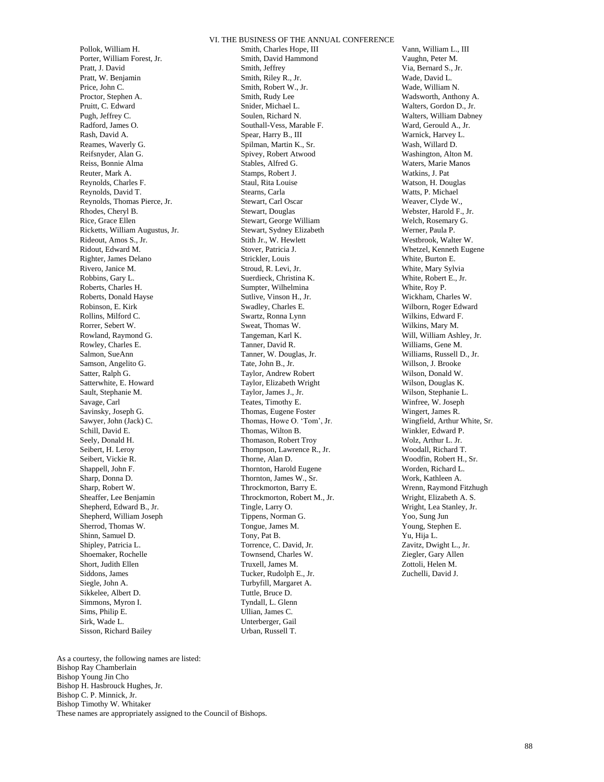Pollok, William H. Porter, William Forest, Jr. Pratt, J. David Pratt, W. Benjamin Price, John C. Proctor, Stephen A. Pruitt, C. Edward Pugh, Jeffrey C. Radford, James O. Rash, David A. Reames, Waverly G. Reifsnyder, Alan G. Reiss, Bonnie Alma Reuter, Mark A. Reynolds, Charles F. Reynolds, David T. Reynolds, Thomas Pierce, Jr. Rhodes, Cheryl B. Rice, Grace Ellen Ricketts, William Augustus, Jr. Rideout, Amos S., Jr. Ridout, Edward M. Righter, James Delano Rivero, Janice M. Robbins, Gary L. Roberts, Charles H. Roberts, Donald Hayse Robinson, E. Kirk Rollins, Milford C. Rorrer, Sebert W. Rowland, Raymond G. Rowley, Charles E. Salmon, SueAnn Samson, Angelito G. Satter, Ralph G. Satterwhite, E. Howard Sault, Stephanie M. Savage, Carl Savinsky, Joseph G. Sawyer, John (Jack) C. Schill, David E. Seely, Donald H. Seibert, H. Leroy Seibert, Vickie R. Shappell, John F. Sharp, Donna D. Sharp, Robert W. Sheaffer, Lee Benjamin Shepherd, Edward B., Jr. Shepherd, William Joseph Sherrod, Thomas W. Shinn, Samuel D. Shipley, Patricia L. Shoemaker, Rochelle Short, Judith Ellen Siddons, James Siegle, John A. Sikkelee, Albert D. Simmons, Myron I. Sims, Philip E. Sirk, Wade L. Sisson, Richard Bailey

Smith, Charles Hope, III Smith, David Hammond Smith, Jeffrey Smith, Riley R., Jr. Smith, Robert W., Jr. Smith, Rudy Lee Snider, Michael L. Soulen, Richard N. Southall-Vess, Marable F. Spear, Harry B., III Spilman, Martin K., Sr. Spivey, Robert Atwood Stables, Alfred G. Stamps, Robert J. Staul, Rita Louise Stearns, Carla Stewart, Carl Oscar Stewart, Douglas Stewart, George William Stewart, Sydney Elizabeth Stith Jr., W. Hewlett Stover, Patricia J. Strickler, Louis Stroud, R. Levi, Jr. Suerdieck, Christina K. Sumpter, Wilhelmina Sutlive, Vinson H., Jr. Swadley, Charles E. Swartz, Ronna Lynn Sweat, Thomas W. Tangeman, Karl K. Tanner, David R. Tanner, W. Douglas, Jr. Tate, John B., Jr. Taylor, Andrew Robert Taylor, Elizabeth Wright Taylor, James J., Jr. Teates, Timothy E. Thomas, Eugene Foster Thomas, Howe O. 'Tom', Jr. Thomas, Wilton B. Thomason, Robert Troy Thompson, Lawrence R., Jr. Thorne, Alan D. Thornton, Harold Eugene Thornton, James W., Sr. Throckmorton, Barry E. Throckmorton, Robert M., Jr. Tingle, Larry O. Tippens, Norman G. Tongue, James M. Tony, Pat B. Torrence, C. David, Jr. Townsend, Charles W. Truxell, James M. Tucker, Rudolph E., Jr. Turbyfill, Margaret A. Tuttle, Bruce D. Tyndall, L. Glenn Ullian, James C. Unterberger, Gail Urban, Russell T.

Vann, William L., III Vaughn, Peter M. Via, Bernard S., Jr. Wade, David L. Wade, William N. Wadsworth, Anthony A. Walters, Gordon D., Jr. Walters, William Dabney Ward, Gerould A., Jr. Warnick, Harvey L. Wash, Willard D. Washington, Alton M. Waters, Marie Manos Watkins, J. Pat. Watson, H. Douglas Watts, P. Michael Weaver, Clyde W., Webster, Harold F., Jr. Welch, Rosemary G. Werner, Paula P. Westbrook, Walter W. Whetzel, Kenneth Eugene White, Burton E. White, Mary Sylvia White, Robert E., Jr. White, Roy P. Wickham, Charles W. Wilborn, Roger Edward Wilkins, Edward F. Wilkins, Mary M. Will, William Ashley, Jr. Williams, Gene M. Williams, Russell D., Jr. Willson, J. Brooke Wilson, Donald W. Wilson, Douglas K. Wilson, Stephanie L. Winfree, W. Joseph Wingert, James R. Wingfield, Arthur White, Sr. Winkler, Edward P. Wolz, Arthur L. Jr. Woodall, Richard T. Woodfin, Robert H., Sr. Worden, Richard L. Work, Kathleen A. Wrenn, Raymond Fitzhugh Wright, Elizabeth A. S. Wright, Lea Stanley, Jr. Yoo, Sung Jun Young, Stephen E. Yu, Hija L. Zavitz, Dwight L., Jr. Ziegler, Gary Allen Zottoli, Helen M. Zuchelli, David J.

As a courtesy, the following names are listed: Bishop Ray Chamberlain Bishop Young Jin Cho Bishop H. Hasbrouck Hughes, Jr. Bishop C. P. Minnick, Jr. Bishop Timothy W. Whitaker These names are appropriately assigned to the Council of Bishops.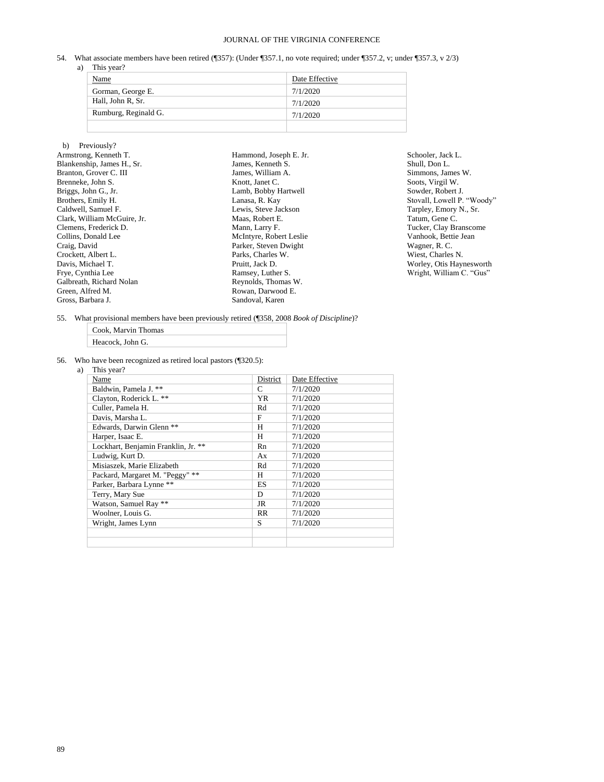54. What associate members have been retired (¶357): (Under ¶357.1, no vote required; under ¶357.2, v; under ¶357.3, v 2/3) a) This year?

| Name                 | Date Effective |
|----------------------|----------------|
| Gorman, George E.    | 7/1/2020       |
| Hall, John R. Sr.    | 7/1/2020       |
| Rumburg, Reginald G. | 7/1/2020       |
|                      |                |

#### b) Previously? Armstrong, Kenneth T. Blankenship, James H., Sr. Branton, Grover C. III Brenneke, John S. Briggs, John G., Jr. Brothers, Emily H. Caldwell, Samuel F. Clark, William McGuire, Jr. Clemens, Frederick D. Collins, Donald Lee Craig, David Crockett, Albert L. Davis, Michael T. Frye, Cynthia Lee Galbreath, Richard Nolan Green, Alfred M. Gross, Barbara J. Hammond, Joseph E. Jr. James, Kenneth S. James, William A. Knott, Janet C. Lamb, Bobby Hartwell Lanasa, R. Kay Lewis, Steve Jackson Maas, Robert E. Mann, Larry F. McIntyre, Robert Leslie Parker, Steven Dwight Parks, Charles W. Pruitt, Jack D. Ramsey, Luther S. Reynolds, Thomas W. Rowan, Darwood E. Sandoval, Karen

Schooler, Jack L. Shull, Don L. Simmons, James W. Soots, Virgil W. Sowder, Robert J. Stovall, Lowell P. "Woody" Tarpley, Emory N., Sr. Tatum, Gene C. Tucker, Clay Branscome Vanhook, Bettie Jean Wagner, R. C. Wiest, Charles N. Worley, Otis Haynesworth Wright, William C. "Gus"

55. What provisional members have been previously retired (¶358, 2008 *Book of Discipline*)?

| Cook. Marvin Thomas |
|---------------------|
| Heacock, John G.    |

56. Who have been recognized as retired local pastors (¶320.5):

| a) | This year?                          |           |                |
|----|-------------------------------------|-----------|----------------|
|    | Name                                | District  | Date Effective |
|    | Baldwin, Pamela J. **               | C         | 7/1/2020       |
|    | Clayton, Roderick L. **             | YR        | 7/1/2020       |
|    | Culler, Pamela H.                   | Rd        | 7/1/2020       |
|    | Davis, Marsha L.                    | F         | 7/1/2020       |
|    | Edwards, Darwin Glenn **            | H         | 7/1/2020       |
|    | Harper, Isaac E.                    | H         | 7/1/2020       |
|    | Lockhart, Benjamin Franklin, Jr. ** | Rn        | 7/1/2020       |
|    | Ludwig, Kurt D.                     | Ax        | 7/1/2020       |
|    | Misiaszek, Marie Elizabeth          | Rd        | 7/1/2020       |
|    | Packard, Margaret M. "Peggy" **     | H         | 7/1/2020       |
|    | Parker, Barbara Lynne **            | ES        | 7/1/2020       |
|    | Terry, Mary Sue                     | D         | 7/1/2020       |
|    | Watson, Samuel Ray **               | JR        | 7/1/2020       |
|    | Woolner, Louis G.                   | <b>RR</b> | 7/1/2020       |
|    | Wright, James Lynn                  | S         | 7/1/2020       |
|    |                                     |           |                |
|    |                                     |           |                |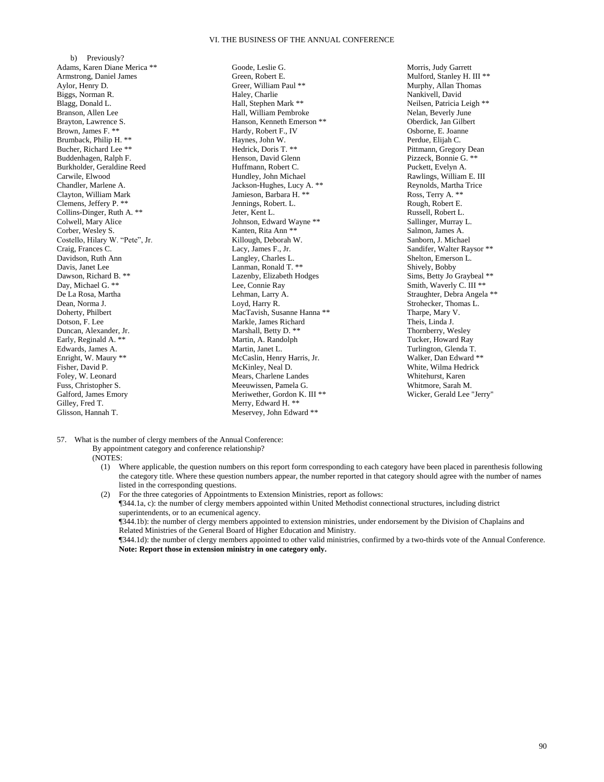b) Previously? Adams, Karen Diane Merica \*\* Armstrong, Daniel James Aylor, Henry D. Biggs, Norman R. Blagg, Donald L. Branson, Allen Lee Brayton, Lawrence S. Brown, James F. \*\* Brumback, Philip H. \*\* Bucher, Richard Lee \*\* Buddenhagen, Ralph F. Burkholder, Geraldine Reed Carwile, Elwood Chandler, Marlene A. Clayton, William Mark Clemens, Jeffery P. \*\* Collins-Dinger, Ruth A. \*\* Colwell, Mary Alice Corber, Wesley S. Costello, Hilary W. "Pete", Jr. Craig, Frances C. Davidson, Ruth Ann Davis, Janet Lee Dawson, Richard B. \*\* Day, Michael G. \*\* De La Rosa, Martha Dean, Norma J. Doherty, Philbert Dotson, F. Lee Duncan, Alexander, Jr. Early, Reginald A. \*\* Edwards, James A. Enright, W. Maury \*\* Fisher, David P. Foley, W. Leonard Fuss, Christopher S. Galford, James Emory Gilley, Fred T. Glisson, Hannah T.

Goode, Leslie G. Green, Robert E. Greer, William Paul \*\* Haley, Charlie Hall, Stephen Mark \*\* Hall, William Pembroke Hanson, Kenneth Emerson \*\* Hardy, Robert F., IV Haynes, John W. Hedrick, Doris T. \*\* Henson, David Glenn Huffmann, Robert C. Hundley, John Michael Jackson-Hughes, Lucy A. \*\* Jamieson, Barbara H. \*\* Jennings, Robert. L. Jeter, Kent L. Johnson, Edward Wayne \*\* Kanten, Rita Ann \*\* Killough, Deborah W. Lacy, James F., Jr. Langley, Charles L. Lanman, Ronald T. \*\* Lazenby, Elizabeth Hodges Lee, Connie Ray Lehman, Larry A. Loyd, Harry R. MacTavish, Susanne Hanna \*\* Markle, James Richard Marshall, Betty D. \*\* Martin, A. Randolph Martin, Janet L. McCaslin, Henry Harris, Jr. McKinley, Neal D. Mears, Charlene Landes Meeuwissen, Pamela G. Meriwether, Gordon K. III \*\* Merry, Edward H. \*\* Meservey, John Edward \*\*

Morris, Judy Garrett Mulford, Stanley H. III \*\* Murphy, Allan Thomas Nankivell, David Neilsen, Patricia Leigh \*\* Nelan, Beverly June Oberdick, Jan Gilbert Osborne, E. Joanne Perdue, Elijah C. Pittmann, Gregory Dean Pizzeck, Bonnie G. \*\* Puckett, Evelyn A. Rawlings, William E. III Reynolds, Martha Trice Ross, Terry A. \*\* Rough, Robert E. Russell, Robert L. Sallinger, Murray L. Salmon, James A. Sanborn, J. Michael Sandifer, Walter Raysor \*\* Shelton, Emerson L. Shively, Bobby Sims, Betty Jo Graybeal \*\* Smith, Waverly C. III \*\* Straughter, Debra Angela \*\* Strohecker, Thomas L. Tharpe, Mary V. Theis, Linda J. Thornberry, Wesley Tucker, Howard Ray Turlington, Glenda T. Walker, Dan Edward \*\* White, Wilma Hedrick Whitehurst, Karen Whitmore, Sarah M. Wicker, Gerald Lee "Jerry"

#### 57. What is the number of clergy members of the Annual Conference:

- By appointment category and conference relationship?
- (NOTES:
	- (1) Where applicable, the question numbers on this report form corresponding to each category have been placed in parenthesis following the category title. Where these question numbers appear, the number reported in that category should agree with the number of names listed in the corresponding questions.

(2) For the three categories of Appointments to Extension Ministries, report as follows: ¶344.1a, c): the number of clergy members appointed within United Methodist connectional structures, including district superintendents, or to an ecumenical agency. ¶344.1b): the number of clergy members appointed to extension ministries, under endorsement by the Division of Chaplains and Related Ministries of the General Board of Higher Education and Ministry.

¶344.1d): the number of clergy members appointed to other valid ministries, confirmed by a two-thirds vote of the Annual Conference. **Note: Report those in extension ministry in one category only.**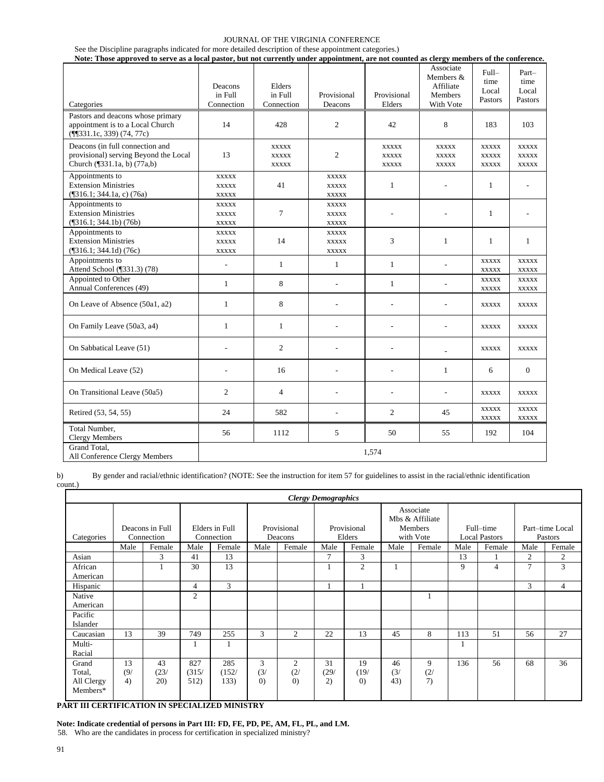| See the Discipline paragraphs indicated for more detailed description of these appointment categories.)                                    |  |
|--------------------------------------------------------------------------------------------------------------------------------------------|--|
| Note: Those approved to serve as a local pastor, but not currently under appointment, are not counted as clergy members of the conference. |  |

| Categories                                                                                              | Deacons<br>in Full<br>Connection             | Elders<br>in Full<br>Connection              | Provisional<br>Deacons                       | Provisional<br>Elders                        | Associate<br>Members $&$<br>Affiliate<br><b>Members</b><br>With Vote | Full-<br>time<br>Local<br>Pastors            | Part-<br>time<br>Local<br>Pastors     |
|---------------------------------------------------------------------------------------------------------|----------------------------------------------|----------------------------------------------|----------------------------------------------|----------------------------------------------|----------------------------------------------------------------------|----------------------------------------------|---------------------------------------|
| Pastors and deacons whose primary<br>appointment is to a Local Church<br>$(\P{531.1c}, 339) (74, 77c)$  | 14                                           | 428                                          | $\overline{c}$                               | 42                                           | 8                                                                    | 183                                          | 103                                   |
| Deacons (in full connection and<br>provisional) serving Beyond the Local<br>Church (¶331.1a, b) (77a,b) | 13                                           | <b>XXXXX</b><br><b>XXXXX</b><br><b>XXXXX</b> | 2                                            | <b>XXXXX</b><br><b>XXXXX</b><br><b>XXXXX</b> | <b>XXXXX</b><br><b>XXXXX</b><br><b>XXXXX</b>                         | <b>XXXXX</b><br><b>XXXXX</b><br><b>XXXXX</b> | <b>XXXXX</b><br>XXXXX<br><b>XXXXX</b> |
| Appointments to<br><b>Extension Ministries</b><br>$($ [316.1; 344.1a, c) $(76a)$                        | <b>XXXXX</b><br><b>XXXXX</b><br><b>XXXXX</b> | 41                                           | <b>XXXXX</b><br><b>XXXXX</b><br><b>XXXXX</b> | $\mathbf{1}$                                 |                                                                      | 1                                            |                                       |
| Appointments to<br><b>Extension Ministries</b><br>$(\sqrt{316.1}; 344.1b) (76b)$                        | <b>XXXXX</b><br><b>XXXXX</b><br><b>XXXXX</b> | 7                                            | <b>XXXXX</b><br><b>XXXXX</b><br><b>XXXXX</b> | ÷,                                           |                                                                      | $\mathbf{1}$                                 |                                       |
| Appointments to<br><b>Extension Ministries</b><br>$(\text{\textdegree}[316.1; 344.1d) (76c))$           | <b>XXXXX</b><br><b>XXXXX</b><br>XXXXX        | 14                                           | <b>XXXXX</b><br><b>XXXXX</b><br><b>XXXXX</b> | 3                                            | $\mathbf{1}$                                                         | 1                                            | 1                                     |
| Appointments to<br>Attend School (¶331.3) (78)                                                          | L,                                           | $\mathbf{1}$                                 | $\mathbf{1}$                                 | $\mathbf{1}$                                 |                                                                      | <b>XXXXX</b><br><b>XXXXX</b>                 | <b>XXXXX</b><br><b>XXXXX</b>          |
| Appointed to Other<br>Annual Conferences (49)                                                           | $\mathbf{1}$                                 | 8                                            | L,                                           | $\mathbf{1}$                                 | $\overline{a}$                                                       | <b>XXXXX</b><br><b>XXXXX</b>                 | <b>XXXXX</b><br><b>XXXXX</b>          |
| On Leave of Absence (50a1, a2)                                                                          | 1                                            | 8                                            |                                              | L,                                           | ä,                                                                   | <b>XXXXX</b>                                 | <b>XXXXX</b>                          |
| On Family Leave (50a3, a4)                                                                              | $\mathbf{1}$                                 | 1                                            | L,                                           | ÷,                                           | L,                                                                   | <b>XXXXX</b>                                 | <b>XXXXX</b>                          |
| On Sabbatical Leave (51)                                                                                |                                              | 2                                            | ÷,                                           | L,                                           |                                                                      | <b>XXXXX</b>                                 | <b>XXXXX</b>                          |
| On Medical Leave (52)                                                                                   | ٠                                            | 16                                           | $\overline{\phantom{a}}$                     | ٠                                            | $\mathbf{1}$                                                         | 6                                            | $\mathbf{0}$                          |
| On Transitional Leave (50a5)                                                                            | 2                                            | $\overline{4}$                               | ÷,                                           | L,                                           | $\overline{a}$                                                       | <b>XXXXX</b>                                 | <b>XXXXX</b>                          |
| Retired (53, 54, 55)                                                                                    | 24                                           | 582                                          | $\overline{a}$                               | $\overline{c}$                               | 45                                                                   | <b>XXXXX</b><br><b>XXXXX</b>                 | <b>XXXXX</b><br><b>XXXXX</b>          |
| Total Number,<br><b>Clergy Members</b>                                                                  | 56                                           | 1112                                         | 5                                            | 50                                           | 55                                                                   | 192                                          | 104                                   |
| Grand Total.<br>All Conference Clergy Members                                                           | 1,574                                        |                                              |                                              |                                              |                                                                      |                                              |                                       |

b) By gender and racial/ethnic identification? (NOTE: See the instruction for item 57 for guidelines to assist in the racial/ethnic identification count.)

|                                           |                 |                               |                      |                              |                               |                                            | <b>Clergy Demographics</b> |                                 |                  |                                                      |      |                                   |      |                            |
|-------------------------------------------|-----------------|-------------------------------|----------------------|------------------------------|-------------------------------|--------------------------------------------|----------------------------|---------------------------------|------------------|------------------------------------------------------|------|-----------------------------------|------|----------------------------|
| Categories                                |                 | Deacons in Full<br>Connection |                      | Elders in Full<br>Connection |                               | Provisional<br>Deacons                     |                            | Provisional<br>Elders           |                  | Associate<br>Mbs & Affiliate<br>Members<br>with Vote |      | Full-time<br><b>Local Pastors</b> |      | Part-time Local<br>Pastors |
|                                           | Male            | Female                        | Male                 | Female                       | Male                          | Female                                     | Male                       | Female                          | Male             | Female                                               | Male | Female                            | Male | Female                     |
| Asian                                     |                 | 3                             | 41                   | 13                           |                               |                                            | 7                          | 3                               |                  |                                                      | 13   |                                   | 2    | 2                          |
| African<br>American                       |                 |                               | 30                   | 13                           |                               |                                            |                            | $\overline{c}$                  |                  |                                                      | 9    | 4                                 | 7    | 3                          |
| Hispanic                                  |                 |                               | $\overline{4}$       | 3                            |                               |                                            |                            |                                 |                  |                                                      |      |                                   | 3    | $\overline{4}$             |
| Native<br>American                        |                 |                               | $\mathfrak{2}$       |                              |                               |                                            |                            |                                 |                  |                                                      |      |                                   |      |                            |
| Pacific<br>Islander                       |                 |                               |                      |                              |                               |                                            |                            |                                 |                  |                                                      |      |                                   |      |                            |
| Caucasian                                 | 13              | 39                            | 749                  | 255                          | 3                             | $\overline{c}$                             | 22                         | 13                              | 45               | 8                                                    | 113  | 51                                | 56   | 27                         |
| Multi-<br>Racial                          |                 |                               |                      | 1                            |                               |                                            |                            |                                 |                  |                                                      |      |                                   |      |                            |
| Grand<br>Total,<br>All Clergy<br>Members* | 13<br>(9/<br>4) | 43<br>(23/<br>20)             | 827<br>(315/<br>512) | 285<br>(152/<br>133)         | 3<br>(3)<br>$\left( 0\right)$ | $\overline{2}$<br>(2/<br>$\left( 0\right)$ | 31<br>(29/<br>2)           | 19<br>(19/<br>$\left( 0\right)$ | 46<br>(3)<br>43) | 9<br>(2)<br>7)                                       | 136  | 56                                | 68   | 36                         |

**PART III CERTIFICATION IN SPECIALIZED MINISTRY** 

**Note: Indicate credential of persons in Part III: FD, FE, PD, PE, AM, FL, PL, and LM.**

58. Who are the candidates in process for certification in specialized ministry?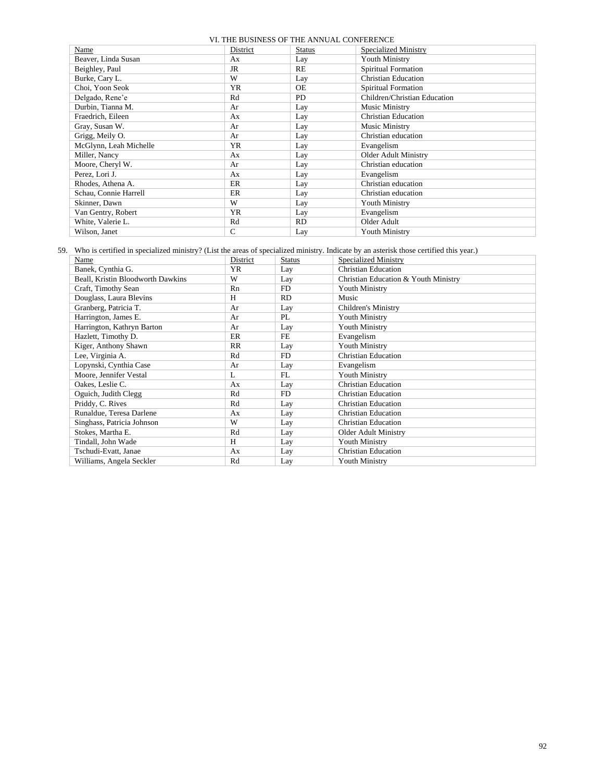| boom those of the thing the contraction |           |               |                              |  |
|-----------------------------------------|-----------|---------------|------------------------------|--|
| Name                                    | District  | <b>Status</b> | <b>Specialized Ministry</b>  |  |
| Beaver, Linda Susan                     | Ax        | Lay           | <b>Youth Ministry</b>        |  |
| Beighley, Paul                          | JR        | RE            | Spiritual Formation          |  |
| Burke, Cary L.                          | W         | Lay           | <b>Christian Education</b>   |  |
| Choi, Yoon Seok                         | <b>YR</b> | <b>OE</b>     | Spiritual Formation          |  |
| Delgado, Rene'e                         | Rd        | <b>PD</b>     | Children/Christian Education |  |
| Durbin, Tianna M.                       | Ar        | Lay           | Music Ministry               |  |
| Fraedrich, Eileen                       | Ax        | Lay           | <b>Christian Education</b>   |  |
| Gray, Susan W.                          | Ar        | Lay           | Music Ministry               |  |
| Grigg, Meily O.                         | Ar        | Lay           | Christian education          |  |
| McGlynn, Leah Michelle                  | <b>YR</b> | Lay           | Evangelism                   |  |
| Miller, Nancy                           | Ax        | Lay           | Older Adult Ministry         |  |
| Moore, Cheryl W.                        | Ar        | Lay           | Christian education          |  |
| Perez, Lori J.                          | Ax        | Lay           | Evangelism                   |  |
| Rhodes, Athena A.                       | ER        | Lay           | Christian education          |  |
| Schau, Connie Harrell                   | ER        | Lay           | Christian education          |  |
| Skinner, Dawn                           | W         | Lay           | <b>Youth Ministry</b>        |  |
| Van Gentry, Robert                      | <b>YR</b> | Lay           | Evangelism                   |  |
| White, Valerie L.                       | Rd        | RD.           | Older Adult                  |  |
| Wilson, Janet                           | C         | Lay           | <b>Youth Ministry</b>        |  |

59. Who is certified in specialized ministry? (List the areas of specialized ministry. Indicate by an asterisk those certified this year.)

| Name                              | District  | <b>Status</b> | Specialized Ministry                 |
|-----------------------------------|-----------|---------------|--------------------------------------|
| Banek, Cynthia G.                 | <b>YR</b> | Lay           | <b>Christian Education</b>           |
| Beall, Kristin Bloodworth Dawkins | W         | Lay           | Christian Education & Youth Ministry |
| Craft, Timothy Sean               | Rn        | FD.           | <b>Youth Ministry</b>                |
| Douglass, Laura Blevins           | H         | <b>RD</b>     | Music                                |
| Granberg, Patricia T.             | Ar        | Lay           | Children's Ministry                  |
| Harrington, James E.              | Ar        | PL            | <b>Youth Ministry</b>                |
| Harrington, Kathryn Barton        | Ar        | Lay           | <b>Youth Ministry</b>                |
| Hazlett, Timothy D.               | ER        | FE            | Evangelism                           |
| Kiger, Anthony Shawn              | RR        | Lay           | Youth Ministry                       |
| Lee, Virginia A.                  | Rd        | FD.           | Christian Education                  |
| Lopynski, Cynthia Case            | Ar        | Lay           | Evangelism                           |
| Moore, Jennifer Vestal            | L         | FL            | Youth Ministry                       |
| Oakes, Leslie C.                  | Ax        | Lay           | <b>Christian Education</b>           |
| Oguich, Judith Clegg              | Rd        | FD.           | <b>Christian Education</b>           |
| Priddy, C. Rives                  | Rd        | Lay           | <b>Christian Education</b>           |
| Runaldue, Teresa Darlene          | Ax        | Lay           | <b>Christian Education</b>           |
| Singhass, Patricia Johnson        | W         | Lay           | <b>Christian Education</b>           |
| Stokes, Martha E.                 | Rd        | Lay           | <b>Older Adult Ministry</b>          |
| Tindall, John Wade                | H         | Lay           | <b>Youth Ministry</b>                |
| Tschudi-Evatt, Janae              | Ax        | Lay           | <b>Christian Education</b>           |
| Williams, Angela Seckler          | Rd        | Lay           | <b>Youth Ministry</b>                |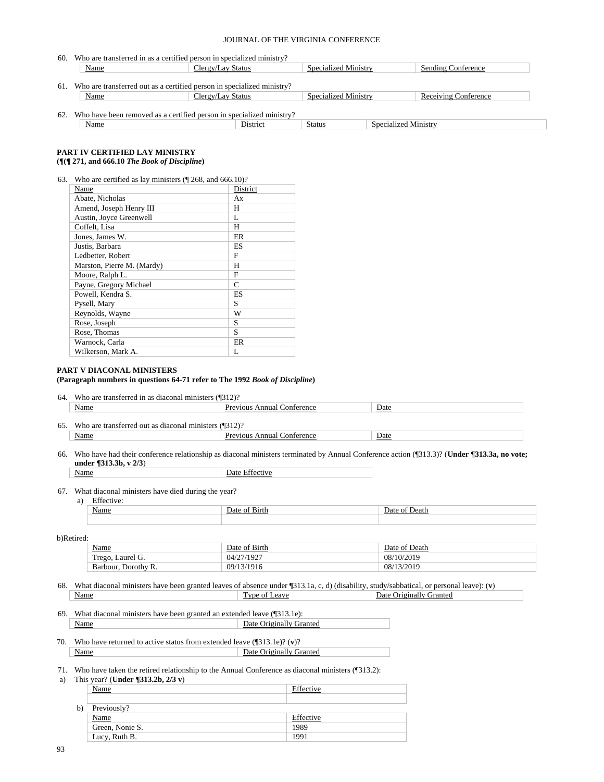| 60. | Who are transferred in as a certified person in specialized ministry?  |                   |                      |                      |                             |  |
|-----|------------------------------------------------------------------------|-------------------|----------------------|----------------------|-----------------------------|--|
|     | Name                                                                   | Clergy/Lay Status | Specialized Ministry |                      | <b>Sending Conference</b>   |  |
|     |                                                                        |                   |                      |                      |                             |  |
| 61. | Who are transferred out as a certified person in specialized ministry? |                   |                      |                      |                             |  |
|     | Name                                                                   | Clergy/Lay Status | Specialized Ministry |                      | <b>Receiving Conference</b> |  |
|     |                                                                        |                   |                      |                      |                             |  |
| 62. | Who have been removed as a certified person in specialized ministry?   |                   |                      |                      |                             |  |
|     | Name                                                                   | District          | Status               | Specialized Ministry |                             |  |

# **PART IV CERTIFIED LAY MINISTRY**

# **(¶(¶ 271, and 666.10** *The Book of Discipline***)**

| 63. | Who are certified as lay ministers $(\sqrt{\phantom{a}}\,268, \text{ and } 666.10)?$ |
|-----|--------------------------------------------------------------------------------------|
|-----|--------------------------------------------------------------------------------------|

| Name                       | District |
|----------------------------|----------|
| Abate, Nicholas            | Ax       |
| Amend, Joseph Henry III    | H        |
| Austin, Joyce Greenwell    | L        |
| Coffelt. Lisa              | H        |
| Jones, James W.            | ER       |
| Justis, Barbara            | ES       |
| Ledbetter, Robert          | F        |
| Marston, Pierre M. (Mardy) | Н        |
| Moore, Ralph L.            | F        |
| Payne, Gregory Michael     | C        |
| Powell, Kendra S.          | ES       |
| Pysell, Mary               | S        |
| Reynolds, Wayne            | W        |
| Rose, Joseph               | S        |
| Rose, Thomas               | S        |
| Warnock, Carla             | ER       |
| Wilkerson, Mark A.         | L        |

#### **PART V DIACONAL MINISTERS**

# **(Paragraph numbers in questions 64-71 refer to The 1992** *Book of Discipline***)**

| 64 | ---<br>ranste<br>diaconal<br>- വൈ<br>. minister יה<br>-2117<br>æ<br> | - - - - -                   |      |
|----|----------------------------------------------------------------------|-----------------------------|------|
|    | Name                                                                 | `nnua.<br>ou<br>erenc<br>∩n | Date |

| 65 | -- -<br>$0 +$<br>ona<br>ΩT<br>mınıste<br>. ans<br>'nc<br>ша<br>21 D | .                      |      |
|----|---------------------------------------------------------------------|------------------------|------|
|    | Name                                                                | onference<br>nnı<br>14 | Date |

66. Who have had their conference relationship as diaconal ministers terminated by Annual Conference action (¶313.3)? (**Under ¶313.3a, no vote; under ¶313.3b, v 2/3**)

Name Date Effective

#### 67. What diaconal ministers have died during the year?

a) Effective:

| $-$<br>721 L L H | . | $\overline{\phantom{a}}$<br>- 1 |
|------------------|---|---------------------------------|
|                  |   |                                 |

#### b)Retired:

| <b>Name</b>               | <sup>e</sup> Birth<br>Jate<br>ОŤ | of Death<br><b>Jate</b> |
|---------------------------|----------------------------------|-------------------------|
| m<br>Laurel G.<br>l'rego. | /27/1927<br>04/27/               | 08/10/2019              |
| Barbour, Dorothy R.       | 3/1916<br>09/1                   | 08/13/2019              |

#### 68. What diaconal ministers have been granted leaves of absence under ¶313.1a, c, d) (disability, study/sabbatical, or personal leave): (**v**) Name Type of Leave Date Originally Granted

#### 69. What diaconal ministers have been granted an extended leave (¶313.1e): Name Date Originally Granted

70. Who have returned to active status from extended leave (¶313.1e)? (**v**)? Name Date Originally Granted

# 71. Who have taken the retired relationship to the Annual Conference as diaconal ministers (¶313.2):

a) This year? (**Under ¶313.2b, 2/3 v**) Name Effective b) Previously? Name Effective Green, Nonie S. 1989 Lucy, Ruth B. 1991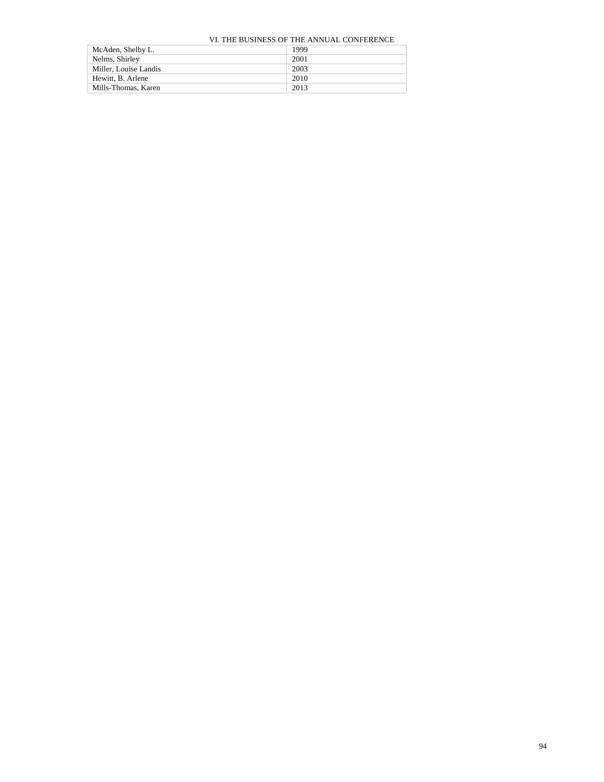| McAden, Shelby L.     | 1999 |
|-----------------------|------|
| Nelms, Shirley        | 2001 |
| Miller, Louise Landis | 2003 |
| Hewitt, B. Arlene     | 2010 |
| Mills-Thomas, Karen   | 2013 |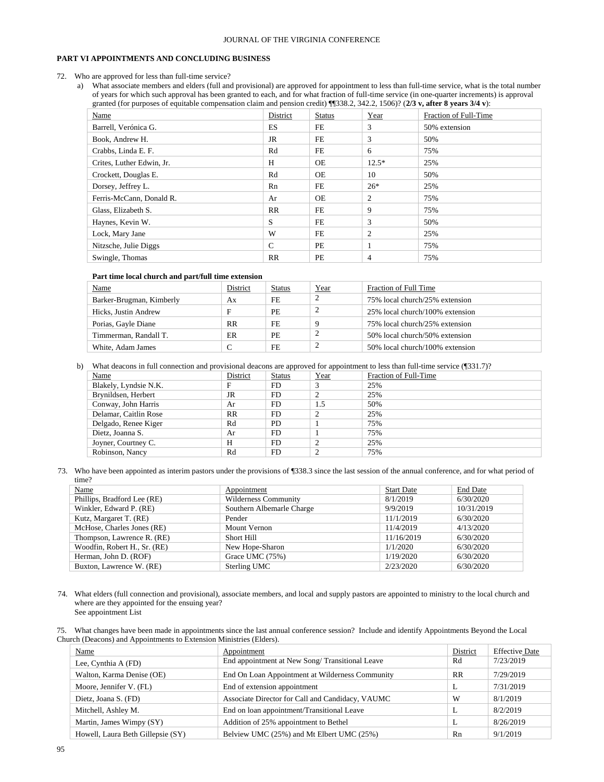#### **PART VI APPOINTMENTS AND CONCLUDING BUSINESS**

- 72. Who are approved for less than full-time service?
	- a) What associate members and elders (full and provisional) are approved for appointment to less than full-time service, what is the total number of years for which such approval has been granted to each, and for what fraction of full-time service (in one-quarter increments) is approval granted (for purposes of equitable compensation claim and pension credit) ¶¶338.2, 342.2, 1506)? (**2/3 v, after 8 years 3/4 v**):

| Name                      | District      | <b>Status</b> | Year           | Fraction of Full-Time |
|---------------------------|---------------|---------------|----------------|-----------------------|
| Barrell, Verónica G.      | ES.           | FE            | 3              | 50% extension         |
| Book, Andrew H.           | JR            | FE            | 3              | 50%                   |
| Crabbs, Linda E. F.       | Rd            | FE            | 6              | 75%                   |
| Crites, Luther Edwin, Jr. | H             | <b>OE</b>     | $12.5*$        | 25%                   |
| Crockett, Douglas E.      | Rd            | <b>OE</b>     | 10             | 50%                   |
| Dorsey, Jeffrey L.        | Rn            | FE            | $26*$          | 25%                   |
| Ferris-McCann, Donald R.  | Ar            | OE            | 2              | 75%                   |
| Glass, Elizabeth S.       | RR            | FE            | 9              | 75%                   |
| Haynes, Kevin W.          | S             | FE            | 3              | 50%                   |
| Lock, Mary Jane           | W             | FE            | $\overline{2}$ | 25%                   |
| Nitzsche, Julie Diggs     | $\mathcal{C}$ | PE            |                | 75%                   |
| Swingle, Thomas           | RR            | PE            | $\overline{4}$ | 75%                   |

#### **Part time local church and part/full time extension**

| <b>Name</b>              | District  | Status    | Year | Fraction of Full Time           |
|--------------------------|-----------|-----------|------|---------------------------------|
| Barker-Brugman, Kimberly | Ax        | FE        |      | 75% local church/25% extension  |
| Hicks, Justin Andrew     |           | PE        |      | 25% local church/100% extension |
| Porias, Gayle Diane      | <b>RR</b> | FE.       |      | 75% local church/25% extension  |
| Timmerman, Randall T.    | ER        | <b>PE</b> |      | 50% local church/50% extension  |
| White, Adam James        |           | FE.       |      | 50% local church/100% extension |

b) What deacons in full connection and provisional deacons are approved for appointment to less than full-time service (¶331.7)?

| Name                  | District  | <b>Status</b> | Year           | Fraction of Full-Time |
|-----------------------|-----------|---------------|----------------|-----------------------|
| Blakely, Lyndsie N.K. | F         | FD.           |                | 25%                   |
| Brynildsen, Herbert   | JR        | FD.           |                | 25%                   |
| Conway, John Harris   | Ar        | FD.           | 1.5            | 50%                   |
| Delamar, Caitlin Rose | <b>RR</b> | FD.           |                | 25%                   |
| Delgado, Renee Kiger  | Rd        | <b>PD</b>     |                | 75%                   |
| Dietz, Joanna S.      | Ar        | FD            |                | 75%                   |
| Joyner, Courtney C.   | H         | FD            | 2              | 25%                   |
| Robinson, Nancy       | Rd        | FD            | $\overline{2}$ | 75%                   |

73. Who have been appointed as interim pastors under the provisions of ¶338.3 since the last session of the annual conference, and for what period of time?

| Appointment                 | <b>Start Date</b> | <b>End Date</b> |
|-----------------------------|-------------------|-----------------|
| <b>Wilderness Community</b> | 8/1/2019          | 6/30/2020       |
| Southern Albemarle Charge   | 9/9/2019          | 10/31/2019      |
| Pender                      | 11/1/2019         | 6/30/2020       |
| Mount Vernon                | 11/4/2019         | 4/13/2020       |
| Short Hill                  | 11/16/2019        | 6/30/2020       |
| New Hope-Sharon             | 1/1/2020          | 6/30/2020       |
| Grace UMC (75%)             | 1/19/2020         | 6/30/2020       |
| Sterling UMC                | 2/23/2020         | 6/30/2020       |
|                             |                   |                 |

74. What elders (full connection and provisional), associate members, and local and supply pastors are appointed to ministry to the local church and where are they appointed for the ensuing year? See appointment List

75. What changes have been made in appointments since the last annual conference session? Include and identify Appointments Beyond the Local Church (Deacons) and Appointments to Extension Ministries (Elders).

| Name                              | Appointment                                      | District | <b>Effective Date</b> |
|-----------------------------------|--------------------------------------------------|----------|-----------------------|
| Lee, Cynthia A (FD)               | End appointment at New Song/Transitional Leave   | Rd       | 7/23/2019             |
| Walton, Karma Denise (OE)         | End On Loan Appointment at Wilderness Community  | RR       | 7/29/2019             |
| Moore, Jennifer V. (FL)           | End of extension appointment                     | L        | 7/31/2019             |
| Dietz, Joana S. (FD)              | Associate Director for Call and Candidacy, VAUMC | W        | 8/1/2019              |
| Mitchell, Ashley M.               | End on loan appointment/Transitional Leave       | L        | 8/2/2019              |
| Martin, James Wimpy (SY)          | Addition of 25% appointment to Bethel            | L        | 8/26/2019             |
| Howell, Laura Beth Gillepsie (SY) | Belview UMC (25%) and Mt Elbert UMC (25%)        | Rn       | 9/1/2019              |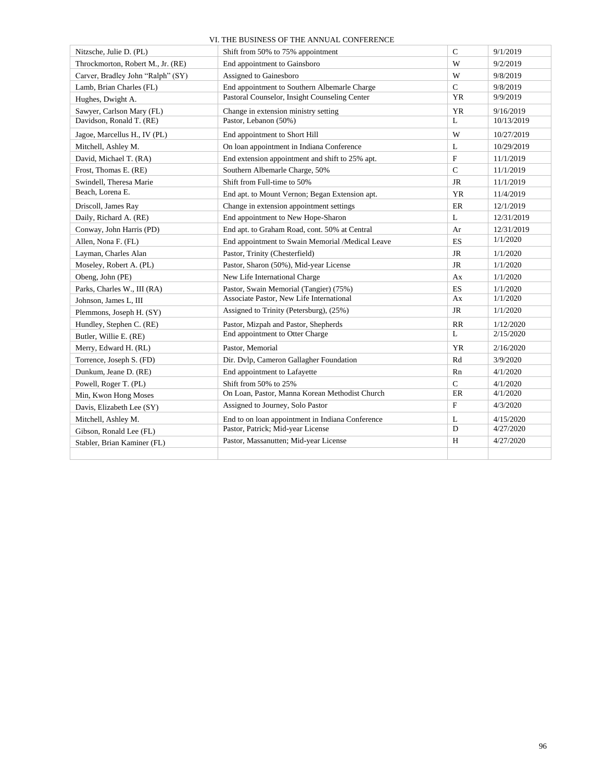| Nitzsche, Julie D. (PL)           | Shift from 50% to 75% appointment                | $\mathbf C$   | 9/1/2019   |
|-----------------------------------|--------------------------------------------------|---------------|------------|
| Throckmorton, Robert M., Jr. (RE) | End appointment to Gainsboro                     | W             | 9/2/2019   |
| Carver, Bradley John "Ralph" (SY) | Assigned to Gainesboro                           | W             | 9/8/2019   |
| Lamb, Brian Charles (FL)          | End appointment to Southern Albemarle Charge     | $\mathbf C$   | 9/8/2019   |
| Hughes, Dwight A.                 | Pastoral Counselor, Insight Counseling Center    | <b>YR</b>     | 9/9/2019   |
| Sawyer, Carlson Mary (FL)         | Change in extension ministry setting             | <b>YR</b>     | 9/16/2019  |
| Davidson, Ronald T. (RE)          | Pastor, Lebanon (50%)                            | L             | 10/13/2019 |
| Jagoe, Marcellus H., IV (PL)      | End appointment to Short Hill                    | W             | 10/27/2019 |
| Mitchell, Ashley M.               | On loan appointment in Indiana Conference        | L             | 10/29/2019 |
| David, Michael T. (RA)            | End extension appointment and shift to 25% apt.  | $\mathbf F$   | 11/1/2019  |
| Frost, Thomas E. (RE)             | Southern Albemarle Charge, 50%                   | $\mathcal{C}$ | 11/1/2019  |
| Swindell, Theresa Marie           | Shift from Full-time to 50%                      | <b>JR</b>     | 11/1/2019  |
| Beach, Lorena E.                  | End apt. to Mount Vernon; Began Extension apt.   | <b>YR</b>     | 11/4/2019  |
| Driscoll, James Ray               | Change in extension appointment settings         | ER            | 12/1/2019  |
| Daily, Richard A. (RE)            | End appointment to New Hope-Sharon               | L             | 12/31/2019 |
| Conway, John Harris (PD)          | End apt. to Graham Road, cont. 50% at Central    | Ar            | 12/31/2019 |
| Allen, Nona F. (FL)               | End appointment to Swain Memorial /Medical Leave | ES            | 1/1/2020   |
| Layman, Charles Alan              | Pastor, Trinity (Chesterfield)                   | JR            | 1/1/2020   |
| Moseley, Robert A. (PL)           | Pastor, Sharon (50%), Mid-year License           | JR            | 1/1/2020   |
| Obeng, John (PE)                  | New Life International Charge                    | Ax            | 1/1/2020   |
| Parks, Charles W., III (RA)       | Pastor, Swain Memorial (Tangier) (75%)           | <b>ES</b>     | 1/1/2020   |
| Johnson, James L, III             | Associate Pastor, New Life International         | Ax            | 1/1/2020   |
| Plemmons, Joseph H. (SY)          | Assigned to Trinity (Petersburg), (25%)          | JR            | 1/1/2020   |
| Hundley, Stephen C. (RE)          | Pastor, Mizpah and Pastor, Shepherds             | RR            | 1/12/2020  |
| Butler, Willie E. (RE)            | End appointment to Otter Charge                  | L             | 2/15/2020  |
| Merry, Edward H. (RL)             | Pastor, Memorial                                 | <b>YR</b>     | 2/16/2020  |
| Torrence, Joseph S. (FD)          | Dir. Dvlp, Cameron Gallagher Foundation          | Rd            | 3/9/2020   |
| Dunkum, Jeane D. (RE)             | End appointment to Lafayette                     | Rn            | 4/1/2020   |
| Powell, Roger T. (PL)             | Shift from 50% to 25%                            | $\mathcal{C}$ | 4/1/2020   |
| Min, Kwon Hong Moses              | On Loan, Pastor, Manna Korean Methodist Church   | ER            | 4/1/2020   |
| Davis, Elizabeth Lee (SY)         | Assigned to Journey, Solo Pastor                 | $\mathbf F$   | 4/3/2020   |
| Mitchell, Ashley M.               | End to on loan appointment in Indiana Conference | L             | 4/15/2020  |
| Gibson, Ronald Lee (FL)           | Pastor, Patrick; Mid-year License                | D             | 4/27/2020  |
| Stabler, Brian Kaminer (FL)       | Pastor, Massanutten; Mid-year License            | Н             | 4/27/2020  |
|                                   |                                                  |               |            |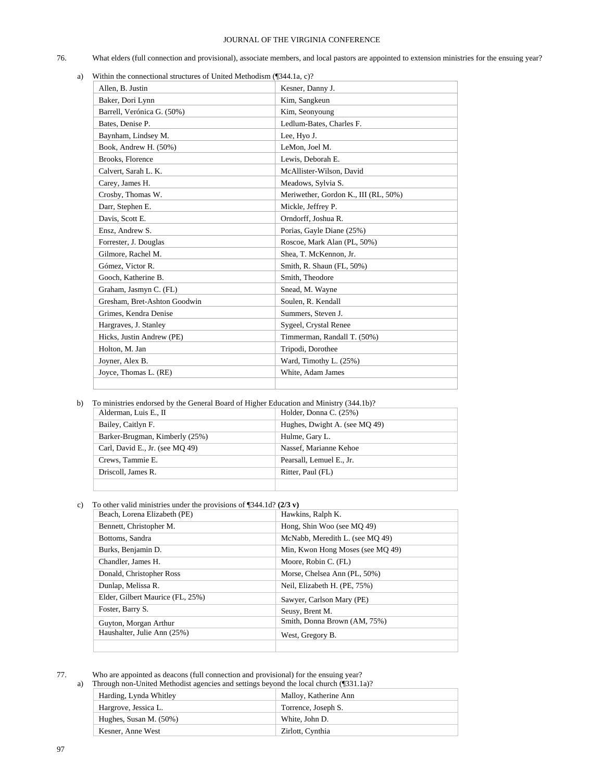- 76. What elders (full connection and provisional), associate members, and local pastors are appointed to extension ministries for the ensuing year?
	- a) Within the connectional structures of United Methodism (¶344.1a, c)?

| Allen, B. Justin             | Kesner, Danny J.                     |
|------------------------------|--------------------------------------|
| Baker, Dori Lynn             | Kim, Sangkeun                        |
| Barrell, Verónica G. (50%)   | Kim, Seonyoung                       |
| Bates, Denise P.             | Ledlum-Bates, Charles F.             |
| Baynham, Lindsey M.          | Lee, Hyo J.                          |
| Book, Andrew H. (50%)        | LeMon, Joel M.                       |
| Brooks, Florence             | Lewis, Deborah E.                    |
| Calvert, Sarah L. K.         | McAllister-Wilson, David             |
| Carey, James H.              | Meadows, Sylvia S.                   |
| Crosby, Thomas W.            | Meriwether, Gordon K., III (RL, 50%) |
| Darr, Stephen E.             | Mickle, Jeffrey P.                   |
| Davis, Scott E.              | Orndorff, Joshua R.                  |
| Ensz, Andrew S.              | Porias, Gayle Diane (25%)            |
| Forrester, J. Douglas        | Roscoe, Mark Alan (PL, 50%)          |
| Gilmore, Rachel M.           | Shea, T. McKennon, Jr.               |
| Gómez, Victor R.             | Smith, R. Shaun (FL, 50%)            |
| Gooch, Katherine B.          | Smith, Theodore                      |
| Graham, Jasmyn C. (FL)       | Snead, M. Wayne                      |
| Gresham, Bret-Ashton Goodwin | Soulen, R. Kendall                   |
| Grimes, Kendra Denise        | Summers, Steven J.                   |
| Hargraves, J. Stanley        | Sygeel, Crystal Renee                |
| Hicks, Justin Andrew (PE)    | Timmerman, Randall T. (50%)          |
| Holton, M. Jan               | Tripodi, Dorothee                    |
| Joyner, Alex B.              | Ward, Timothy L. (25%)               |
| Joyce, Thomas L. (RE)        | White, Adam James                    |
|                              |                                      |

b) To ministries endorsed by the General Board of Higher Education and Ministry (344.1b)?

| Alderman, Luis E., II           | Holder, Donna C. (25%)        |
|---------------------------------|-------------------------------|
| Bailey, Caitlyn F.              | Hughes, Dwight A. (see MQ 49) |
| Barker-Brugman, Kimberly (25%)  | Hulme, Gary L.                |
| Carl, David E., Jr. (see MO 49) | Nassef, Marianne Kehoe        |
| Crews, Tammie E.                | Pearsall, Lemuel E., Jr.      |
| Driscoll, James R.              | Ritter, Paul (FL)             |
|                                 |                               |

c) To other valid ministries under the provisions of ¶344.1d? **(2/3 v)**

| Beach, Lorena Elizabeth (PE)     | Hawkins, Ralph K.                |
|----------------------------------|----------------------------------|
| Bennett, Christopher M.          | Hong, Shin Woo (see MO 49)       |
| Bottoms, Sandra                  | McNabb, Meredith L. (see MQ 49)  |
| Burks, Benjamin D.               | Min, Kwon Hong Moses (see MQ 49) |
| Chandler, James H.               | Moore, Robin C. (FL)             |
| Donald, Christopher Ross         | Morse, Chelsea Ann (PL, 50%)     |
| Dunlap, Melissa R.               | Neil, Elizabeth H. (PE, 75%)     |
| Elder, Gilbert Maurice (FL, 25%) | Sawyer, Carlson Mary (PE)        |
| Foster, Barry S.                 | Seusy, Brent M.                  |
| Guyton, Morgan Arthur            | Smith, Donna Brown (AM, 75%)     |
| Haushalter, Julie Ann (25%)      | West, Gregory B.                 |
|                                  |                                  |

77. Who are appointed as deacons (full connection and provisional) for the ensuing year?

| a) - | Through non-United Methodist agencies and settings beyond the local church (¶331.1a)? |                       |  |
|------|---------------------------------------------------------------------------------------|-----------------------|--|
|      | Harding, Lynda Whitley                                                                | Malloy, Katherine Ann |  |
|      | Hargrove, Jessica L.                                                                  | Torrence, Joseph S.   |  |
|      | Hughes, Susan M. (50%)                                                                | White. John D.        |  |
|      | Kesner, Anne West                                                                     | Zirlott, Cynthia      |  |